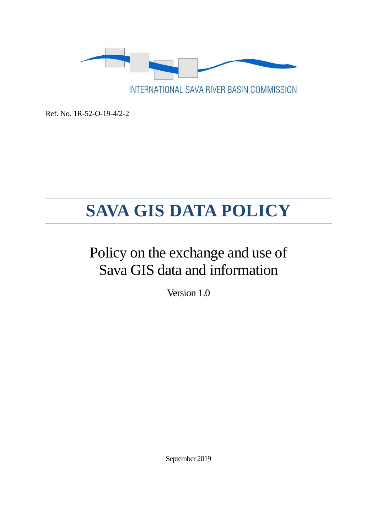

Ref. No. 1R-52-O-19-4/2-2

# **SAVA GIS DATA POLICY**

## Policy on the exchange and use of Sava GIS data and information

Version 1.0

September 2019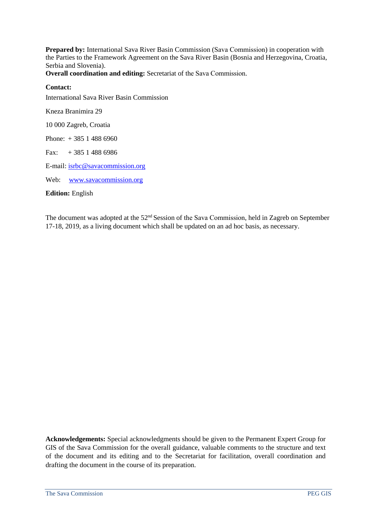**Prepared by:** International Sava River Basin Commission (Sava Commission) in cooperation with the Parties to the Framework Agreement on the Sava River Basin (Bosnia and Herzegovina, Croatia, Serbia and Slovenia).

**Overall coordination and editing:** Secretariat of the Sava Commission.

#### **Contact:**

International Sava River Basin Commission

Kneza Branimira 29

10 000 Zagreb, Croatia

Phone: + 385 1 488 6960

Fax:  $+385$  1 488 6986

E-mail[: isrbc@savacommission.org](mailto:isrbc@savacommission.org)

Web: [www.savacommission.org](http://www.savacommission.org/)

**Edition:** English

The document was adopted at the 52<sup>nd</sup> Session of the Sava Commission, held in Zagreb on September 17-18, 2019, as a living document which shall be updated on an ad hoc basis, as necessary.

**Acknowledgements:** Special acknowledgments should be given to the Permanent Expert Group for GIS of the Sava Commission for the overall guidance, valuable comments to the structure and text of the document and its editing and to the Secretariat for facilitation, overall coordination and drafting the document in the course of its preparation.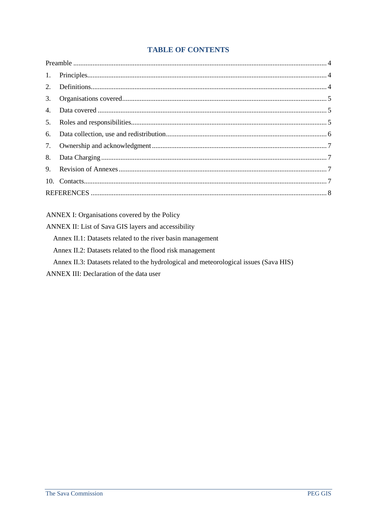## **TABLE OF CONTENTS**

| 5. |  |
|----|--|
|    |  |
|    |  |
|    |  |
|    |  |
|    |  |
|    |  |

#### ANNEX I: Organisations covered by the Policy

ANNEX II: List of Sava GIS layers and accessibility

Annex II.1: Datasets related to the river basin management

Annex II.2: Datasets related to the flood risk management

Annex II.3: Datasets related to the hydrological and meteorological issues (Sava HIS)

ANNEX III: Declaration of the data user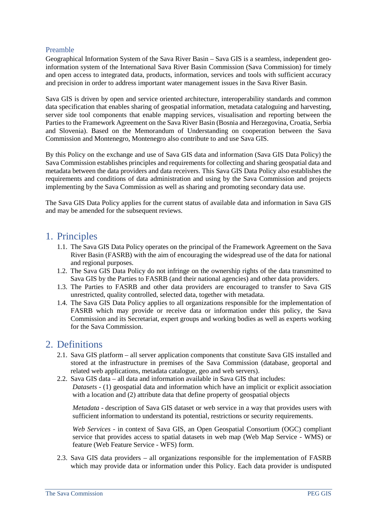#### <span id="page-3-0"></span>Preamble

Geographical Information System of the Sava River Basin – Sava GIS is a seamless, independent geoinformation system of the International Sava River Basin Commission (Sava Commission) for timely and open access to integrated data, products, information, services and tools with sufficient accuracy and precision in order to address important water management issues in the Sava River Basin.

Sava GIS is driven by open and service oriented architecture, interoperability standards and common data specification that enables sharing of geospatial information, metadata cataloguing and harvesting, server side tool components that enable mapping services, visualisation and reporting between the Parties to the Framework Agreement on the Sava River Basin (Bosnia and Herzegovina, Croatia, Serbia and Slovenia). Based on the Memorandum of Understanding on cooperation between the Sava Commission and Montenegro, Montenegro also contribute to and use Sava GIS.

By this Policy on the exchange and use of Sava GIS data and information (Sava GIS Data Policy) the Sava Commission establishes principles and requirements for collecting and sharing geospatial data and metadata between the data providers and data receivers. This Sava GIS Data Policy also establishes the requirements and conditions of data administration and using by the Sava Commission and projects implementing by the Sava Commission as well as sharing and promoting secondary data use.

The Sava GIS Data Policy applies for the current status of available data and information in Sava GIS and may be amended for the subsequent reviews.

## <span id="page-3-1"></span>1. Principles

- 1.1. The Sava GIS Data Policy operates on the principal of the Framework Agreement on the Sava River Basin (FASRB) with the aim of encouraging the widespread use of the data for national and regional purposes.
- 1.2. The Sava GIS Data Policy do not infringe on the ownership rights of the data transmitted to Sava GIS by the Parties to FASRB (and their national agencies) and other data providers.
- 1.3. The Parties to FASRB and other data providers are encouraged to transfer to Sava GIS unrestricted, quality controlled, selected data, together with metadata.
- 1.4. The Sava GIS Data Policy applies to all organizations responsible for the implementation of FASRB which may provide or receive data or information under this policy, the Sava Commission and its Secretariat, expert groups and working bodies as well as experts working for the Sava Commission.

## <span id="page-3-2"></span>2. Definitions

- 2.1. Sava GIS platform all server application components that constitute Sava GIS installed and stored at the infrastructure in premises of the Sava Commission (database, geoportal and related web applications, metadata catalogue, geo and web servers).
- 2.2. Sava GIS data all data and information available in Sava GIS that includes: *Datasets* - (1) geospatial data and information which have an implicit or explicit association with a location and (2) attribute data that define property of geospatial objects

*Metadata* - description of Sava GIS dataset or web service in a way that provides users with sufficient information to understand its potential, restrictions or security requirements.

*Web Services* - in context of Sava GIS, an Open Geospatial Consortium (OGC) compliant service that provides access to spatial datasets in web map (Web Map Service - WMS) or feature (Web Feature Service - WFS) form.

2.3. Sava GIS data providers – all organizations responsible for the implementation of FASRB which may provide data or information under this Policy. Each data provider is undisputed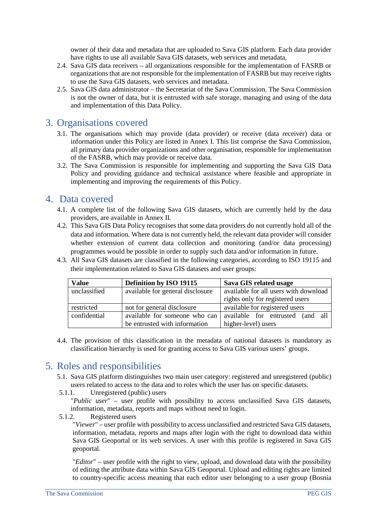owner of their data and metadata that are uploaded to Sava GIS platform. Each data provider have rights to use all available Sava GIS datasets, web services and metadata,

- 2.4. Sava GIS data receivers all organizations responsible for the implementation of FASRB or organizations that are not responsible for the implementation of FASRB but may receive rights to use the Sava GIS datasets, web services and metadata.
- 2.5. Sava GIS data administrator the Secretariat of the Sava Commission. The Sava Commission is not the owner of data, but it is entrusted with safe storage, managing and using of the data and implementation of this Data Policy.

## <span id="page-4-0"></span>3. Organisations covered

- 3.1. The organisations which may provide (data provider) or receive (data receiver) data or information under this Policy are listed in Annex I. This list comprise the Sava Commission, all primary data provider organizations and other organisation, responsible for implementation of the FASRB, which may provide or receive data.
- 3.2. The Sava Commission is responsible for implementing and supporting the Sava GIS Data Policy and providing guidance and technical assistance where feasible and appropriate in implementing and improving the requirements of this Policy.

## <span id="page-4-1"></span>4. Data covered

- 4.1. A complete list of the following Sava GIS datasets, which are currently held by the data providers, are available in Annex II.
- 4.2. This Sava GIS Data Policy recognises that some data providers do not currently hold all of the data and information. Where data is not currently held, the relevant data provider will consider whether extension of current data collection and monitoring (and/or data processing) programmes would be possible in order to supply such data and/or information in future.

4.3. All Sava GIS datasets are classified in the following categories, according to ISO 19115 and

their implementation related to Sava GIS datasets and user groups: **Value Definition by ISO 19115 Sava GIS related usage** unclassified available for general disclosure available for all users with download

| v alue       | Definition by 150 19115          | dava GIS related usage                 |  |
|--------------|----------------------------------|----------------------------------------|--|
| unclassified | available for general disclosure | available for all users with download  |  |
|              |                                  | rights only for registered users       |  |
| restricted   | not for general disclosure       | available for registered users         |  |
| confidential | available for someone who can    | all<br>available for entrusted<br>(and |  |
|              | be entrusted with information    | higher-level) users                    |  |

4.4. The provision of this classification in the metadata of national datasets is mandatory as classification hierarchy is used for granting access to Sava GIS various users' groups.

## <span id="page-4-2"></span>5. Roles and responsibilities

- 5.1. Sava GIS platform distinguishes two main user category: registered and unregistered (public) users related to access to the data and to roles which the user has on specific datasets.
- 5.1.1. Unregistered (public) users

"*Public user*" – user profile with possibility to access unclassified Sava GIS datasets, information, metadata, reports and maps without need to login.

5.1.2. Registered users

"*Viewer*" – user profile with possibility to access unclassified and restricted Sava GIS datasets, information, metadata, reports and maps after login with the right to download data within Sava GIS Geoportal or its web services. A user with this profile is registered in Sava GIS geoportal.

"*Editor*" – user profile with the right to view, upload, and download data with the possibility of editing the attribute data within Sava GIS Geoportal. Upload and editing rights are limited to country-specific access meaning that each editor user belonging to a user group (Bosnia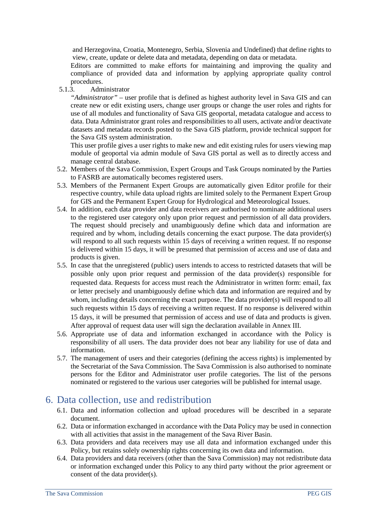and Herzegovina, Croatia, Montenegro, Serbia, Slovenia and Undefined) that define rights to view, create, update or delete data and metadata, depending on data or metadata.

Editors are committed to make efforts for maintaining and improving the quality and compliance of provided data and information by applying appropriate quality control procedures.

5.1.3. Administrator

*"Administrator"* – user profile that is defined as highest authority level in Sava GIS and can create new or edit existing users, change user groups or change the user roles and rights for use of all modules and functionality of Sava GIS geoportal, metadata catalogue and access to data. Data Administrator grant roles and responsibilities to all users, activate and/or deactivate datasets and metadata records posted to the Sava GIS platform, provide technical support for the Sava GIS system administration.

This user profile gives a user rights to make new and edit existing rules for users viewing map module of geoportal via admin module of Sava GIS portal as well as to directly access and manage central database.

- 5.2. Members of the Sava Commission, Expert Groups and Task Groups nominated by the Parties to FASRB are automatically becomes registered users.
- 5.3. Members of the Permanent Expert Groups are automatically given Editor profile for their respective country, while data upload rights are limited solely to the Permanent Expert Group for GIS and the Permanent Expert Group for Hydrological and Meteorological Issues.
- 5.4. In addition, each data provider and data receivers are authorised to nominate additional users to the registered user category only upon prior request and permission of all data providers. The request should precisely and unambiguously define which data and information are required and by whom, including details concerning the exact purpose. The data provider(s) will respond to all such requests within 15 days of receiving a written request. If no response is delivered within 15 days, it will be presumed that permission of access and use of data and products is given.
- 5.5. In case that the unregistered (public) users intends to access to restricted datasets that will be possible only upon prior request and permission of the data provider(s) responsible for requested data. Requests for access must reach the Administrator in written form: email, fax or letter precisely and unambiguously define which data and information are required and by whom, including details concerning the exact purpose. The data provider(s) will respond to all such requests within 15 days of receiving a written request. If no response is delivered within 15 days, it will be presumed that permission of access and use of data and products is given. After approval of request data user will sign the declaration available in Annex III.
- 5.6. Appropriate use of data and information exchanged in accordance with the Policy is responsibility of all users. The data provider does not bear any liability for use of data and information.
- 5.7. The management of users and their categories (defining the access rights) is implemented by the Secretariat of the Sava Commission. The Sava Commission is also authorised to nominate persons for the Editor and Administrator user profile categories. The list of the persons nominated or registered to the various user categories will be published for internal usage.

## <span id="page-5-0"></span>6. Data collection, use and redistribution

- 6.1. Data and information collection and upload procedures will be described in a separate document.
- 6.2. Data or information exchanged in accordance with the Data Policy may be used in connection with all activities that assist in the management of the Sava River Basin.
- 6.3. Data providers and data receivers may use all data and information exchanged under this Policy, but retains solely ownership rights concerning its own data and information.
- 6.4. Data providers and data receivers (other than the Sava Commission) may not redistribute data or information exchanged under this Policy to any third party without the prior agreement or consent of the data provider(s).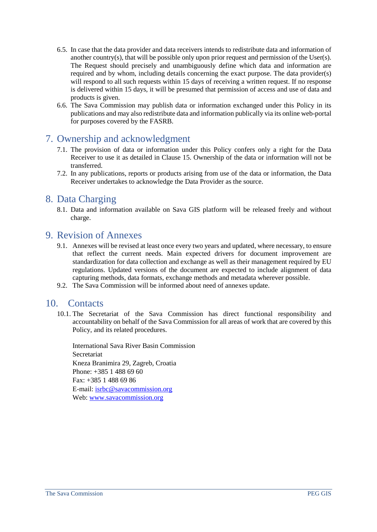- 6.5. In case that the data provider and data receivers intends to redistribute data and information of another country(s), that will be possible only upon prior request and permission of the User(s). The Request should precisely and unambiguously define which data and information are required and by whom, including details concerning the exact purpose. The data provider(s) will respond to all such requests within 15 days of receiving a written request. If no response is delivered within 15 days, it will be presumed that permission of access and use of data and products is given.
- 6.6. The Sava Commission may publish data or information exchanged under this Policy in its publications and may also redistribute data and information publically via its online web-portal for purposes covered by the FASRB.

## <span id="page-6-0"></span>7. Ownership and acknowledgment

- 7.1. The provision of data or information under this Policy confers only a right for the Data Receiver to use it as detailed in Clause 15. Ownership of the data or information will not be transferred.
- 7.2. In any publications, reports or products arising from use of the data or information, the Data Receiver undertakes to acknowledge the Data Provider as the source.

## <span id="page-6-1"></span>8. Data Charging

8.1. Data and information available on Sava GIS platform will be released freely and without charge.

## <span id="page-6-2"></span>9. Revision of Annexes

- 9.1. Annexes will be revised at least once every two years and updated, where necessary, to ensure that reflect the current needs. Main expected drivers for document improvement are standardization for data collection and exchange as well as their management required by EU regulations. Updated versions of the document are expected to include alignment of data capturing methods, data formats, exchange methods and metadata wherever possible.
- 9.2. The Sava Commission will be informed about need of annexes update.

## <span id="page-6-3"></span>10. Contacts

10.1. The Secretariat of the Sava Commission has direct functional responsibility and accountability on behalf of the Sava Commission for all areas of work that are covered by this Policy, and its related procedures.

International Sava River Basin Commission Secretariat Kneza Branimira 29, Zagreb, Croatia Phone: +385 1 488 69 60 Fax: +385 1 488 69 86 E-mail: [isrbc@savacommission.org](mailto:isrbc@savacommission.org)  Web: [www.savacommission.org](http://www.savacommission.org/)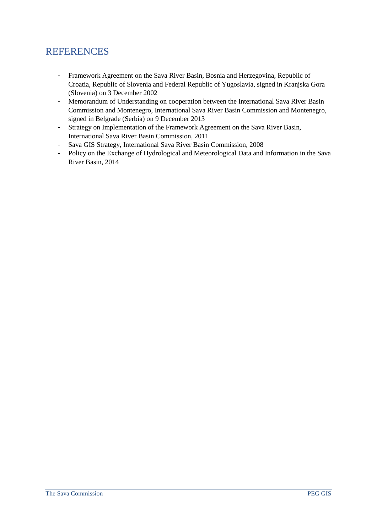## <span id="page-7-0"></span>**REFERENCES**

- Framework Agreement on the Sava River Basin, Bosnia and Herzegovina, Republic of Croatia, Republic of Slovenia and Federal Republic of Yugoslavia, signed in Kranjska Gora (Slovenia) on 3 December 2002
- Memorandum of Understanding on cooperation between the International Sava River Basin Commission and Montenegro, International Sava River Basin Commission and Montenegro, signed in Belgrade (Serbia) on 9 December 2013
- Strategy on Implementation of the Framework Agreement on the Sava River Basin, International Sava River Basin Commission, 2011
- Sava GIS Strategy, International Sava River Basin Commission, 2008
- Policy on the Exchange of Hydrological and Meteorological Data and Information in the Sava River Basin, 2014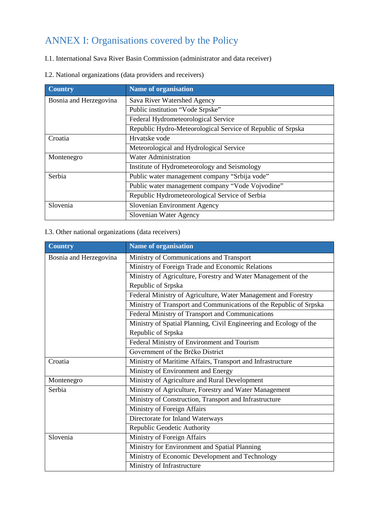## ANNEX I: Organisations covered by the Policy

I.1. International Sava River Basin Commission (administrator and data receiver)

|  |  | I.2. National organizations (data providers and receivers) |  |  |  |
|--|--|------------------------------------------------------------|--|--|--|
|--|--|------------------------------------------------------------|--|--|--|

| <b>Country</b>         | <b>Name of organisation</b>                                 |
|------------------------|-------------------------------------------------------------|
| Bosnia and Herzegovina | Sava River Watershed Agency                                 |
|                        | Public institution "Vode Srpske"                            |
|                        | Federal Hydrometeorological Service                         |
|                        | Republic Hydro-Meteorological Service of Republic of Srpska |
| Croatia                | Hrvatske vode                                               |
|                        | Meteorological and Hydrological Service                     |
| Montenegro             | <b>Water Administration</b>                                 |
|                        | Institute of Hydrometeorology and Seismology                |
| Serbia                 | Public water management company "Srbija vode"               |
|                        | Public water management company "Vode Vojvodine"            |
|                        | Republic Hydrometeorological Service of Serbia              |
| Slovenia               | Slovenian Environment Agency                                |
|                        | Slovenian Water Agency                                      |

#### I.3. Other national organizations (data receivers)

| <b>Country</b>         | <b>Name of organisation</b>                                        |
|------------------------|--------------------------------------------------------------------|
| Bosnia and Herzegovina | Ministry of Communications and Transport                           |
|                        | Ministry of Foreign Trade and Economic Relations                   |
|                        | Ministry of Agriculture, Forestry and Water Management of the      |
|                        | Republic of Srpska                                                 |
|                        | Federal Ministry of Agriculture, Water Management and Forestry     |
|                        | Ministry of Transport and Communications of the Republic of Srpska |
|                        | Federal Ministry of Transport and Communications                   |
|                        | Ministry of Spatial Planning, Civil Engineering and Ecology of the |
|                        | Republic of Srpska                                                 |
|                        | Federal Ministry of Environment and Tourism                        |
|                        | Government of the Brčko District                                   |
| Croatia                | Ministry of Maritime Affairs, Transport and Infrastructure         |
|                        | Ministry of Environment and Energy                                 |
| Montenegro             | Ministry of Agriculture and Rural Development                      |
| Serbia                 | Ministry of Agriculture, Forestry and Water Management             |
|                        | Ministry of Construction, Transport and Infrastructure             |
|                        | Ministry of Foreign Affairs                                        |
|                        | Directorate for Inland Waterways                                   |
|                        | Republic Geodetic Authority                                        |
| Slovenia               | Ministry of Foreign Affairs                                        |
|                        | Ministry for Environment and Spatial Planning                      |
|                        | Ministry of Economic Development and Technology                    |
|                        | Ministry of Infrastructure                                         |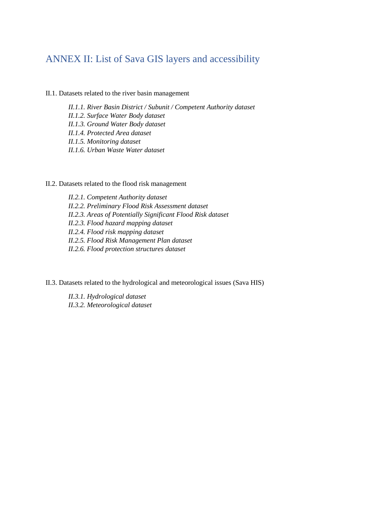## ANNEX II: List of Sava GIS layers and accessibility

#### II.1. Datasets related to the river basin management

*II.1.1. River Basin District / Subunit / Competent Authority dataset II.1.2. Surface Water Body dataset II.1.3. Ground Water Body dataset II.1.4. Protected Area dataset II.1.5. Monitoring dataset II.1.6. Urban Waste Water dataset*

#### II.2. Datasets related to the flood risk management

*II.2.1. Competent Authority dataset II.2.2. Preliminary Flood Risk Assessment dataset II.2.3. Areas of Potentially Significant Flood Risk dataset II.2.3. Flood hazard mapping dataset II.2.4. Flood risk mapping dataset II.2.5. Flood Risk Management Plan dataset II.2.6. Flood protection structures dataset*

II.3. Datasets related to the hydrological and meteorological issues (Sava HIS)

*II.3.1. Hydrological dataset II.3.2. Meteorological dataset*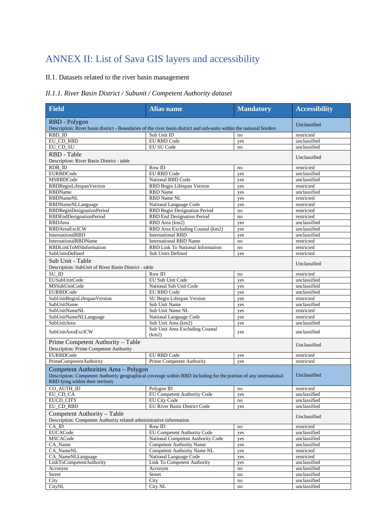## ANNEX II: List of Sava GIS layers and accessibility

### II.1. Datasets related to the river basin management

#### *II.1.1. River Basin District / Subunit / Competent Authority dataset*

| <b>Field</b>                                                                                                                                                                                 | <b>Alias</b> name                 | <b>Mandatory</b> | <b>Accessibility</b> |
|----------------------------------------------------------------------------------------------------------------------------------------------------------------------------------------------|-----------------------------------|------------------|----------------------|
| RBD - Polygon<br>Description: River basin district - Boundaries of the river basin district and sub-units within the national borders                                                        | Unclassified                      |                  |                      |
| RBD ID                                                                                                                                                                                       | Sub Unit ID                       | no               | restricted           |
| EU CD RBD                                                                                                                                                                                    | <b>EU RBD Code</b>                | yes              | unclassified         |
| EU CD SU                                                                                                                                                                                     | EU SU Code                        | no               | unclassified         |
| RBD - Table<br>Description: River Basin District - table                                                                                                                                     |                                   |                  | Unclassified         |
| RDB ID                                                                                                                                                                                       | Row ID                            | no               | restricted           |
| <b>EURBDCode</b>                                                                                                                                                                             | <b>EU RBD Code</b>                | yes              | unclassified         |
| <b>MSRBDCode</b>                                                                                                                                                                             | <b>National RBD Code</b>          | yes              | unclassified         |
| RBDBeginLifespanVersion                                                                                                                                                                      | RBD Begin Lifespan Version        | yes              | restricted           |
| <b>RBDName</b>                                                                                                                                                                               | <b>RBD</b> Name                   | yes              | unclassified         |
| <b>RBDNameNL</b>                                                                                                                                                                             | <b>RBD Name NL</b>                | yes              | restricted           |
| RBDNameNLLanguage                                                                                                                                                                            | National Language Code            | yes              | restricted           |
| RBDBeginDesignationPeriod                                                                                                                                                                    | RBD Begin Designation Period      | no               | restricted           |
| RBDEndDesignationPeriod                                                                                                                                                                      | RBD End Designation Period        | no               | restricted           |
| RBDArea                                                                                                                                                                                      | RBD Area (km2)                    | yes              | unclassified         |
| RBDAreaExclCW                                                                                                                                                                                | RBD Area Excluding Coastal (km2)  | yes              | unclassified         |
| InternationalRBD                                                                                                                                                                             | <b>International RBD</b>          | yes              | unclassified         |
| InternationalRBDName                                                                                                                                                                         | <b>International RBD Name</b>     | no               | restricted           |
| RBDLinkToMSInformation                                                                                                                                                                       | RBD Link To National Information  | no               | restricted           |
| SubUnitsDefined                                                                                                                                                                              | <b>Sub Units Defined</b>          | yes              | restricted           |
| Sub Unit - Table<br>Description: SubUnit of River Basin District - table                                                                                                                     |                                   |                  | Unclassified         |
| $SU$ ID                                                                                                                                                                                      | Row ID                            | no               | restricted           |
| EUSubUnitCode                                                                                                                                                                                | EU Sub Unit Code                  | yes              | unclassified         |
| <b>MSSubUnitCode</b>                                                                                                                                                                         | National Sub Unit Code            | yes              | unclassified         |
| <b>EURBDCode</b>                                                                                                                                                                             | <b>EU RBD Code</b>                | yes              | unclassified         |
| SubUnitBeginLifespanVersion                                                                                                                                                                  | SU Begin Lifespan Version         | yes              | restricted           |
| SubUnitName                                                                                                                                                                                  | Sub Unit Name                     | yes              | unclassified         |
| <b>SubUnitNameNL</b>                                                                                                                                                                         | Sub Unit Name NL                  | yes              | restricted           |
| SubUnitNameNLLanguage                                                                                                                                                                        | National Language Code            | yes              | restricted           |
| <b>SubUnitArea</b>                                                                                                                                                                           | Sub Unit Area (km2)               | yes              | unclassified         |
|                                                                                                                                                                                              | Sub Unit Area Excluding Coastal   |                  |                      |
| SubUnitAreaExclCW                                                                                                                                                                            | (km2)                             | yes              | unclassified         |
| Prime Competent Authority - Table<br>Description: Prime Competent Authority                                                                                                                  |                                   |                  | Unclassified         |
| <b>EURBDCode</b>                                                                                                                                                                             | EU RBD Code                       | yes              | restricted           |
| PrimeCompetentAuthority                                                                                                                                                                      | <b>Prime Competent Authority</b>  | yes              | restricted           |
| Competent Authorities Area - Polygon<br>Description: Competent Authority geographical coverage within RBD including for the portion of any international<br>RBD lying within their territory |                                   |                  | Unclassified         |
| CO AUTH ID                                                                                                                                                                                   | Polygon ID                        | no               | restricted           |
| EU_CD_CA                                                                                                                                                                                     | EU Competent Authority Code       | yes              | unclassified         |
| EUCD_CITY                                                                                                                                                                                    | <b>EU City Code</b>               | no               | unclassified         |
| EU_CD_RBD                                                                                                                                                                                    | EU River Basin District Code      | yes              | unclassified         |
| Competent Authority - Table<br>Description: Competent Authority related administrative information                                                                                           |                                   |                  | Unclassified         |
| $CA$ <sub>ID</sub>                                                                                                                                                                           | Row ID                            | no               | restricted           |
| <b>EUCACode</b>                                                                                                                                                                              | EU Competent Authority Code       | yes              | unclassified         |
| MSCACode                                                                                                                                                                                     | National Competent Authority Code | yes              | unclassified         |
| CA_Name                                                                                                                                                                                      | <b>Competent Authority Name</b>   | yes              | unclassified         |
| CA_NameNL                                                                                                                                                                                    | Competent Authority Name NL       | yes              | restricted           |
| CA_NameNLLanguage                                                                                                                                                                            | National Language Code            | yes              | restricted           |
| LinkToCompetentAuthority                                                                                                                                                                     | Link To Competent Authority       | yes              | unclassified         |
| Acronym                                                                                                                                                                                      | Acronym                           | no               | unclassified         |
| Street                                                                                                                                                                                       | Street                            | $\rm{no}$        | unclassified         |
| City                                                                                                                                                                                         | City                              | $\rm{no}$        | unclassified         |
| CityNL                                                                                                                                                                                       | City NL                           | no               | unclassified         |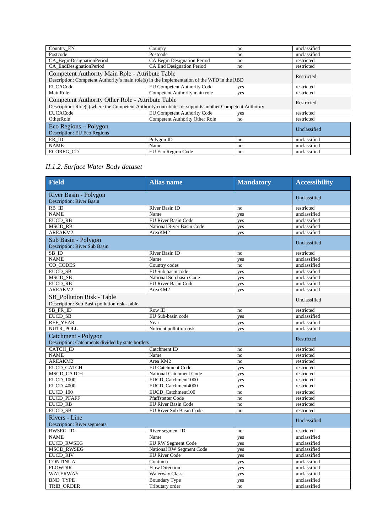| Country EN                                                                                             | Country                               | no  | unclassified |
|--------------------------------------------------------------------------------------------------------|---------------------------------------|-----|--------------|
| Postcode                                                                                               | Postcode                              | no  | unclassified |
| CA BeginDesignationPeriod                                                                              | CA Begin Designation Period           | no  | restricted   |
| CA EndDesignationPeriod                                                                                | CA End Designation Period             | no  | restricted   |
| Competent Authority Main Role - Attribute Table                                                        |                                       |     | Restricted   |
| Description: Competent Authority's main role(s) in the implementation of the WFD in the RBD            |                                       |     |              |
| <b>EUCACode</b>                                                                                        | <b>EU Competent Authority Code</b>    | ves | restricted   |
| MainRole                                                                                               | Competent Authority main role         | yes | restricted   |
| Competent Authority Other Role - Attribute Table                                                       |                                       |     | Restricted   |
| Description: Role(s) where the Competent Authority contributes or supports another Competent Authority |                                       |     |              |
| <b>EUCACode</b>                                                                                        | EU Competent Authority Code           | yes | restricted   |
| OtherRole                                                                                              | <b>Competent Authority Other Role</b> | no  | restricted   |
| Eco Regions – Polygon                                                                                  | Unclassified                          |     |              |
| Description: EU Eco Regions                                                                            |                                       |     |              |
| ER ID                                                                                                  | Polygon ID                            | no  | unclassified |
| <b>NAME</b>                                                                                            | Name                                  | no  | unclassified |
| <b>ECOREG CD</b>                                                                                       | EU Eco Region Code                    | no  | unclassified |

## *II.1.2. Surface Water Body dataset*

| <b>Field</b>                                                               | <b>Alias name</b>          | <b>Mandatory</b> | <b>Accessibility</b> |
|----------------------------------------------------------------------------|----------------------------|------------------|----------------------|
| River Basin - Polygon<br><b>Description: River Basin</b>                   | Unclassified               |                  |                      |
| $RB$ <sub>ID</sub>                                                         | River Basin ID             | no               | restricted           |
| <b>NAME</b>                                                                | Name                       | yes              | unclassified         |
| <b>EUCD RB</b>                                                             | <b>EU River Basin Code</b> | yes              | unclassified         |
| <b>MSCD RB</b>                                                             | National River Basin Code  | yes              | unclassified         |
| AREAKM2                                                                    | AreaKM2                    | yes              | unclassified         |
| Sub Basin - Polygon<br>Description: River Sub Basin                        |                            |                  | Unclassified         |
| SB ID                                                                      | River Basin ID             | no               | restricted           |
| <b>NAME</b>                                                                | Name                       | yes              | unclassified         |
| CO_CODES                                                                   | Country codes              | no               | unclassified         |
| <b>EUCD SB</b>                                                             | EU Sub basin code          | yes              | unclassified         |
| MSCD SB                                                                    | National Sub basin Code    | yes              | unclassified         |
| <b>EUCD RB</b>                                                             | EU River Basin Code        | yes              | unclassified         |
| AREAKM2                                                                    | AreaKM2                    | yes              | unclassified         |
| SB Pollution Risk - Table<br>Description: Sub Basin pollution risk - table |                            |                  | Unclassified         |
| SB_PR_ID                                                                   | Row ID                     | no               | restricted           |
| EUCD_SB                                                                    | EU Sub-basin code          | yes              | unclassified         |
| <b>REF_YEAR</b>                                                            | Year                       | yes              | unclassified         |
| NUTR_POLL                                                                  | Nutrient pollution risk    | yes              | unclassified         |
| Catchment - Polygon<br>Description: Catchments divided by state borders    |                            |                  | Restricted           |
| <b>CATCH ID</b>                                                            | Catchment ID               | no               | restricted           |
| <b>NAME</b>                                                                | Name                       | no               | restricted           |
| AREAKM2                                                                    | Area KM2                   | no               | restricted           |
| <b>EUCD CATCH</b>                                                          | <b>EU Catchment Code</b>   | yes              | restricted           |
| <b>MSCD CATCH</b>                                                          | National Catchment Code    | yes              | restricted           |
| <b>EUCD_1000</b>                                                           | EUCD Catchment1000         | yes              | restricted           |
| <b>EUCD 4000</b>                                                           | EUCD Catchment4000         | yes              | restricted           |
| EUCD 100                                                                   | EUCD Catchment100          | no               | restricted           |
| <b>EUCD_PFAFF</b>                                                          | Pfaffstetter Code          | no               | restricted           |
| <b>EUCD RB</b>                                                             | EU River Basin Code        | no               | restricted           |
| EUCD_SB                                                                    | EU River Sub Basin Code    | no               | restricted           |
| Rivers - Line<br>Description: River segments                               |                            |                  | Unclassified         |
| <b>RWSEG ID</b>                                                            | River segment ID           | no               | restricted           |
| <b>NAME</b>                                                                | Name                       | yes              | unclassified         |
| <b>EUCD RWSEG</b>                                                          | <b>EU RW Segment Code</b>  | yes              | unclassified         |
| <b>MSCD RWSEG</b>                                                          | National RW Segment Code   | yes              | unclassified         |
| <b>EUCD_RIV</b>                                                            | <b>EU River Code</b>       | yes              | unclassified         |
| <b>CONTINUA</b>                                                            | Continua                   | yes              | unclassified         |
| <b>FLOWDIR</b>                                                             | <b>Flow Direction</b>      | yes              | unclassified         |
| WATERWAY                                                                   | <b>Waterway Class</b>      | yes              | unclassified         |
| <b>BND_TYPE</b>                                                            | <b>Boundary Type</b>       | yes              | unclassified         |
| TRIB_ORDER                                                                 | Tributary order            | no               | unclassified         |
|                                                                            |                            |                  |                      |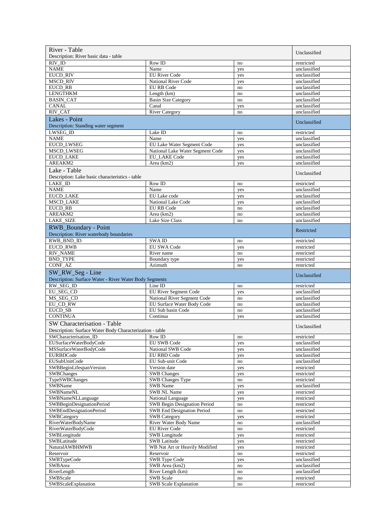| River - Table                                                              | Unclassified                                                             |                     |                            |
|----------------------------------------------------------------------------|--------------------------------------------------------------------------|---------------------|----------------------------|
| Description: River basic data - table                                      |                                                                          |                     |                            |
| RIV ID<br><b>NAME</b>                                                      | Row ID<br>Name                                                           | no                  | restricted<br>unclassified |
| <b>EUCD RIV</b>                                                            | <b>EU River Code</b>                                                     | yes<br>yes          | unclassified               |
| <b>MSCD RIV</b>                                                            | <b>National River Code</b>                                               | yes                 | unclassified               |
| EUCD_RB                                                                    | EU RB Code                                                               | no                  | unclassified               |
| <b>LENGTHKM</b>                                                            | Length (km)                                                              | no                  | unclassified               |
| <b>BASIN_CAT</b>                                                           | <b>Basin Size Category</b>                                               | no                  | unclassified               |
| <b>CANAL</b>                                                               | Canal                                                                    | yes                 | unclassified               |
| RIV_CAT                                                                    | <b>River Category</b>                                                    | no                  | unclassified               |
| Lakes - Point<br>Description: Standing water segment                       |                                                                          |                     | Unclassified               |
| LWSEG_ID                                                                   | Lake $\overline{ID}$                                                     | no                  | restricted                 |
| <b>NAME</b>                                                                | Name                                                                     | yes                 | unclassified               |
| <b>EUCD_LWSEG</b>                                                          | EU Lake Water Segment Code                                               | yes                 | unclassified               |
| <b>MSCD LWSEG</b>                                                          | National Lake Water Segment Code                                         | yes                 | unclassified               |
| <b>EUCD LAKE</b>                                                           | <b>EU LAKE Code</b>                                                      | yes                 | unclassified               |
| AREAKM2                                                                    | Area (km2)                                                               | yes                 | unclassified               |
| Lake - Table<br>Description: Lake basic characteristics - table            |                                                                          |                     | Unclassified               |
| <b>LAKE ID</b>                                                             | Row ID                                                                   | no                  | restricted                 |
| <b>NAME</b>                                                                | Name                                                                     | yes                 | unclassified               |
| <b>EUCD LAKE</b>                                                           | EU Lake code                                                             | yes                 | unclassified               |
| <b>MSCD_LAKE</b>                                                           | National Lake Code                                                       | yes                 | unclassified               |
| <b>EUCD RB</b>                                                             | EU RB Code                                                               | no                  | unclassified               |
| AREAKM2                                                                    | Area (km2)                                                               | no                  | unclassified               |
| <b>LAKE_SIZE</b>                                                           | Lake Size Class                                                          | no                  | unclassified               |
| RWB_Boundary - Point<br>Description: River waterbody boundaries            |                                                                          |                     | Restricted                 |
| RWB_BND_ID                                                                 | SWA ID                                                                   | no                  | restricted                 |
| EUCD_RWB                                                                   | <b>EU SWA Code</b>                                                       | yes                 | restricted                 |
| RIV_NAME                                                                   | River name                                                               | no                  | restricted                 |
| <b>BND TYPE</b>                                                            | Boundary type                                                            | yes                 | restricted                 |
| <b>CONF_AZ</b>                                                             | Azimuth                                                                  | no                  | restricted                 |
|                                                                            |                                                                          |                     |                            |
| SW_RW_Seg - Line<br>Description: Surface Water - River Water Body Segments |                                                                          |                     | Unclassified               |
| RW_SEG_ID                                                                  | Line ID                                                                  | no                  | restricted                 |
| EU_SEG_CD                                                                  | EU River Segment Code                                                    | yes                 | unclassified               |
| MS_SEG_CD                                                                  | National River Segment Code                                              | no                  | unclassified               |
| EU_CD_RW                                                                   | EU Surface Water Body Code                                               | no                  | unclassified               |
| EUCD SB                                                                    | EU Sub basin Code                                                        | no                  | unclassified               |
| <b>CONTINUA</b>                                                            | Continua                                                                 | yes                 | unclassified               |
| SW Characterisation - Table                                                |                                                                          |                     | Unclassified               |
| Description: Surface Water Body Characterization - table                   |                                                                          |                     |                            |
| SWCharacterisation ID                                                      | Row ID<br><b>EU SWB Code</b>                                             | no                  | restricted<br>unclassified |
| EUSurfaceWaterBodyCode<br>MSSurfaceWaterBodyCode                           | National SWB Code                                                        | yes<br>yes          | unclassified               |
| <b>EURBDCode</b>                                                           | <b>EU RBD Code</b>                                                       | yes                 | unclassified               |
| <b>EUSubUnitCode</b>                                                       | EU Sub-unit Code                                                         | no                  | unclassified               |
| SWBBeginLifespanVersion                                                    | Version date                                                             | yes                 | restricted                 |
| SWBChanges                                                                 | <b>SWB Changes</b>                                                       | yes                 | restricted                 |
| TypeSWBChanges                                                             | SWB Changes Type                                                         | $\rm{no}$           | restricted                 |
| SWBName                                                                    | <b>SWB</b> Name                                                          | yes                 | unclassified               |
| SWBNameNL                                                                  | SWB NL Name                                                              | yes                 | restricted                 |
| SWBNameNLLanguage                                                          | National Language                                                        | yes                 | restricted                 |
| SWBBeginDesignationPeriod<br>SWBEndDesignationPeriod                       | <b>SWB</b> Begin Designation Period<br><b>SWB End Designation Period</b> | no<br>no            | restricted<br>restricted   |
| SWBCategory                                                                | <b>SWB Category</b>                                                      | yes                 | restricted                 |
| RiverWaterBodyName                                                         | River Water Body Name                                                    | no                  | unclassified               |
| RiverWaterBodyCode                                                         | <b>EU</b> River Code                                                     | $\operatorname{no}$ | restricted                 |
| SWBLongitude                                                               | SWB Longitude                                                            | yes                 | restricted                 |
| SWBLatitude                                                                | <b>SWB</b> Latitude                                                      | yes                 | restricted                 |
| NaturalAWBHMWB                                                             | WB Nat Art or Heavily Modified                                           | yes                 | restricted                 |
| Reservoir                                                                  | Reservoir                                                                | no                  | restricted                 |
| SWBTypeCode                                                                | <b>SWB Type Code</b>                                                     | yes                 | unclassified               |
| <b>SWBArea</b>                                                             | SWB Area (km2)                                                           | no                  | unclassified               |
| RiverLength<br>SWBScale                                                    | River Length (km)<br><b>SWB Scale</b>                                    | no<br>no            | unclassified<br>restricted |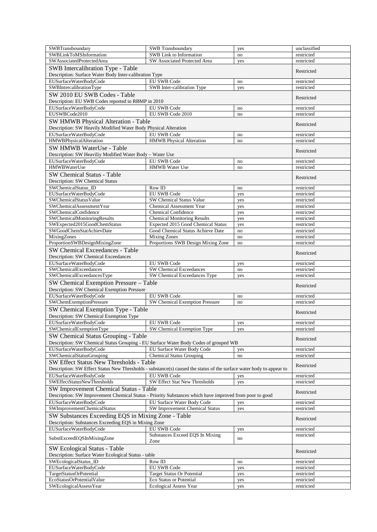| SWBTransboundary                                                                                                     | <b>SWB</b> Transboundary                              | yes        | unclassified             |
|----------------------------------------------------------------------------------------------------------------------|-------------------------------------------------------|------------|--------------------------|
| SWBLinkToMSInformation                                                                                               | SWB Link to Information                               | no         | restricted               |
| SWAssociatedProtectedArea                                                                                            | SW Associated Protected Area                          | yes        | restricted               |
| SWB Intercalibration Type - Table                                                                                    |                                                       |            | Restricted               |
| Description: Surface Water Body Inter-calibration Type                                                               |                                                       |            |                          |
| EUSurfaceWaterBodyCode                                                                                               | <b>EU SWB Code</b>                                    | no         | restricted               |
| SWBIntercalibrationType                                                                                              | SWB Inter-calibration Type                            | yes        | restricted               |
| SW 2010 EU SWB Codes - Table                                                                                         |                                                       |            | Restricted               |
| Description: EU SWB Codes reported in RBMP in 2010                                                                   |                                                       |            |                          |
| EUSurfaceWaterBodyCode                                                                                               | EU SWB Code                                           | no         | restricted               |
| EUSWBCode2010                                                                                                        | EU SWB Code 2010                                      | no         | restricted               |
| SW HMWB Physical Alteration - Table                                                                                  |                                                       |            | Restricted               |
| Description: SW Heavily Modified Water Body Physical Alteration                                                      |                                                       |            |                          |
| EUSurfaceWaterBodyCode<br>HMWBPhysicalAlteration                                                                     | <b>EU SWB Code</b><br><b>HMWB</b> Physical Alteration | no<br>no   | restricted<br>restricted |
|                                                                                                                      |                                                       |            |                          |
| SW HMWB WaterUse - Table<br>Description: SW Heaviliy Modified Water Body - Water Use                                 |                                                       |            | Restricted               |
| EUSurfaceWaterBodyCode                                                                                               | EU SWB Code                                           | no         | restricted               |
| <b>HMWBWaterUse</b>                                                                                                  | <b>HMWB</b> Water Use                                 | no         | restricted               |
| <b>SW Chemical Status - Table</b>                                                                                    |                                                       |            |                          |
| Description: SW Chemical Status                                                                                      |                                                       |            | Restricted               |
| SWChemicalStatus_ID                                                                                                  | Row ID                                                | no         | restricted               |
| EUSurfaceWaterBodyCode                                                                                               | <b>EU SWB Code</b>                                    | yes        | restricted               |
| SWChemicalStatusValue                                                                                                | <b>SW Chemical Status Value</b>                       | yes        | restricted               |
| SWChemicalAssessmentYear                                                                                             | <b>Chemical Assessment Year</b>                       | yes        | restricted               |
| SWChemicalConfidence                                                                                                 | <b>Chemical Confidence</b>                            | yes        | restricted               |
| SWChemicalMonitoringResults                                                                                          | <b>Chemical Monitoring Results</b>                    | yes        | restricted               |
| SWExpected2015GoodChemStatus                                                                                         | Expected 2015 Good Chemical Status                    | yes        | restricted               |
| SWGoodChemStatAchievDate                                                                                             | Good Chemical Status Achieve Date                     | no         | restricted               |
| MixingZones                                                                                                          | <b>Mixing Zones</b>                                   | no         | restricted               |
| ProportionSWBDesignMixingZone                                                                                        | Proportions SWB Design Mixing Zone                    | no         | restricted               |
| SW Chemical Exceedances - Table                                                                                      |                                                       |            | Restricted               |
| Description: SW Chemical Exceedances                                                                                 |                                                       |            |                          |
| EUSurfaceWaterBodyCode<br>SWChemicalExceedances                                                                      | <b>EU SWB Code</b><br>SW Chemical Exceedances         | yes        | restricted<br>restricted |
| SWChemicalExceedancesType                                                                                            | SW Chemical Exceedances Type                          | no<br>yes  | restricted               |
| SW Chemical Exemption Pressure - Table                                                                               |                                                       |            |                          |
| Description: SW Chemical Exemption Pressure                                                                          |                                                       |            | Restricted               |
| EUSurfaceWaterBodyCode                                                                                               | <b>EU SWB Code</b>                                    | no         | restricted               |
| SWChemExemptionPressure                                                                                              | SW Chemical Exemption Pressure                        | no         | restricted               |
| SW Chemical Exemption Type - Table                                                                                   |                                                       |            |                          |
| Description: SW Chemical Exemption Type                                                                              |                                                       |            | Restricted               |
| EUSurfaceWaterBodyCode                                                                                               | <b>EU SWB Code</b>                                    | yes        | restricted               |
| SWChemicalExemptionType                                                                                              | SW Chemical Exemption Type                            | yes        | restricted               |
| SW Chemical Status Grouping - Table                                                                                  |                                                       |            |                          |
| Description: SW Chemical Status Grouping - EU Surface Water Body Codes of grouped WB                                 |                                                       |            | Restricted               |
| EUSurfaceWaterBodyCode                                                                                               | EU Surface Water Body Code                            | yes        | restricted               |
| SWChemicalStatusGrouping                                                                                             | <b>Chemical Status Grouping</b>                       | no         | restricted               |
| SW Effect Status New Thresholds - Table                                                                              |                                                       |            | Restricted               |
| Description: SW Effect Status New Thresholds - substance(s) caused the status of the surface water body to appear to |                                                       |            |                          |
| EUSurfaceWaterBodvCode                                                                                               | <b>EU SWB Code</b>                                    | yes        | restricted               |
| SWEffectStatusNewThresholds                                                                                          | SW Effect Stat New Thresholds                         | yes        | restricted               |
| SW Improvement Chemical Status - Table                                                                               |                                                       |            | Restricted               |
| Description: SW Improvement Chemical Status - Priority Substances which have improved from poor to good              |                                                       |            |                          |
| EUSurfaceWaterBodyCode                                                                                               | EU Surface Water Body Code                            | yes        | restricted               |
| SWImprovementChemicalStatus                                                                                          | SW Improvement Chemical Status                        | yes        | restricted               |
| SW Substances Exceeding EQS in Mixing Zone - Table                                                                   |                                                       |            | Restricted               |
| Description: Substances Exceeding EQS in Mixing Zone                                                                 |                                                       |            |                          |
| EUSurfaceWaterBodyCode                                                                                               | EU SWB Code                                           | yes        | restricted               |
| SubstExceedEQSInMixingZone                                                                                           | Substances Exceed EQS In Mixing                       | no         | restricted               |
|                                                                                                                      | Zone                                                  |            |                          |
| <b>SW Ecological Status - Table</b>                                                                                  |                                                       |            | Restricted               |
| Description: Surface Water Ecological Status - table                                                                 |                                                       |            |                          |
| SWEcologicalStatus_ID                                                                                                | Row ID                                                | no         | restricted               |
| EUSurfaceWaterBodyCode<br>TargetStatusOrPotential                                                                    | EU SWB Code<br><b>Target Status Or Potential</b>      | yes<br>yes | restricted<br>restricted |
| EcoStatusOrPotentialValue                                                                                            | Eco Status or Potential                               | yes        | restricted               |
| SWEcologicalAssessYear                                                                                               | Ecological Assess Year                                | yes        | restricted               |
|                                                                                                                      |                                                       |            |                          |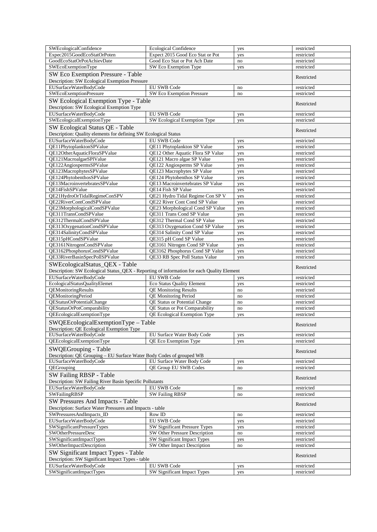| <b>SWEcologicalConfidence</b>                                                                                               | <b>Ecological Confidence</b>                                      | yes        | restricted               |
|-----------------------------------------------------------------------------------------------------------------------------|-------------------------------------------------------------------|------------|--------------------------|
| Expec2015GoodEcoStatOrPoten                                                                                                 | Expect 2015 Good Eco Stat or Pot                                  | yes        | restricted               |
| GoodEcoStatOrPotAchievDate                                                                                                  | Good Eco Stat or Pot Ach Date                                     | no         | restricted               |
| SWEcoExemptionType                                                                                                          | SW Eco Exemption Type                                             | yes        | restricted               |
| SW Eco Exemption Pressure - Table                                                                                           | Restricted                                                        |            |                          |
| Description: SW Ecological Exemption Pressure                                                                               |                                                                   |            |                          |
| EUSurfaceWaterBodyCode                                                                                                      | EU SWB Code                                                       | no         | restricted               |
| SWEcoExemptionPressure                                                                                                      | SW Eco Exemption Pressure                                         | no         | restricted               |
| SW Ecological Exemption Type - Table<br>Description: SW Ecological Exemption Type                                           |                                                                   |            | Restricted               |
| EUSurfaceWaterBodyCode                                                                                                      | EU SWB Code                                                       | yes        | restricted               |
| SWEcologicalExemptionType                                                                                                   | SW Ecological Exemption Type                                      | yes        | restricted               |
| SW Ecological Status QE - Table                                                                                             |                                                                   |            |                          |
| Description: Quality elements for defining SW Ecological Status                                                             |                                                                   |            | Restricted               |
| EUSurfaceWaterBodyCode                                                                                                      | <b>EU SWB Code</b>                                                | yes        | restricted               |
| QE11PhytoplanktonSPValue                                                                                                    | QE11 Phytoplankton SP Value                                       | yes        | restricted               |
| QE12OtherAquaticFloraSPValue                                                                                                | QE12 Other Aquatic Flora SP Value                                 | yes        | restricted               |
| QE121MacroalgaeSPlValue                                                                                                     | QE121 Macro algae SP Value                                        | yes        | restricted               |
| QE122AngiospermsSPValue                                                                                                     | QE122 Angiosperms SP Value                                        | yes        | restricted               |
| QE123MacrophytesSPValue                                                                                                     | QE123 Macrophytes SP Value                                        | yes        | restricted               |
| QE124PhytobenthosSPValue                                                                                                    | QE124 Phytobenthos SP Value                                       | yes        | restricted               |
| OE13MacroinvertebratesSPValue                                                                                               | QE13 Macroinvertebrates SP Value                                  | yes        | restricted               |
| QE14FishSPValue                                                                                                             | QE14 Fish SP Value                                                | yes        | restricted               |
| QE21HydroOrTidalRegimeConSPV<br>QE22RiverContCondSPValue                                                                    | QE21 Hydro Tidal Regime Con SP V<br>QE22 River Cont Cond SP Value | yes        | restricted               |
| OE23MorphologicalCondSPValue                                                                                                | QE23 Morphological Cond SP Value                                  | yes<br>yes | restricted<br>restricted |
| QE311TransCondSPValue                                                                                                       | QE311 Trans Cond SP Value                                         | yes        | restricted               |
| QE312ThermalCondSPValue                                                                                                     | QE312 Thermal Cond SP Value                                       | yes        | restricted               |
| QE313OxygenationCondSPValue                                                                                                 | QE313 Oxygenation Cond SP Value                                   | yes        | restricted               |
| QE314SalinityCondSPValue                                                                                                    | QE314 Salinity Cond SP Value                                      | yes        | restricted               |
| QE315pHCondSPValue                                                                                                          | QE315 pH Cond SP Value                                            | yes        | restricted               |
| QE3161NitrogenCondSPValue                                                                                                   | QE3161 Nitrogen Cond SP Value                                     | yes        | restricted               |
| QE3162PhosphorusCondSPValue                                                                                                 | QE3162 Phosphorus Cond SP Value                                   | yes        | restricted               |
|                                                                                                                             |                                                                   |            |                          |
| QE33RiverBasinSpecPollSPValue                                                                                               | QE33 RB Spec Poll Status Value                                    | yes        | restricted               |
|                                                                                                                             |                                                                   |            |                          |
| SWEcologicalStatus_QEX - Table<br>Description: SW Ecological Status_QEX - Reporting of information for each Quality Element |                                                                   |            | Restricted               |
| EUSurfaceWaterBodyCode                                                                                                      | <b>EU SWB Code</b>                                                | yes        | restricted               |
| EcologicalStatusQualityElemet                                                                                               | <b>Eco Status Quality Element</b>                                 | yes        | restricted               |
| QEMonitoringResults                                                                                                         | <b>OE Monitoring Results</b>                                      | no         | restricted               |
| QEMonitoringPeriod                                                                                                          | <b>QE Monitoring Period</b>                                       | no         | restricted               |
| QEStatusOrPotentialChange                                                                                                   | <b>QE Status or Potential Change</b>                              | no         | restricted               |
| <b>OEStatusOrPotComparability</b>                                                                                           | QE Status or Pot Comparability                                    | no         | restricted               |
| QEEcologicalExemptionType                                                                                                   | QE Ecological Exemption Type                                      | yes        | restricted               |
| SWQEEcologicalExemptionType - Table<br>Description: QE Ecological Exemption Type                                            |                                                                   |            | Restricted               |
| EUSurfaceWaterBodyCode                                                                                                      | EU Surface Water Body Code                                        | yes        | restricted               |
| QEEcologicalExemptionType                                                                                                   | QE Eco Exemption Type                                             | yes        | restricted               |
| SWQEGrouping - Table<br>Description: QE Grouping – EU Surface Water Body Codes of grouped WB                                |                                                                   |            | Restricted               |
| EUSurfaceWaterBodyCode                                                                                                      | EU Surface Water Body Code                                        | yes        | restricted               |
| QEGrouping                                                                                                                  | <b>OE Group EU SWB Codes</b>                                      | no         | restricted               |
| SW Failing RBSP - Table<br>Description: SW Failing River Basin Specific Pollutants                                          |                                                                   |            | Restricted               |
| EUSurfaceWaterBodyCode                                                                                                      | EU SWB Code                                                       | no         | restricted               |
| SWFailingRBSP                                                                                                               | <b>SW Failing RBSP</b>                                            | no         | restricted               |
| SW Pressures And Impacts - Table                                                                                            |                                                                   |            | Restricted               |
| Description: Surface Water Pressures and Impacts - table<br>SWPressuresAndImpacts_ID                                        | Row ID                                                            | no         | restricted               |
| EUSurfaceWaterBodyCode                                                                                                      | EU SWB Code                                                       | yes        | restricted               |
| SWSignificantPressureTypes                                                                                                  | SW Significant Pressure Types                                     | yes        | restricted               |
| SWOtherPressureDesc                                                                                                         | SW Other Pressure Description                                     | no         | restricted               |
| SWSignificantImpactTypes                                                                                                    | SW Significant Impact Types                                       | yes        | restricted               |
| SWOtherImpactDescription                                                                                                    | SW Other Impact Description                                       | no         | restricted               |
| SW Significant Impact Types - Table                                                                                         |                                                                   |            | Restricted               |
| Description: SW Significant Impact Types - table<br>EUSurfaceWaterBodyCode                                                  | EU SWB Code                                                       | yes        | restricted               |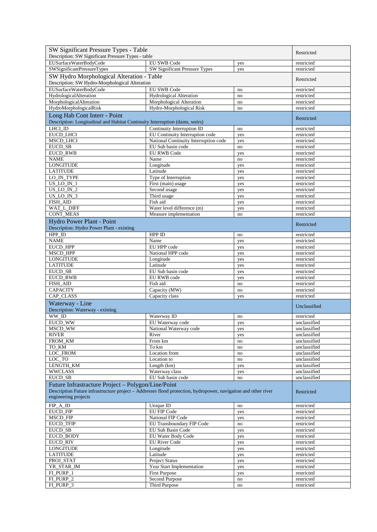| SW Significant Pressure Types - Table                                                                          | Restricted                                     |                        |                              |
|----------------------------------------------------------------------------------------------------------------|------------------------------------------------|------------------------|------------------------------|
| Description: SW Significant Pressure Types - table                                                             |                                                |                        |                              |
| EUSurfaceWaterBodyCode                                                                                         | EU SWB Code                                    | yes                    | restricted                   |
| SWSignificantPressureTypes                                                                                     | SW Significant Pressure Types                  | yes                    | restricted                   |
| SW Hydro Morphological Alteration - Table<br>Description: SW Hydro-Morphological Alteration                    | Restricted                                     |                        |                              |
| EUSurfaceWaterBodyCode                                                                                         | <b>EU SWB Code</b>                             | no                     | restricted                   |
| HydrologicalAlteration                                                                                         | <b>Hydrological Alteration</b>                 | no                     | restricted                   |
| MorphologicalAlteration                                                                                        | Morphological Alteration                       | no                     | restricted                   |
| HydroMorphologicalRisk                                                                                         | Hydro-Morphological Risk                       | no                     | restricted                   |
| Long Hab Cont Interr - Point                                                                                   |                                                |                        | Restricted                   |
| Description: Longitudinal and Habitat Continuity Interruption (dams, weirs)                                    |                                                |                        |                              |
| LHCI_ID                                                                                                        | Continuity Interruption ID                     | no                     | restricted                   |
| EUCD_LHCI                                                                                                      | EU Continuity Interruption code                | yes                    | restricted                   |
| <b>MSCD LHCI</b>                                                                                               | National Continuity Interruption code          | yes                    | restricted                   |
| <b>EUCD SB</b>                                                                                                 | EU Sub basin code                              | no                     | restricted                   |
| <b>EUCD RWB</b><br><b>NAME</b>                                                                                 | <b>EU RWB Code</b><br>Name                     | yes<br>no              | restricted<br>restricted     |
| <b>LONGITUDE</b>                                                                                               | Longitude                                      | yes                    | restricted                   |
| <b>LATITUDE</b>                                                                                                | Latitude                                       | yes                    | restricted                   |
| LO_IN_TYPE                                                                                                     | Type of Interruption                           | yes                    | restricted                   |
| US LO IN 1                                                                                                     | First (main) usage                             | yes                    | restricted                   |
| US LO IN 2                                                                                                     | Second usage                                   | yes                    | restricted                   |
| US LO IN 3                                                                                                     | Third usage                                    | yes                    | restricted                   |
| FISH_AID                                                                                                       | Fish aid                                       | yes                    | restricted                   |
| WAT_L_DIFF                                                                                                     | Water level difference (m)                     | yes                    | restricted                   |
| <b>CONT_MEAS</b>                                                                                               | Measure implementation                         | no                     | restricted                   |
| Hydro Power Plant - Point<br>Description: Hydro Power Plant - existing                                         |                                                |                        | Restricted                   |
| $HPP$ _ID                                                                                                      | HPP ID                                         | no                     | restricted                   |
| <b>NAME</b>                                                                                                    | Name                                           | yes                    | restricted                   |
| EUCD_HPP                                                                                                       | EU HPP code                                    | yes                    | restricted                   |
| MSCD_HPP                                                                                                       | National HPP code                              | yes                    | restricted                   |
| <b>LONGITUDE</b>                                                                                               | Longitude                                      | yes                    | restricted                   |
| <b>LATITUDE</b>                                                                                                | Latitude                                       | yes                    | restricted                   |
| EUCD_SB                                                                                                        | EU Sub basin code                              | yes                    | restricted                   |
| EUCD_RWB<br>FISH_AID                                                                                           | EU RWB code<br>Fish aid                        | yes<br>no              | restricted<br>restricted     |
| <b>CAPACITY</b>                                                                                                | Capacity (MW)                                  | no                     | restricted                   |
| CAP_CLASS                                                                                                      | Capacity class                                 | yes                    | restricted                   |
| Waterway - Line                                                                                                |                                                |                        |                              |
| Description: Waterway - existing                                                                               |                                                |                        | Unclassified                 |
| WW ID                                                                                                          | Waterway ID                                    | no                     | restricted                   |
| EUCD_WW                                                                                                        | EU Waterway code                               | yes                    | unclassified                 |
| MSCD_WW                                                                                                        | National Waterway code                         | yes                    | unclassified                 |
| RIVER                                                                                                          | River                                          | yes                    | unclassified                 |
| FROM_KM                                                                                                        | From km                                        | no                     | unclassified                 |
| TO KM                                                                                                          | To km                                          | $\mathop{\mathrm{no}}$ | unclassified                 |
| LOC_FROM                                                                                                       | Location from                                  | no                     | unclassified                 |
| LOC_TO<br>LENGTH_KM                                                                                            | Location to<br>Length (km)                     | no                     | unclassified<br>unclassified |
| <b>WWCLASS</b>                                                                                                 | Waterway class                                 | yes<br>yes             | unclassified                 |
| EUCD_SB                                                                                                        | EU Sub basin code                              | no                     | unclassified                 |
| Future Infrastracture Project - Polygon/Line/Point                                                             |                                                |                        |                              |
| Description Future infrastructure project – Addresses flood protection, hydropower, navigation and other river |                                                |                        | Restricted                   |
| engineering projects                                                                                           |                                                |                        |                              |
| FIP_A_ID                                                                                                       | Unique ID                                      | no                     | restricted                   |
| EUCD_FIP                                                                                                       | <b>EU FIP Code</b>                             | yes                    | restricted                   |
| MSCD_FIP                                                                                                       | National FIP Code                              | yes                    | restricted                   |
| <b>EUCD_TFIP</b><br>EUCD_SB                                                                                    | EU Transboundary FIP Code<br>EU Sub Basin Code | no                     | restricted                   |
| EUCD_BODY                                                                                                      | EU Water Body Code                             | yes<br>yes             | restricted<br>restricted     |
| <b>EUCD_RIV</b>                                                                                                | <b>EU</b> River Code                           | yes                    | restricted                   |
| <b>LONGITUDE</b>                                                                                               | Longitude                                      | yes                    | restricted                   |
| <b>LATITUDE</b>                                                                                                | Latitude                                       | yes                    | restricted                   |
| PROJ_STAT                                                                                                      | <b>Project Status</b>                          | yes                    | restricted                   |
| YR_STAR_IM                                                                                                     | Year Start Implementation                      | yes                    | restricted                   |
| FI_PURP_1                                                                                                      | <b>First Purpose</b>                           | yes                    | restricted                   |
| FLPURP_2                                                                                                       | Second Purpose                                 | no                     | restricted                   |
| FI_PURP_3                                                                                                      | Third Purpose                                  | no                     | restricted                   |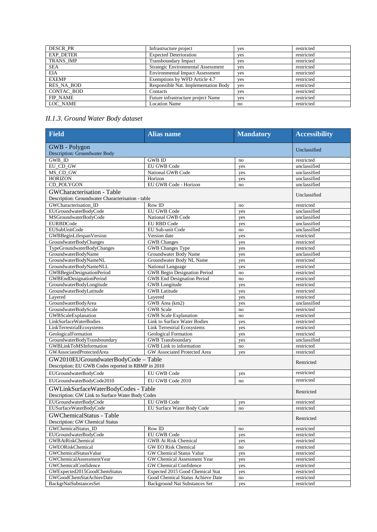| <b>DESCR PR</b>   | Infrastructure project                 | yes | restricted |
|-------------------|----------------------------------------|-----|------------|
| <b>EXP DETER</b>  | <b>Expected Deterioration</b>          | yes | restricted |
| TRANS IMP         | Transboundary Impact                   | yes | restricted |
| <b>SEA</b>        | Strategic Environmental Assessment     | yes | restricted |
| <b>EIA</b>        | <b>Environmental Impact Assessment</b> | yes | restricted |
| <b>EXEMP</b>      | Exemptions by WFD Article 4.7          | yes | restricted |
| <b>RES NA BOD</b> | Responsible Nat. Implementation Body   | yes | restricted |
| <b>CONTAC BOD</b> | Contacts                               | yes | restricted |
| <b>FIP NAME</b>   | Future infrastructure project Name     | yes | restricted |
| LOC NAME          | <b>Location Name</b>                   | no  | restricted |

### *II.1.3. Ground Water Body dataset*

| <b>Field</b>                                       | <b>Alias</b> name                    | <b>Mandatory</b> | <b>Accessibility</b> |
|----------------------------------------------------|--------------------------------------|------------------|----------------------|
| <b>GWB</b> - Polygon                               | Unclassified                         |                  |                      |
| <b>Description: Groundwater Body</b>               |                                      |                  |                      |
| <b>GWB_ID</b>                                      | <b>GWB ID</b>                        | no               | restricted           |
| EU CD GW                                           | <b>EU GWB Code</b>                   | yes              | unclassified         |
| MS_CD_GW                                           | National GWB Code                    | yes              | unclassified         |
| <b>HORIZON</b>                                     | Horizon                              | yes              | unclassified         |
| CD_POLYGON                                         | EU GWB Code - Horizon                | no               | unclassified         |
| GWCharacterisation - Table                         |                                      |                  | Unclassified         |
| Description: Groundwater Characterisation - table  |                                      |                  |                      |
| GWCharacterisation ID                              | Row ID                               | no               | restricted           |
| EUGroundwaterBodyCode                              | <b>EU GWB Code</b>                   | yes              | unclassified         |
| MSGroundwaterBodyCode                              | National GWB Code                    | yes              | unclassified         |
| <b>EURBDCode</b>                                   | <b>EU RBD Code</b>                   | yes              | unclassified         |
| <b>EUSubUnitCode</b>                               | EU Sub-unit Code                     | no               | unclassified         |
| GWBBeginLifespanVersion                            | Version date                         | yes              | restricted           |
| GroundwaterBodyChanges                             | <b>GWB</b> Changes                   | yes              | restricted           |
| TypeGroundwaterBodyChanges                         | GWB Changes Type                     | yes              | restricted           |
| GroundwaterBodyName                                | Groundwater Body Name                | yes              | unclassified         |
| GroundwaterBodyNameNL                              | Groundwater Body NL Name             | yes              | restricted           |
| GroundwaterBodyNameNLL                             | National Language                    | yes              | restricted           |
| GWBBeginDesignationPeriod                          | GWB Begin Designation Period         | no               | restricted           |
| GWBEndDesignationPeriod                            | <b>GWB</b> End Designation Period    | no               | restricted           |
| GroundwaterBodyLongitude                           | <b>GWB</b> Longitude                 | yes              | restricted           |
| GroundwaterBodyLatitude                            | <b>GWB</b> Latitude                  | yes              | restricted           |
| Lavered                                            | Lavered                              | yes              | restricted           |
| GroundwaterBodyArea                                | GWB Area (km2)                       | yes              | unclassified         |
| GroundwaterBodyScale                               | <b>GWB</b> Scale                     | no               | restricted           |
| GWBScaleExplanation                                | GWB Scale Explanation                | no               | restricted           |
| LinkSurfaceWaterBodies                             | Link to Surface Water Bodies         | yes              | restricted           |
| LinkTerrestrialEcosystems                          | <b>Link Terrestrial Ecosystems</b>   | yes              | restricted           |
| GeologicalFormation                                | Geological Formation                 | yes              | restricted           |
| GroundwaterBodyTransboundary                       | <b>GWB</b> Transboundary             | yes              | unclassified         |
| <b>GWBLinkToMSInformation</b>                      | GWB Link to information              | no               | restricted           |
| <b>GWAssociatedProtectedArea</b>                   | GW Associated Protected Area         | yes              | restricted           |
| GW2010EUGroundwaterBodyCode - Table                |                                      |                  |                      |
| Description: EU GWB Codes reported in RBMP in 2010 |                                      |                  | Restricted           |
| EUGroundwaterBodyCode                              | <b>EU GWB Code</b>                   | yes              | restricted           |
| EUGroundwaterBodyCode2010                          | EU GWB Code 2010                     | no               | restricted           |
| GWLinkSurfaceWaterBodyCodes - Table                |                                      |                  |                      |
| Description: GW Link to Surface Water Body Codes   |                                      |                  | Restricted           |
| EUGroundwaterBodyCode                              | <b>EU GWB Code</b>                   | yes              | restricted           |
| EUSurfaceWaterBodyCode                             | EU Surface Water Body Code           | no               | restricted           |
| <b>GWChemicalStatus - Table</b>                    |                                      |                  |                      |
| Description: GW Chemical Status                    | Restricted                           |                  |                      |
| <b>GWChemicalStatus</b> ID                         | Row ID                               | no               | restricted           |
| EUGroundwaterBodyCode                              | EU GWB Code                          | yes              | restricted           |
| GWBAtRiskChemical                                  | <b>GWB At Risk Chemical</b>          | yes              | restricted           |
| GWEORiskChemical                                   | GW EO Risk Chemical                  | no               | restricted           |
| GWChemicalStatusValue                              | GW Chemical Status Value             | yes              | restricted           |
| GWChemicalAssessmentYear                           | GW Chemical Assessment Year          | yes              | restricted           |
| <b>GWChemicalConfidence</b>                        | GW Chemical Confidence               | yes              | restricted           |
| GWExpected2015GoodChemStatus                       | Expected 2015 Good Chemical Stat     | yes              | restricted           |
| GWGoodChemStatAchievDate                           | Good Chemical Status Achieve Date    | no               | restricted           |
| BackgrNatSubstancesSet                             | <b>Background Nat Substances Set</b> | yes              | restricted           |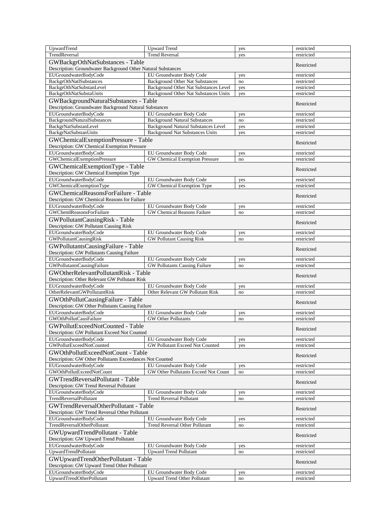| UpwardTrend                                                                     | <b>Upward Trend</b>                                              | yes       | restricted               |
|---------------------------------------------------------------------------------|------------------------------------------------------------------|-----------|--------------------------|
| TrendReversal                                                                   | <b>Trend Reversal</b>                                            | yes       | restricted               |
| GWBackgrOthNatSubstances - Table                                                | Restricted                                                       |           |                          |
| Description: Groundwater Background Other Natural Substances                    |                                                                  |           |                          |
| EUGroundwaterBodyCode                                                           | EU Groundwater Body Code                                         | yes       | restricted               |
| <b>BackgrOthNatlSubstances</b>                                                  | <b>Background Other Nat Substances</b>                           | no        | restricted               |
| BackgrOthNatSubstanLevel                                                        | Background Other Nat Substances Level                            | yes       | restricted               |
| BackgrOthNatSubstaUnits                                                         | Background Other Nat Substances Units                            | yes       | restricted               |
| GWBackgroundNaturalSubstances - Table                                           |                                                                  |           | Restricted               |
| Description: Groundwater Background Natural Substances<br>EUGroundwaterBodyCode | EU Groundwater Body Code                                         |           | restricted               |
| <b>BackgroundNaturalSubstances</b>                                              | <b>Background Natural Substances</b>                             | yes<br>no | restricted               |
| <b>BackgrNatSubstanLevel</b>                                                    | <b>Background Natural Substances Level</b>                       | yes       | restricted               |
| BackgrNatSubstanUnits                                                           | <b>Background Nat Substances Units</b>                           | yes       | restricted               |
| GWChemicalExemptionPressure - Table                                             |                                                                  |           |                          |
| Description: GW Chemical Exemption Pressure                                     |                                                                  |           | Restricted               |
| EUGroundwaterBodyCode                                                           | EU Groundwater Body Code                                         | yes       | restricted               |
| GWChemicalExemptionPressure                                                     | GW Chemical Exemption Pressure                                   | no        | restricted               |
| GWChemicalExemptionType - Table                                                 |                                                                  |           | Restricted               |
| Description: GW Chemical Exemption Type                                         |                                                                  |           |                          |
| EUGroundwaterBodyCode                                                           | EU Groundwater Body Code                                         | yes       | restricted               |
| GWChemicalExemptionType                                                         | GW Chemical Exemption Type                                       | yes       | restricted               |
| GWChemicalReasonsForFailure - Table                                             |                                                                  |           | Restricted               |
| Description: GW Chemical Reasons for Failure                                    |                                                                  |           |                          |
| EUGroundwaterBodyCode                                                           | EU Groundwater Body Code                                         | yes       | restricted               |
| <b>GWChemlReasonsForFailure</b>                                                 | <b>GW Chemical Reasons Failure</b>                               | no        | restricted               |
| GWPollutantCausingRisk - Table                                                  |                                                                  |           | Restricted               |
| Description: GW Pollutant Causing Risk                                          |                                                                  |           |                          |
| EUGroundwaterBodyCode                                                           | EU Groundwater Body Code                                         | yes       | restricted               |
| GWPollutantCausingRisk                                                          | <b>GW Pollutant Causing Risk</b>                                 | no        | restricted               |
| GWPollutantsCausingFailure - Table                                              |                                                                  |           | Restricted               |
| Description: GW Pollutants Causing Failure                                      |                                                                  |           |                          |
| EUGroundwaterBodyCode<br>GWPollutantsCausingFailure                             | EU Groundwater Body Code<br><b>GW Pollutants Causing Failure</b> | yes<br>no | restricted<br>restricted |
|                                                                                 |                                                                  |           |                          |
|                                                                                 |                                                                  |           |                          |
| GWOtherRelevantPollutantRisk - Table                                            |                                                                  |           | Restricted               |
| Description: Other Relevant GW Pollutant Risk                                   |                                                                  |           |                          |
| EUGroundwaterBodyCode                                                           | EU Groundwater Body Code                                         | yes<br>no | restricted               |
| OtherRelevantGWPollutantRisk                                                    | Other Relevant GW Pollutant Risk                                 |           | restricted               |
| GWOthPollutCausingFailure - Table                                               |                                                                  |           | Restricted               |
| Description: GW Other Pollutants Causing Failure<br>EUGroundwaterBodyCode       |                                                                  |           | restricted               |
| GWOthPollutCausFailure                                                          | EU Groundwater Body Code<br><b>GW</b> Other Pollutants           | yes<br>no | restricted               |
| GWPollutExceedNotCounted - Table                                                |                                                                  |           |                          |
| Description: GW Pollutant Exceed Not Counted                                    |                                                                  |           | Restricted               |
| EUGroundwaterBodyCode                                                           | EU Groundwater Body Code                                         | yes       | restricted               |
| GWPollutExceedNotCounted                                                        | GW Pollutant Exceed Not Counted                                  | yes       | restricted               |
| GWOthPollutExceedNotCount - Table                                               |                                                                  |           |                          |
| Description: GW Other Pollutants Exceedances Not Counted                        |                                                                  |           | Restricted               |
| EUGroundwaterBodyCode                                                           | EU Groundwater Body Code                                         | yes       | restricted               |
| GWOthPollutExceedNotCount                                                       | GW Other Pollutants Exceed Not Count                             | no        | restricted               |
| GWTrendReversalPollutant - Table                                                |                                                                  |           | Restricted               |
| Description: GW Trend Reversal Pollutant                                        |                                                                  |           |                          |
| EUGroundwaterBodyCode                                                           | EU Groundwater Body Code                                         | yes       | restricted               |
| <b>TrendReversalPollutant</b>                                                   | <b>Trend Reversal Pollutant</b>                                  | no        | restricted               |
| GWTrendReversalOtherPollutant - Table                                           |                                                                  |           | Restricted               |
| Description: GW Trend Reversal Other Pollutant                                  |                                                                  |           |                          |
| EUGroundwaterBodyCode                                                           | EU Groundwater Body Code                                         | yes       | restricted               |
| TrendReversalOtherPollutant                                                     | <b>Trend Reversal Other Pollutant</b>                            | no        | restricted               |
| GWUpwardTrendPollutant - Table                                                  |                                                                  |           | Restricted               |
| Description: GW Upward Trend Pollutant                                          |                                                                  |           |                          |
| EUGroundwaterBodyCode<br><b>UpwardTrendPollutant</b>                            | EU Groundwater Body Code<br><b>Upward Trend Pollutant</b>        | yes<br>no | restricted<br>restricted |
|                                                                                 |                                                                  |           |                          |
| GWUpwardTrendOtherPollutant - Table                                             |                                                                  |           | Restricted               |
| Description: GW Upward Trend Other Pollutant<br>EUGroundwaterBodyCode           | EU Groundwater Body Code                                         | yes       | restricted               |
| UpwardTrendOtherPollutant                                                       | <b>Upward Trend Other Pollutant</b>                              | no        | restricted               |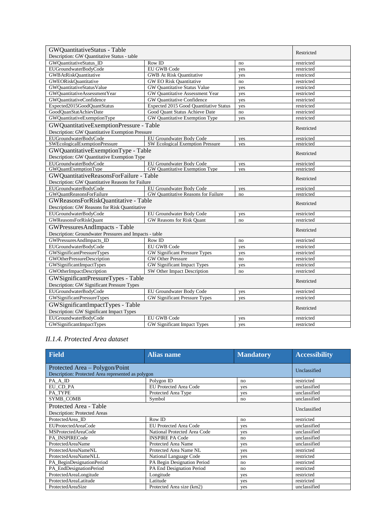| GWQuantitativeStatus - Table                                                 |                                        |     | Restricted |
|------------------------------------------------------------------------------|----------------------------------------|-----|------------|
| Description: GW Quantitative Status - table                                  |                                        |     |            |
| GWQuantitativeStatus_ID                                                      | Row ID                                 | no  | restricted |
| EUGroundwaterBodyCode                                                        | <b>EU GWB Code</b>                     | yes | restricted |
| <b>GWBAtRiskOuantitative</b>                                                 | <b>GWB</b> At Risk Quantitative        | yes | restricted |
| <b>GWEORiskOuantitative</b>                                                  | <b>GW EO Risk Quantitative</b>         | no  | restricted |
| GWQuantitativeStatusValue                                                    | GW Quantitative Status Value           | yes | restricted |
| GWQuantitativeAssessmentYear                                                 | GW Quantitative Assessment Year        | yes | restricted |
| GWOuantitativeConfidence                                                     | GW Quantitative Confidence             | yes | restricted |
| Expected2015GoodQuantStatus                                                  | Expected 2015 Good Quantitative Status | yes | restricted |
| GoodOuanStatAchievDate                                                       | Good Ouant Status Achieve Date         | no  | restricted |
| GWQuantitativeExemptionType                                                  | GW Quantitative Exemption Type         | yes | restricted |
| GWQuantitativeExemptionPressure - Table                                      |                                        |     | Restricted |
| Description: GW Quantitative Exemption Pressure                              |                                        |     |            |
| EUGroundwaterBodyCode                                                        | EU Groundwater Body Code               | yes | restricted |
| SWEcologicalExemptionPressure                                                | SW Ecological Exemption Pressure       | yes | restricted |
| GWQuantitativeExemptionType - Table                                          |                                        |     | Restricted |
| Description: GW Quantitative Exemption Type                                  |                                        |     |            |
| EUGroundwaterBodyCode                                                        | EU Groundwater Body Code               | yes | restricted |
| <b>GWOuantExemptionType</b>                                                  | GW Quantitative Exemption Type         | yes | restricted |
| GWQuantitativeReasonsForFailure - Table                                      |                                        |     | Restricted |
| Description: GW Quantitative Reasons for Failure                             |                                        |     |            |
| EUGroundwaterBodyCode                                                        | EU Groundwater Body Code               | yes | restricted |
| GWQuantReasonsForFailure                                                     | GW Quantitative Reasons for Failure    | no  | restricted |
| GWReasonsForRiskQuantitative - Table                                         |                                        |     | Restricted |
| Description: GW Reasons for Risk Quantitative                                |                                        |     |            |
| EUGroundwaterBodyCode                                                        | EU Groundwater Body Code               | yes | restricted |
| <b>GWReasonsForRiskQuant</b>                                                 | GW Reasons for Risk Quant              | no  | restricted |
| GWPressuresAndImpacts - Table                                                |                                        |     | Restricted |
| Description: Groundwater Pressures and Impacts - table                       |                                        |     |            |
| GWPressuresAndImpacts_ID                                                     | Row ID                                 | no  | restricted |
| EUGroundwaterBodyCode                                                        | EU GWB Code                            | yes | restricted |
| GWSignificantPressureTypes                                                   | GW Significant Pressure Types          | yes | restricted |
| GWOtherPressureDescription                                                   | <b>GW Other Pressure</b>               | no  | restricted |
| GWSignificantImpactTypes                                                     | GW Significant Impact Types            | yes | restricted |
| GWOtherImpactDescription                                                     | SW Other Impact Description            | no  | restricted |
| GWSignificantPressureTypes - Table                                           |                                        |     |            |
| Description: GW Significant Pressure Types                                   |                                        |     | Restricted |
| EUGroundwaterBodyCode                                                        | EU Groundwater Body Code               | yes | restricted |
| GWSignificantPressureTypes                                                   | GW Significant Pressure Types          | yes | restricted |
| GWSignificantImpactTypes - Table<br>Description: GW Significant Impact Types |                                        |     | Restricted |
| EUGroundwaterBodyCode                                                        | EU GWB Code                            | yes | restricted |
| GWSignificantImpactTypes                                                     | GW Significant Impact Types            | yes | restricted |

#### *II.1.4. Protected Area dataset*

| <b>Field</b>                                                                         | <b>Alias name</b>             | <b>Mandatory</b> | <b>Accessibility</b> |
|--------------------------------------------------------------------------------------|-------------------------------|------------------|----------------------|
| Protected Area - Polygon/Point<br>Description: Protected Area represented as polygon | Unclassified                  |                  |                      |
| PA A ID                                                                              | Polygon ID                    | no               | restricted           |
| EU CD PA                                                                             | <b>EU Protected Area Code</b> | yes              | unclassified         |
| PA TYPE                                                                              | Protected Area Type           | yes              | unclassified         |
| SYMB_COMB                                                                            | Symbol                        | no               | unclassified         |
| Protected Area - Table<br>Description: Protected Areas                               | Unclassified                  |                  |                      |
| ProtectedArea ID                                                                     | Row ID                        | no               | restricted           |
| EUProtectedAreaCode                                                                  | <b>EU Protected Area Code</b> | ves              | unclassified         |
| MSProtectedAreaCode                                                                  | National Protected Area Code  | yes              | unclassified         |
| PA INSPIRECode                                                                       | <b>INSPIRE PA Code</b>        | no               | unclassified         |
| <b>ProtectedAreaName</b>                                                             | Protected Area Name           | ves              | unclassified         |
| ProtectedAreaNameNL                                                                  | Protected Area Name NL        | ves              | restricted           |
| ProtectedAreaNameNLL                                                                 | National Language Code        | yes              | restricted           |
| PA_BeginDesignationPeriod                                                            | PA Begin Designation Period   | no               | restricted           |
| PA_EndDesignationPeriod                                                              | PA End Designation Period     | no               | restricted           |
| ProtectedAreaLongitude                                                               | Longitude                     | yes              | restricted           |
| ProtectedAreaLatitude                                                                | Latitude                      | yes              | restricted           |
| ProtectedAreaSize                                                                    | Protected Area size (km2)     | yes              | unclassified         |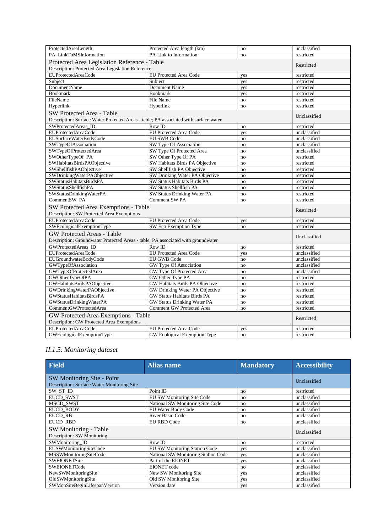| ProtectedAreaLength                                                                  | Protected Area length (km)         | no  | unclassified |
|--------------------------------------------------------------------------------------|------------------------------------|-----|--------------|
| PA_LinkToMSInformation                                                               | PA Link to Information             | no  | restricted   |
| Protected Area Legislation Reference - Table                                         |                                    |     |              |
| Description: Protected Area Legislation Reference                                    |                                    |     | Restricted   |
| EUProtectedAreaCode                                                                  | EU Protected Area Code             | yes | restricted   |
| Subject                                                                              | Subject                            | yes | restricted   |
| <b>DocumentName</b>                                                                  | Document Name                      | yes | restricted   |
| <b>Bookmark</b>                                                                      | <b>Bookmark</b>                    | yes | restricted   |
| FileName                                                                             | File Name                          | no  | restricted   |
| Hyperlink                                                                            | Hyperlink                          | no  | restricted   |
| SW Protected Area - Table                                                            |                                    |     |              |
| Description: Surface Water Protected Areas - table; PA associated with surface water |                                    |     | Unclassified |
| SWProtectedAreas_ID                                                                  | Row ID                             | no  | restricted   |
| EUProtectedAreaCode                                                                  | EU Protected Area Code             | yes | unclassified |
| EUSurfaceWaterBodyCode                                                               | <b>EU SWB Code</b>                 | no  | unclassified |
| SWTypeOfAssociation                                                                  | SW Type Of Association             | no  | unclassified |
| SWTypeOfProtectedArea                                                                | SW Type Of Protected Area          | no  | unclassified |
| SWOtherTypeOf_PA                                                                     | SW Other Type Of PA                | no  | restricted   |
| SWHabitatsBirdsPAObjective                                                           | SW Habitats Birds PA Objective     | no  | restricted   |
| SWShellfishPAObjective                                                               | SW Shellfish PA Objective          | no  | restricted   |
| SWDrinkingWaterPAObjective                                                           | SW Drinking Water PA Objective     | no  | restricted   |
| SWStatusHabitatsBirdsPA                                                              | SW Status Habitats Birds PA        | no  | restricted   |
| SWStatusShellfishPA                                                                  | SW Status Shellfish PA             | no  | restricted   |
| SWStatusDrinkingWaterPA                                                              | SW Status Drinking Water PA        | no  | restricted   |
| CommentSW_PA                                                                         | <b>Comment SW PA</b>               | no  | restricted   |
|                                                                                      |                                    |     |              |
| SW Protected Area Exemptions - Table<br>Description: SW Protected Area Exemptions    |                                    |     | Restricted   |
| EUProtectedAreaCode                                                                  | EU Protected Area Code             | yes | restricted   |
| SWEcologicalExemptionType                                                            | SW Eco Exemption Type              | no  | restricted   |
| <b>GW Protected Areas - Table</b>                                                    |                                    |     |              |
| Description: Groundwater Protected Areas - table; PA associated with groundwater     |                                    |     | Unclassified |
| GWProtectedAreas ID                                                                  | Row ID                             | no  | restricted   |
| EUProtectedAreaCode                                                                  | <b>EU Protected Area Code</b>      | yes | unclassified |
| EUGroundwaterBodyCode                                                                | <b>EU GWB Code</b>                 | no  | unclassified |
| GWTypeOfAssociation                                                                  | <b>GW Type Of Association</b>      | no  | unclassified |
| <b>GWTypeOfProtectedArea</b>                                                         | GW Type Of Protected Area          | no  | unclassified |
| <b>GWOtherTypeOfPA</b>                                                               | GW Other Type PA                   | no  | restricted   |
| GWHabitatsBirdsPAObjective                                                           | GW Habitats Birds PA Objective     | no  | restricted   |
| GWDrinkingWaterPAObjective                                                           | GW Drinking Water PA Objective     | no  | restricted   |
| GWStatusHabitatsBirdsPA                                                              | <b>GW Status Habitats Birds PA</b> | no  | restricted   |
| <b>GWStatusDrinkingWaterPA</b>                                                       | <b>GW Status Drinking Water PA</b> | no  | restricted   |
| CommentGWProtectedArea                                                               | Comment GW Protected Area          | no  | restricted   |
| GW Protected Area Exemptions - Table                                                 |                                    |     |              |
| Description: GW Protected Area Exemptions                                            |                                    |     | Restricted   |
| EUProtectedAreaCode                                                                  | EU Protected Area Code             | yes | restricted   |
| GWEcologicalExemptionType                                                            | GW Ecological Exemption Type       | no  | restricted   |

#### *II.1.5. Monitoring dataset*

| <b>Field</b>                                                             | <b>Alias name</b>                    | <b>Mandatory</b> | <b>Accessibility</b> |
|--------------------------------------------------------------------------|--------------------------------------|------------------|----------------------|
| SW Monitoring Site - Point<br>Description: Surface Water Monitoring Site |                                      |                  | Unclassified         |
| SW_ST_ID                                                                 | Point ID                             | no               | restricted           |
| EUCD_SWST                                                                | EU SW Monitoring Site Code           | no               | unclassified         |
| <b>MSCD SWST</b>                                                         | National SW Monitoring Site Code     | no               | unclassified         |
| <b>EUCD BODY</b>                                                         | EU Water Body Code                   | no               | unclassified         |
| EUCD RB                                                                  | River Basin Code                     | no               | unclassified         |
| <b>EUCD_RBD</b>                                                          | <b>EU RBD Code</b>                   | no               | unclassified         |
| SW Monitoring - Table<br>Description: SW Monitoring                      |                                      |                  | Unclassified         |
| SWMonitoring_ID                                                          | Row ID                               | no               | restricted           |
| EUSWMonitoringSiteCode                                                   | <b>EU SW Monitoring Station Code</b> | ves              | unclassified         |
| MSSWMonitoringSiteCode                                                   | National SW Monitoring Station Code  | yes              | unclassified         |
| <b>SWEIONETSite</b>                                                      | Part of the EIONET                   | yes              | unclassified         |
| SWEIONETCode                                                             | <b>EIONET</b> code                   | no               | unclassified         |
| NewSWMonitoringSite                                                      | New SW Monitoring Site               | yes              | unclassified         |
| OldSWMonitoringSite                                                      | Old SW Monitoring Site               | yes              | unclassified         |
| SWMonSiteBeginLifespanVersion                                            | Version date                         | yes              | unclassified         |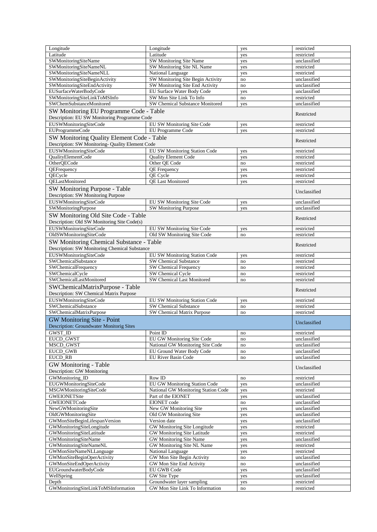| Longitude                                                                                                | Longitude                                                     | yes       | restricted               |
|----------------------------------------------------------------------------------------------------------|---------------------------------------------------------------|-----------|--------------------------|
| Latitude                                                                                                 | Latitude                                                      | yes       | restricted               |
| SWMonitoringSiteName                                                                                     | SW Monitoring Site Name                                       | yes       | unclassified             |
| SWMonitoringSiteNameNL                                                                                   | SW Monitoring Site NL Name                                    | yes       | restricted               |
| SWMonitoringSiteNameNLL                                                                                  | National Language                                             | yes       | restricted               |
| SWMonitoringSiteBeginActivity                                                                            | SW Monitoring Site Begin Activity                             | no        | unclassified             |
| SWMonitoringSiteEndActivity                                                                              | SW Monitoring Site End Activity                               | no        | unclassified             |
| EUSurfaceWaterBodyCode                                                                                   | EU Surface Water Body Code                                    | yes       | unclassified             |
| SWMonitoringSiteLinkToMSInfo                                                                             | SW Mon Site Link To Info                                      | $\rm{no}$ | restricted               |
| SWChemSubstanceMonitored                                                                                 | SW Chemical Substance Monitored                               | yes       | unclassified             |
| SW Monitoring EU Programme Code - Table<br>Description: EU SW Monitoring Programme Code                  |                                                               |           | Restricted               |
| EUSWMonitoringSiteCode                                                                                   | EU SW Monitoring Site Code                                    | yes       | restricted               |
| EUProgrammeCode                                                                                          | EU Programme Code                                             | yes       | restricted               |
| SW Monitoring Quality Element Code - Table<br>Description: SW Monitoring- Quality Element Code           |                                                               |           | Restricted               |
| EUSWMonitoringSiteCode                                                                                   | <b>EU SW Monitoring Station Code</b>                          | yes       | restricted               |
| QualityElementCode                                                                                       | <b>Quality Element Code</b>                                   | yes       | restricted               |
| OtherQECode                                                                                              | Other QE Code                                                 | no        | restricted               |
| QEFrequency                                                                                              | <b>QE</b> Frequency                                           | yes       | restricted               |
| QECycle                                                                                                  | QE Cycle                                                      | yes       | restricted               |
| <b>OELastMonitored</b>                                                                                   | <b>QE Last Monitored</b>                                      | yes       | restricted               |
| SW Monitoring Purpose - Table<br>Description: SW Monitoring Purpose                                      |                                                               |           | Unclassified             |
| EUSWMonitoringSiteCode                                                                                   | EU SW Monitoring Site Code                                    | yes       | unclassified             |
| <b>SWMonitoringPurpose</b>                                                                               | SW Monitoring Purpose                                         | yes       | unclassified             |
|                                                                                                          |                                                               |           |                          |
| SW Monitoring Old Site Code - Table<br>Description: Old SW Monitoring Site Code(s)                       |                                                               |           | Restricted               |
| EUSWMonitoringSiteCode                                                                                   | EU SW Monitoring Site Code                                    | yes       | restricted               |
| OldSWMonitoringSiteCode                                                                                  | Old SW Monitoring Site Code                                   | no        | restricted               |
| <b>SW Monitoring Chemical Substance - Table</b><br>Description: SW Monitoring Chemical Substance         |                                                               |           | Restricted               |
| EUSWMonitoringSiteCode                                                                                   | EU SW Monitoring Station Code                                 | yes       | restricted               |
| SWChemicalSubstance                                                                                      | <b>SW Chemical Substance</b>                                  | no        | restricted               |
| SWChemicalFrequency                                                                                      | SW Chemical Frequency                                         | no        | restricted               |
|                                                                                                          |                                                               |           |                          |
| SWChemicalCycle                                                                                          | SW Chemical Cycle                                             | no        | restricted               |
| SWChemicalLastMonitored                                                                                  | SW Chemical Last Monitored                                    | no        | restricted               |
| SWChemicalMatrixPurpose - Table                                                                          |                                                               |           | Restricted               |
| Description: SW Chemical Matrix Purpose                                                                  |                                                               |           |                          |
| EUSWMonitoringSiteCode<br>SWChemicalSubstance                                                            | EU SW Monitoring Station Code<br><b>SW Chemical Substance</b> | yes<br>no | restricted<br>restricted |
|                                                                                                          | SW Chemical Matrix Purpose                                    | no        | restricted               |
| SWChemicalMatrixPurpose<br>GW Monitoring Site - Point<br><b>Description: Groundwater Monitorig Sites</b> |                                                               |           | Unclassified             |
| GWST_ID                                                                                                  | Point ID                                                      | no        | restricted               |
| EUCD_GWST                                                                                                | <b>EU GW Monitoring Site Code</b>                             | no        | unclassified             |
| MSCD_GWST                                                                                                | National GW Monitoring Site Code                              | no        | unclassified             |
| <b>EUCD GWB</b>                                                                                          | EU Ground Water Body Code                                     | no        | unclassified             |
| EUCD_RB                                                                                                  | <b>EU River Basin Code</b>                                    | no        | unclassified             |
| <b>GW</b> Monitoring - Table<br>Description: GW Monitoring                                               |                                                               |           | Unclassified             |
| GWMonitoring ID                                                                                          | Row ID                                                        | no        | restricted               |
| EUGWMonitoringSiteCode                                                                                   | EU GW Monitoring Station Code                                 | yes       | unclassified             |
| MSGWMonitoringSiteCode                                                                                   | National GW Monitoring Station Code                           | yes       | restricted               |
| GWEIONETSite                                                                                             | Part of the EIONET                                            | yes       | unclassified             |
| GWEIONETCode                                                                                             | EIONET code                                                   | no        | unclassified             |
| NewGWMonitoringSite                                                                                      | New GW Monitoring Site                                        | yes       | unclassified             |
| OldGWMonitoringSite                                                                                      | Old GW Monitoring Site                                        | yes       | unclassified             |
| GWMonSiteBeginLifespanVersion                                                                            | Version date                                                  | yes       | unclassified             |
| GWMonitoringSiteLongitude                                                                                | GW Monitoring Site Longitude                                  | yes       | restricted               |
| GWMonitoringSiteLatitude                                                                                 | GW Monitoring Site Latitude                                   | yes       | restricted               |
| GWMonitoringSiteName                                                                                     | GW Monitoring Site Name                                       | yes       | unclassified             |
| GWMonitoringSiteNameNL                                                                                   | GW Monitoring Site NL Name                                    | yes       | restricted               |
| GWMonSiteNameNLLanguage                                                                                  | National Language                                             | yes       | restricted               |
| GWMonSiteBeginOperActivity                                                                               | GW Mon Site Begin Activity                                    | $\rm{no}$ | unclassified             |
| GWMonSiteEndOperActivity                                                                                 | GW Mon Site End Activity                                      | $\rm{no}$ | unclassified             |
| EUGroundwaterBodyCode                                                                                    | EU GWB Code                                                   | yes       | unclassified             |
| WellSpring                                                                                               | GW Site Type                                                  | yes       | unclassified             |
| Depth<br>GWMonitoringSiteLinkToMSInformation                                                             | Groundwater layer sampling<br>GW Mon Site Link To Information | yes<br>no | restricted<br>restricted |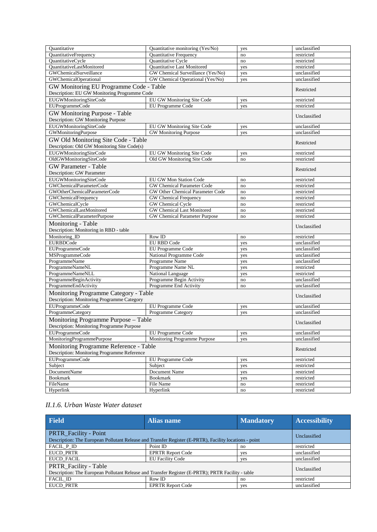| Ouantitative                                                                            | Quantitative monitoring (Yes/No)       | yes       | unclassified             |  |
|-----------------------------------------------------------------------------------------|----------------------------------------|-----------|--------------------------|--|
| QuantitativeFrequency                                                                   | Quantitative Frequency                 | no        | restricted               |  |
| QuantitativeCycle                                                                       | Quantitative Cycle                     | no        | restricted               |  |
| QuantitativeLastMonitored                                                               | Quantitative Last Monitored            | yes       | restricted               |  |
| GWChemicalSurveillance                                                                  | GW Chemical Surveillance (Yes/No)      | yes       | unclassified             |  |
| <b>GWChemicalOperational</b>                                                            | GW Chemical Operational (Yes/No)       | yes       | unclassified             |  |
| GW Monitoring EU Programme Code - Table<br>Description: EU GW Monitoring Programme Code |                                        |           | Restricted               |  |
| EUGWMonitoringSiteCode                                                                  | EU GW Monitoring Site Code             | yes       | restricted               |  |
| EUProgrammeCode                                                                         | EU Programme Code                      | yes       | restricted               |  |
|                                                                                         |                                        |           |                          |  |
| GW Monitoring Purpose - Table<br>Description: GW Monitoring Purpose                     |                                        |           | Unclassified             |  |
| EUGWMonitoringSiteCode                                                                  | EU GW Monitoring Site Code             | yes       | unclassified             |  |
| <b>GWMonitoringPurpose</b>                                                              | <b>GW</b> Monitoring Purpose           | yes       | unclassified             |  |
| GW Old Monitoring Site Code - Table                                                     |                                        |           |                          |  |
| Description: Old GW Monitoring Site Code(s)                                             |                                        |           | Restricted               |  |
| EUGWMonitoringSiteCode                                                                  | EU GW Monitoring Site Code             | yes       | restricted               |  |
| OldGWMonitoringSiteCode                                                                 | Old GW Monitoring Site Code            | no        | restricted               |  |
| <b>GW</b> Parameter - Table                                                             |                                        |           |                          |  |
| <b>Description: GW Parameter</b>                                                        |                                        |           | Restricted               |  |
| EUGWMonitoringSiteCode                                                                  | EU GW Mon Station Code                 | no        | restricted               |  |
| GWChemicalParameterCode                                                                 | <b>GW Chemical Parameter Code</b>      | no        | restricted               |  |
| GWOtherChemicalParameterCode                                                            | GW Other Chemical Parameter Code       | no        | restricted               |  |
| <b>GWChemicalFrequency</b>                                                              | GW Chemical Frequency                  | no        | restricted               |  |
| GWChemicalCycle                                                                         | GW Chemical Cycle                      | no        | restricted               |  |
| GWChemicalLastMonitored                                                                 | <b>GW Chemical Last Monitored</b>      | no        | restricted               |  |
| GWChemicalParameterPurpose                                                              | GW Chemical Parameter Purpose          | no        | restricted               |  |
| Monitoring - Table<br>Description: Monitoring in RBD - table                            |                                        |           | Unclassified             |  |
| Monitoring_ID                                                                           | Row ID                                 | no        | restricted               |  |
| <b>EURBDCode</b>                                                                        | <b>EU RBD Code</b>                     | yes       | unclassified             |  |
| EUProgrammeCode                                                                         | EU Programme Code                      | yes       | unclassified             |  |
| MSProgrammeCode                                                                         | National Programme Code                | yes       | unclassified             |  |
| ProgrammeName                                                                           | Programme Name                         | yes       | unclassified             |  |
| ProgrammeNameNL                                                                         | Programme Name NL                      | yes       | restricted               |  |
| ProgrammeNameNLL                                                                        | National Language                      | yes       | restricted               |  |
| ProgrammeBeginActivity                                                                  | Programme Begin Activity               | no        | unclassified             |  |
| ProgrammeEndActivity                                                                    | Programme End Activity                 | no        | unclassified             |  |
| Monitoring Programme Category - Table<br>Description: Monitoring Programme Category     |                                        |           | Unclassified             |  |
| EUProgrammeCode                                                                         | EU Programme Code                      | yes       | unclassified             |  |
| <b>ProgrammeCategory</b>                                                                | <b>Programme Category</b>              | yes       | unclassified             |  |
| Monitoring Programme Purpose - Table                                                    |                                        |           |                          |  |
| Description: Monitoring Programme Purpose                                               |                                        |           | Unclassified             |  |
| EUProgrammeCode                                                                         | EU Programme Code                      | yes       | unclassified             |  |
| MonitoringProgrammePurpose                                                              | Monitoring Programme Purpose           | yes       | unclassified             |  |
| Description: Monitoring Programme Reference                                             | Monitoring Programme Reference - Table |           |                          |  |
|                                                                                         |                                        |           |                          |  |
|                                                                                         |                                        |           |                          |  |
| EUProgrammeCode                                                                         | EU Programme Code                      | yes       | restricted               |  |
| Subject                                                                                 | Subject                                | yes       | restricted               |  |
| <b>DocumentName</b><br><b>Bookmark</b>                                                  | Document Name<br><b>Bookmark</b>       | yes       | restricted               |  |
| FileName                                                                                | File Name                              | yes<br>no | restricted<br>restricted |  |
| Hyperlink                                                                               | Hyperlink                              | no        | restricted               |  |

#### *II.1.6. Urban Waste Water dataset*

| <b>Field</b>                                                                                                                    | <b>Alias name</b>        | <b>Mandatory</b> | <b>Accessibility</b> |
|---------------------------------------------------------------------------------------------------------------------------------|--------------------------|------------------|----------------------|
| PRTR_Facility - Point<br>Description: The European Pollutant Release and Transfer Register (E-PRTR), Facility locations - point |                          |                  | Unclassified         |
| FACIL P ID                                                                                                                      | Point ID                 | no               | restricted           |
| <b>EUCD PRTR</b>                                                                                                                | <b>EPRTR Report Code</b> | yes              | unclassified         |
| <b>EUCD FACIL</b>                                                                                                               | <b>EU Facility Code</b>  | yes              | unclassified         |
| PRTR_Facility - Table<br>Description: The European Pollutant Release and Transfer Register (E-PRTR); PRTR Facility - table      |                          |                  | Unclassified         |
| FACIL ID                                                                                                                        | Row ID                   | no               | restricted           |
| <b>EUCD PRTR</b>                                                                                                                | <b>EPRTR Report Code</b> | ves              | unclassified         |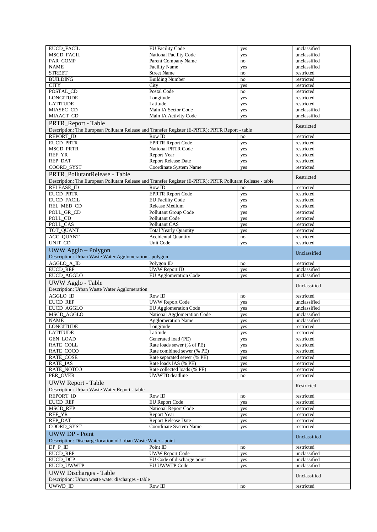| EUCD_FACIL                                                                                                             | <b>EU Facility Code</b>      | yes                    | unclassified |
|------------------------------------------------------------------------------------------------------------------------|------------------------------|------------------------|--------------|
| <b>MSCD FACIL</b>                                                                                                      | National Facility Code       | yes                    | unclassified |
| PAR_COMP                                                                                                               | Parent Company Name          | no                     | unclassified |
| <b>NAME</b>                                                                                                            | <b>Facility Name</b>         | yes                    | unclassified |
| <b>STREET</b>                                                                                                          | <b>Street Name</b>           | no                     | restricted   |
| <b>BUILDING</b>                                                                                                        | <b>Building Number</b>       | no                     | restricted   |
| <b>CITY</b>                                                                                                            | City                         | yes                    | restricted   |
| POSTAL CD                                                                                                              | Postal Code                  | no                     | restricted   |
| <b>LONGITUDE</b>                                                                                                       | Longitude                    | yes                    | restricted   |
| <b>LATITUDE</b>                                                                                                        | Latitude                     | yes                    | restricted   |
| MIASEC_CD                                                                                                              | Main IA Sector Code          | yes                    | unclassified |
| MIAACT_CD                                                                                                              | Main IA Activity Code        | yes                    | unclassified |
| PRTR Report - Table<br>Description: The European Pollutant Release and Transfer Register (E-PRTR); PRTR Report - table |                              |                        | Restricted   |
| REPORT_ID                                                                                                              | Row ID                       | no                     | restricted   |
| <b>EUCD_PRTR</b>                                                                                                       | <b>EPRTR Report Code</b>     | yes                    | restricted   |
| <b>MSCD_PRTR</b>                                                                                                       | <b>National PRTR Code</b>    | yes                    | restricted   |
| REF_YR                                                                                                                 | Report Year                  | yes                    | restricted   |
| <b>REP DAT</b>                                                                                                         | <b>Report Release Date</b>   | yes                    | restricted   |
| COORD_SYST                                                                                                             | Coordinate System Name       | yes                    | restricted   |
|                                                                                                                        |                              |                        |              |
| PRTR_PollutantRelease - Table                                                                                          |                              |                        | Restricted   |
| Description: The European Pollutant Release and Transfer Register (E-PRTR); PRTR Pollutant Release - table             |                              |                        |              |
| <b>RELEASE ID</b>                                                                                                      | Row ID                       | no                     | restricted   |
| EUCD_PRTR                                                                                                              | <b>EPRTR Report Code</b>     | yes                    | restricted   |
| EUCD_FACIL                                                                                                             | <b>EU Facility Code</b>      | yes                    | restricted   |
| REL_MED_CD                                                                                                             | Release Medium               | yes                    | restricted   |
| POLL GR CD                                                                                                             | Pollutant Group Code         | yes                    | restricted   |
| POLL CD                                                                                                                | Pollutant Code               | yes                    | restricted   |
| POLL CAS                                                                                                               | Pollutant CAS                | yes                    | restricted   |
| TOT_QUANT                                                                                                              | <b>Total Yearly Quantity</b> | yes                    | restricted   |
| <b>ACC_QUANT</b>                                                                                                       | <b>Accidental Quantity</b>   | no                     | restricted   |
| UNIT_CD                                                                                                                | Unit Code                    | yes                    | restricted   |
| UWW Agglo - Polygon<br>Description: Urban Waste Water Agglomeration - polygon                                          |                              |                        | Unclassified |
| AGGLO_A_ID                                                                                                             | Polygon ID                   | no                     | restricted   |
| <b>EUCD_REP</b>                                                                                                        | <b>UWW Report ID</b>         | yes                    | unclassified |
| EUCD_AGGLO                                                                                                             | <b>EU Agglomeration Code</b> | yes                    | unclassified |
| UWW Agglo - Table                                                                                                      |                              |                        | Unclassified |
| Description: Urban Waste Water Agglomeration                                                                           |                              |                        |              |
| AGGLO_ID                                                                                                               | Row ID                       | no                     | restricted   |
|                                                                                                                        |                              |                        |              |
| <b>EUCD_REP</b>                                                                                                        | <b>UWW Report Code</b>       | yes                    | unclassified |
| EUCD_AGGLO                                                                                                             | EU Agglomeration Code        | yes                    | unclassified |
| MSCD_AGGLO                                                                                                             | National Agglomeration Code  | yes                    | unclassified |
| <b>NAME</b>                                                                                                            | <b>Agglomeration Name</b>    | yes                    | unclassified |
| <b>LONGITUDE</b>                                                                                                       | Longitude                    | yes                    | restricted   |
| <b>LATITUDE</b>                                                                                                        | Latitude                     | yes                    | restricted   |
| <b>GEN LOAD</b>                                                                                                        | Generated load (PE)          | yes                    | restricted   |
| RATE_COLL                                                                                                              | Rate loads sewer (% of PE)   | yes                    | restricted   |
| RATE_COCO                                                                                                              | Rate combined sewer (% PE)   | yes                    | restricted   |
| RATE_COSE                                                                                                              | Rate separated sewer (% PE)  | yes                    | restricted   |
| RATE_IAS                                                                                                               | Rate loads IAS (% PE)        | yes                    | restricted   |
| RATE_NOTCO                                                                                                             | Rate collected loads (% PE)  | yes                    | restricted   |
| PER_OVER                                                                                                               | UWWTD deadline               | $\mathop{\mathrm{no}}$ | restricted   |
| <b>UWW Report - Table</b>                                                                                              |                              |                        | Restricted   |
| Description: Urban Waste Water Report - table                                                                          |                              |                        |              |
| <b>REPORT_ID</b>                                                                                                       | Row ID                       | no                     | restricted   |
| EUCD_REP                                                                                                               | <b>EU</b> Report Code        | yes                    | restricted   |
| <b>MSCD_REP</b>                                                                                                        | <b>National Report Code</b>  | yes                    | restricted   |
| REF_YR                                                                                                                 | Report Year                  | yes                    | restricted   |
| REP_DAT                                                                                                                | <b>Report Release Date</b>   | yes                    | restricted   |
| COORD_SYST                                                                                                             | Coordinate System Name       | yes                    | restricted   |
| <b>UWW DP - Point</b><br>Description: Discharge location of Urban Waste Water - point                                  |                              |                        | Unclassified |
| DP P ID                                                                                                                | Point ID                     | no                     | restricted   |
| <b>EUCD_REP</b>                                                                                                        | <b>UWW Report Code</b>       | yes                    | unclassified |
| <b>EUCD DCP</b>                                                                                                        | EU Code of discharge point   | yes                    | unclassified |
| EUCD_UWWTP                                                                                                             | EU UWWTP Code                | yes                    | unclassified |
| <b>UWW</b> Discharges - Table                                                                                          |                              |                        | Unclassified |
| Description: Urban waste water discharges - table<br>UWWD ID                                                           | Row ID                       | no                     | restricted   |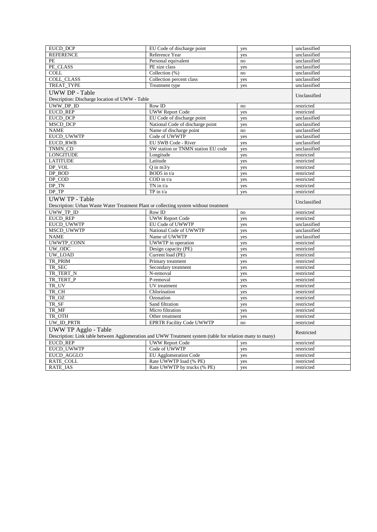| <b>EUCD DCP</b>                                                                                          | EU Code of discharge point         | yes                    | unclassified |
|----------------------------------------------------------------------------------------------------------|------------------------------------|------------------------|--------------|
| <b>REFERENCE</b>                                                                                         | Reference Year                     | yes                    | unclassified |
| PE                                                                                                       | Personal equivalent                | no                     | unclassified |
| PE_CLASS                                                                                                 | PE size class                      | yes                    | unclassified |
| <b>COLL</b>                                                                                              | Collection $(\%)$                  | $\mathop{\mathrm{no}}$ | unclassified |
| <b>COLL CLASS</b>                                                                                        | Collection percent class           | yes                    | unclassified |
| TREAT_TYPE                                                                                               | Treatment type                     | yes                    | unclassified |
| <b>UWW DP - Table</b>                                                                                    |                                    |                        |              |
| Description: Discharge location of UWW - Table                                                           |                                    |                        | Unclassified |
| UWW DP ID                                                                                                | Row ID                             | $\mathop{\mathrm{no}}$ | restricted   |
| <b>EUCD REP</b>                                                                                          | <b>UWW Report Code</b>             | yes                    | restricted   |
| EUCD_DCP                                                                                                 | EU Code of discharge point         | yes                    | unclassified |
| MSCD_DCP                                                                                                 | National Code of discharge point   | yes                    | unclassified |
| <b>NAME</b>                                                                                              | Name of discharge point            | no                     | unclassified |
| EUCD_UWWTP                                                                                               | Code of UWWTP                      | yes                    | unclassified |
| <b>EUCD RWB</b>                                                                                          | EU SWB Code - River                | yes                    | unclassified |
| TNMN_CD                                                                                                  | SW station or TNMN station EU code | yes                    | unclassified |
| <b>LONGITUDE</b>                                                                                         | Longitude                          | yes                    | restricted   |
| <b>LATITUDE</b>                                                                                          | Latitude                           | yes                    | restricted   |
| DP_VOL                                                                                                   | $Q$ in $m3/y$                      | yes                    | restricted   |
| DP BOD                                                                                                   | BOD5 in t/a                        | yes                    | restricted   |
| $DP_$ $\overline{COD}$                                                                                   | COD in t/a                         | yes                    | restricted   |
| DP TN                                                                                                    | TN in t/a                          | yes                    | restricted   |
| DP TP                                                                                                    | TP in $t/a$                        | yes                    | restricted   |
| UWW TP - Table                                                                                           |                                    |                        |              |
| Description: Urban Waste Water Treatment Plant or collecting system without treatment                    |                                    |                        | Unclassified |
| UWW_TP_ID                                                                                                | Row ID                             | no                     | restricted   |
| <b>EUCD_REP</b>                                                                                          | <b>UWW Report Code</b>             | yes                    | restricted   |
| EUCD_UWWTP                                                                                               | <b>EU Code of UWWTP</b>            | yes                    | unclassified |
| <b>MSCD UWWTP</b>                                                                                        | National Code of UWWTP             | yes                    | unclassified |
| <b>NAME</b>                                                                                              | Name of UWWTP                      | yes                    | unclassified |
| UWWTP_CONN                                                                                               | UWWTP in operation                 | yes                    | restricted   |
| UW ODC                                                                                                   | Design capacity (PE)               | yes                    | restricted   |
| UW LOAD                                                                                                  | Current load (PE)                  | yes                    | restricted   |
| TR PRIM                                                                                                  | Primary treatment                  | yes                    | restricted   |
| TR SEC                                                                                                   | Secondary treatment                | yes                    | restricted   |
| TR_TERT_N                                                                                                | N-removal                          | yes                    | restricted   |
| TR TERT P                                                                                                | P-removal                          | yes                    | restricted   |
| TR UV                                                                                                    | UV treatment                       | yes                    | restricted   |
| TR_CH                                                                                                    | Chlorination                       | yes                    | restricted   |
| TR OZ                                                                                                    | Ozonation                          | yes                    | restricted   |
| TR SF                                                                                                    | Sand filtration                    | yes                    | restricted   |
| TR_MF                                                                                                    | Micro filtration                   | yes                    | restricted   |
| TR OTH                                                                                                   | Other treatment                    | yes                    | restricted   |
| UW_ID_PRTR                                                                                               | <b>EPRTR Facility Code UWWTP</b>   | no                     | restricted   |
| UWW TP Agglo - Table                                                                                     |                                    |                        | Restricted   |
| Description: Link table between Agglomeration and UWW Treatment system (table for relation many to many) |                                    |                        |              |
| <b>EUCD REP</b>                                                                                          | <b>UWW Report Code</b>             | yes                    | restricted   |
| <b>EUCD UWWTP</b>                                                                                        | Code of UWWTP                      | yes                    | restricted   |
| EUCD_AGGLO                                                                                               | <b>EU</b> Agglomeration Code       | yes                    | restricted   |
| RATE_COLL                                                                                                | Rate UWWTP load (% PE)             | yes                    | restricted   |
| <b>RATE IAS</b>                                                                                          | Rate UWWTP by trucks (% PE)        | yes                    | restricted   |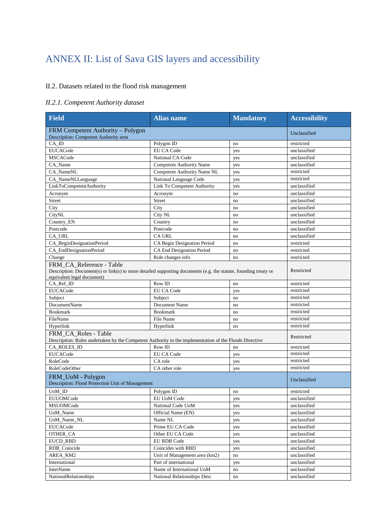## ANNEX II: List of Sava GIS layers and accessibility

#### II.2. Datasets related to the flood risk management

### *II.2.1. Competent Authority dataset*

| <b>Field</b>                                                                                                                                                              | <b>Alias name</b>                  | <b>Mandatory</b>    | <b>Accessibility</b> |
|---------------------------------------------------------------------------------------------------------------------------------------------------------------------------|------------------------------------|---------------------|----------------------|
| FRM Competent Authority - Polygon<br>Description: Competent Authority area                                                                                                |                                    |                     | Unclassified         |
| CA ID                                                                                                                                                                     | Polygon ID                         | no                  | restricted           |
| <b>EUCACode</b>                                                                                                                                                           | <b>EU CA Code</b>                  | yes                 | unclassified         |
| <b>MSCACode</b>                                                                                                                                                           | National CA Code                   | yes                 | unclassified         |
| CA_Name                                                                                                                                                                   | <b>Competent Authority Name</b>    | yes                 | unclassified         |
| CA NameNL                                                                                                                                                                 | Competent Authority Name NL        | yes                 | restricted           |
| CA_NameNLLanguage                                                                                                                                                         | National Language Code             | yes                 | restricted           |
| LinkToCompetentAuthority                                                                                                                                                  | <b>Link To Competent Authority</b> | yes                 | unclassified         |
| Acronym                                                                                                                                                                   | Acronym                            | no                  | unclassified         |
| <b>Street</b>                                                                                                                                                             | Street                             | no                  | unclassified         |
| City                                                                                                                                                                      | City                               | no                  | unclassified         |
| CityNL                                                                                                                                                                    | City NL                            | no                  | unclassified         |
| Country_EN                                                                                                                                                                | Country                            | no                  | unclassified         |
| Postcode                                                                                                                                                                  | Postcode                           | no                  | unclassified         |
| CA URL                                                                                                                                                                    | <b>CA URL</b>                      | no                  | unclassified         |
| CA_BeginDesignationPeriod                                                                                                                                                 | CA Begin Designation Period        | no                  | restricted           |
| CA_EndDesignationPeriod                                                                                                                                                   | <b>CA End Designation Period</b>   | no                  | restricted           |
| Change                                                                                                                                                                    | Role changes info                  | no                  | restricted           |
| FRM_CA_Reference - Table<br>Description: Document(s) or link(s) to more detailed supporting documents (e.g. the statute, founding treaty or<br>equivalent legal document) |                                    | Restricted          |                      |
| CA_Ref_ID                                                                                                                                                                 | <b>Row ID</b>                      | no                  | restricted           |
| <b>EUCACode</b>                                                                                                                                                           | <b>EU CA Code</b>                  | yes                 | restricted           |
| Subject                                                                                                                                                                   | Subject                            | no                  | restricted           |
| <b>DocumentName</b>                                                                                                                                                       | Document Name                      | no                  | restricted           |
| <b>Bookmark</b>                                                                                                                                                           | <b>Bookmark</b>                    | no                  | restricted           |
| FileName                                                                                                                                                                  | File Name                          | no                  | restricted           |
| Hyperlink                                                                                                                                                                 | Hyperlink                          | no                  | restricted           |
| FRM CA Roles - Table<br>Description: Roles undertaken by the Competent Authority in the implementation of the Floods Directive                                            |                                    |                     | Restricted           |
| CA_ROLES_ID                                                                                                                                                               | Row ID                             | no                  | restricted           |
| <b>EUCACode</b>                                                                                                                                                           | <b>EU CA Code</b>                  | yes                 | restricted           |
| RoleCode                                                                                                                                                                  | CA role                            | yes                 | restricted           |
| RoleCodeOther                                                                                                                                                             | CA other role                      | yes                 | restricted           |
| FRM_UoM - Polygon<br>Description: Flood Protection Unit of Management                                                                                                     |                                    |                     | Unclassified         |
| $UoM$ _ID                                                                                                                                                                 | Polygon ID                         | no                  | restricted           |
| <b>EUUOMCode</b>                                                                                                                                                          | EU UoM Code                        | yes                 | unclassified         |
| MSUOMCode                                                                                                                                                                 | National Code UoM                  | yes                 | unclassified         |
| UoM_Name                                                                                                                                                                  | Official Name (EN)                 | yes                 | unclassified         |
| UoM_Name_NL                                                                                                                                                               | Name NL                            | yes                 | unclassified         |
| <b>EUCACode</b>                                                                                                                                                           | Prime EU CA Code                   | yes                 | unclassified         |
| OTHER_CA                                                                                                                                                                  | Other EU CA Code                   | yes                 | unclassified         |
| <b>EUCD_RBD</b>                                                                                                                                                           | EU RDB Code                        | yes                 | unclassified         |
| RDB_Coincide                                                                                                                                                              | Coincides with RBD                 | yes                 | unclassified         |
| AREA KM2                                                                                                                                                                  | Unit of Management area (km2)      | $\operatorname{no}$ | unclassified         |
| International                                                                                                                                                             | Part of international              | yes                 | unclassified         |
| <b>InterName</b>                                                                                                                                                          | Name of International UoM          | no                  | unclassified         |
| NationalRelationships                                                                                                                                                     | National Relationships Desc        | no                  | unclassified         |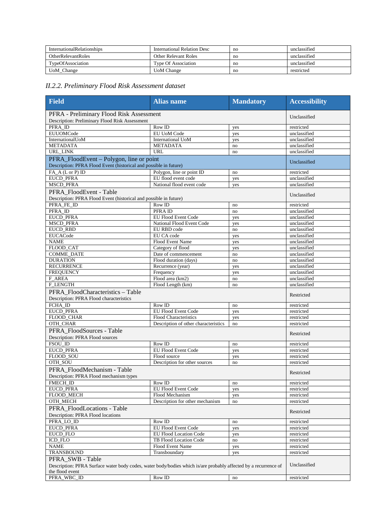| <b>InternationalRelationships</b> | International Relation Desc | no | unclassified |
|-----------------------------------|-----------------------------|----|--------------|
| <b>OtherRelevantRoles</b>         | Other Relevant Roles        | no | unclassified |
| TypeOfAssociation                 | <b>Type Of Association</b>  | no | unclassified |
| UoM_Change                        | <b>UoM</b> Change           | no | restricted   |

#### *II.2.2. Preliminary Flood Risk Assessment dataset*

| Field                                                                                                                                                  | <b>Alias name</b>                    | <b>Mandatory</b> | <b>Accessibility</b>     |
|--------------------------------------------------------------------------------------------------------------------------------------------------------|--------------------------------------|------------------|--------------------------|
| PFRA - Preliminary Flood Risk Assessment<br>Description: Preliminary Flood Risk Assessment                                                             |                                      |                  | Unclassified             |
| PFRA ID                                                                                                                                                | $\overline{\text{Row}}$ ID           | yes              | restricted               |
| <b>EUUOMCode</b>                                                                                                                                       | EU UoM Code                          | yes              | unclassified             |
| InternationalUoM                                                                                                                                       | <b>International UoM</b>             | yes              | unclassified             |
| <b>METADATA</b>                                                                                                                                        | <b>METADATA</b>                      | no               | unclassified             |
| URL_LINK                                                                                                                                               | URL                                  | no               | unclassified             |
| PFRA_FloodEvent – Polygon, line or point<br>Description: PFRA Flood Event (historical and possible in future)                                          |                                      |                  | Unclassified             |
| FA_A (L or P) ID                                                                                                                                       | Polygon, line or point ID            | no               | restricted               |
| <b>EUCD PFRA</b>                                                                                                                                       | EU flood event code                  | yes              | unclassified             |
| <b>MSCD_PFRA</b>                                                                                                                                       | National flood event code            | yes              | unclassified             |
| PFRA FloodEvent - Table<br>Description: PFRA Flood Event (historical and possible in future)                                                           |                                      |                  | Unclassified             |
| PFRA FE ID                                                                                                                                             | Row ID                               | no               | restricted               |
| PFRA ID                                                                                                                                                | PFRA ID                              | no               | unclassified             |
| <b>EUCD_PFRA</b>                                                                                                                                       | <b>EU Flood Event Code</b>           | yes              | unclassified             |
| <b>MSCD_PFRA</b>                                                                                                                                       | National Flood Event Code            | yes              | unclassified             |
| <b>EUCD_RBD</b>                                                                                                                                        | EU RBD code                          | no               | unclassified             |
| <b>EUCACode</b>                                                                                                                                        | EU CA code                           | yes              | unclassified             |
| <b>NAME</b>                                                                                                                                            | Flood Event Name                     | yes              | unclassified             |
| FLOOD_CAT                                                                                                                                              | Category of flood                    | yes              | unclassified             |
| <b>COMME_DATE</b>                                                                                                                                      | Date of commencement                 | no               | unclassified             |
| <b>DURATION</b>                                                                                                                                        | Flood duration (days)                | no               | unclassified             |
| <b>RECURRENCE</b>                                                                                                                                      | Recurrence (year)                    | yes              | unclassified             |
| <b>FREQUENCY</b>                                                                                                                                       | Frequency                            | yes              | unclassified             |
| <b>F_AREA</b>                                                                                                                                          | Flood area (km2)                     | no               | unclassified             |
| <b>F_LENGTH</b>                                                                                                                                        | Flood Length (km)                    | no               | unclassified             |
| PFRA_FloodCharacteristics-Table<br>Description: PFRA Flood characteristics                                                                             |                                      |                  | Restricted               |
| FCHA_ID                                                                                                                                                | Row ID                               | no               | restricted               |
| <b>EUCD PFRA</b>                                                                                                                                       | <b>EU Flood Event Code</b>           | yes              | restricted               |
| FLOOD_CHAR                                                                                                                                             | <b>Flood Characteristics</b>         | yes              | restricted               |
| OTH_CHAR                                                                                                                                               | Description of other characteristics | no               | restricted               |
| PFRA FloodSources - Table<br>Description: PFRA Flood sources                                                                                           |                                      |                  | Restricted               |
| FSOU_ID                                                                                                                                                | Row ID                               | no               | restricted               |
| <b>EUCD PFRA</b>                                                                                                                                       | <b>EU Flood Event Code</b>           | yes              | restricted               |
| FLOOD_SOU                                                                                                                                              | Flood source                         | yes              | restricted               |
| OTH_SOU                                                                                                                                                | Description for other sources        | no               | restricted               |
| PFRA_FloodMechanism - Table<br>Description: PFRA Flood mechanism types                                                                                 |                                      |                  | Restricted               |
| FMECH_ID                                                                                                                                               | $Row$ ID                             | no               | restricted               |
| <b>EUCD PFRA</b>                                                                                                                                       | EU Flood Event Code                  | yes              | restricted               |
| FLOOD_MECH                                                                                                                                             | Flood Mechanism                      | yes              | restricted               |
| OTH_MECH                                                                                                                                               | Description for other mechanism      | no               | restricted               |
| PFRA_FloodLocations - Table<br>Description: PFRA Flood locations                                                                                       |                                      |                  | Restricted               |
| PFRA_LO_ID                                                                                                                                             | Row ID                               |                  |                          |
| <b>EUCD PFRA</b>                                                                                                                                       | <b>EU Flood Event Code</b>           | no<br>yes        | restricted<br>restricted |
| EUCD_FLO                                                                                                                                               | <b>EU Flood Location Code</b>        | yes              | restricted               |
| <b>ICD_FLO</b>                                                                                                                                         | TB Flood Location Code               | no               | restricted               |
| <b>NAME</b>                                                                                                                                            | Flood Event Name                     | yes              | restricted               |
| TRANSBOUND                                                                                                                                             | Transboundary                        |                  | restricted               |
|                                                                                                                                                        |                                      | yes              |                          |
| PFRA SWB - Table<br>Description: PFRA Surface water body codes, water body/bodies which is/are probably affected by a recurrence of<br>the flood event |                                      |                  | Unclassified             |
| PFRA_WBC_ID                                                                                                                                            | Row ID                               | no               | restricted               |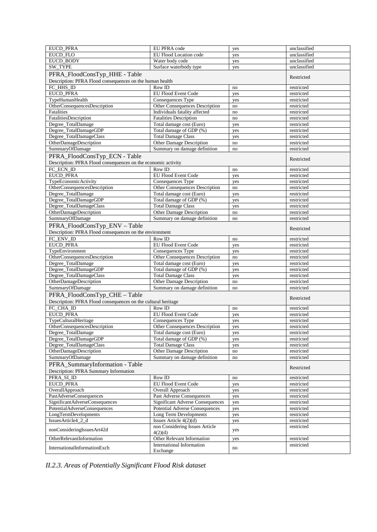| <b>EUCD PFRA</b>                                              | EU PFRA code                            | yes | unclassified |
|---------------------------------------------------------------|-----------------------------------------|-----|--------------|
| <b>EUCD FLO</b>                                               | EU Flood Location code                  | yes | unclassified |
| <b>EUCD BODY</b>                                              | Water body code                         | yes | unclassified |
| SW_TYPE                                                       | Surface waterbody type                  | yes | unclassified |
| PFRA_FloodConsTyp_HHE - Table                                 |                                         |     | Restricted   |
| Description: PFRA Flood consequences on the human health      |                                         |     |              |
| FC HHS ID                                                     | Row ID                                  | no  | restricted   |
| <b>EUCD_PFRA</b>                                              | <b>EU Flood Event Code</b>              | yes | restricted   |
| TypeHumanHealth                                               | Consequences Type                       | yes | restricted   |
| OtherConsequencesDescription                                  | Other Consequences Description          | no  | restricted   |
| Fatalities                                                    | Individuals fatality affected           | no  | restricted   |
| FatalitiesDescription                                         | <b>Fatalities Description</b>           | no  | restricted   |
| Degree_TotalDamage                                            | Total damage cost (Euro)                | yes | restricted   |
| Degree_TotalDamageGDP                                         | Total damage of GDP (%)                 | yes | restricted   |
| Degree_TotalDamageClass                                       | <b>Total Damage Class</b>               | yes | restricted   |
| OtherDamageDescription                                        | Other Damage Description                | no  | restricted   |
| SummaryOfDamage                                               | Summary on damage definition            | no  | restricted   |
| PFRA_FloodConsTyp_ECN - Table                                 |                                         |     |              |
| Description: PFRA Flood consequences on the economic activity |                                         |     | Restricted   |
| FC_ECN_ID                                                     | Row ID                                  | no  | restricted   |
| <b>EUCD PFRA</b>                                              | <b>EU Flood Event Code</b>              | yes | restricted   |
| TypeEconomicActivity                                          | Consequences Type                       | yes | restricted   |
| OtherConsequencesDescription                                  | Other Consequences Description          | no  | restricted   |
| Degree_TotalDamage                                            | Total damage cost (Euro)                | yes | restricted   |
| Degree_TotalDamageGDP                                         | Total damage of GDP (%)                 | yes | restricted   |
| Degree_TotalDamageClass                                       | <b>Total Damage Class</b>               |     | restricted   |
| OtherDamageDescription                                        | Other Damage Description                | yes | restricted   |
| SummaryOfDamage                                               | Summary on damage definition            | no  | restricted   |
|                                                               |                                         | no  |              |
| PFRA_FloodConsTyp_ENV - Table                                 |                                         |     | Restricted   |
| Description: PFRA Flood consequences on the environment       |                                         |     |              |
| FC_ENV_ID                                                     | Row ID                                  | no  | restricted   |
| <b>EUCD PFRA</b>                                              | <b>EU Flood Event Code</b>              | yes | restricted   |
| TypeEnvironment                                               | Consequences Type                       | yes | restricted   |
| OtherConsequencesDescription                                  | Other Consequences Description          | no  | restricted   |
| Degree_TotalDamage                                            | Total damage cost (Euro)                | yes | restricted   |
| Degree_TotalDamageGDP                                         | Total damage of GDP (%)                 | yes | restricted   |
| Degree_TotalDamageClass                                       | <b>Total Damage Class</b>               | yes | restricted   |
| OtherDamageDescription                                        | Other Damage Description                | no  | restricted   |
| SummaryOfDamage                                               | Summary on damage definition            | no  | restricted   |
| PFRA_FloodConsTyp_CHE - Table                                 |                                         |     | Restricted   |
| Description: PFRA Flood consequences on the cultural heritage |                                         |     |              |
| FC_CHA_ID                                                     | Row ID                                  | no  | restricted   |
| <b>EUCD_PFRA</b>                                              | EU Flood Event Code                     | yes | restricted   |
| TypeCulturalHeritage                                          | Consequences Type                       | yes | restricted   |
| OtherConsequencesDescription                                  | Other Consequences Description          | yes | restricted   |
| Degree_TotalDamage                                            | Total damage cost (Euro)                | yes | restricted   |
| Degree_TotalDamageGDP                                         | Total damage of GDP (%)                 | yes | restricted   |
| Degree_TotalDamageClass                                       | <b>Total Damage Class</b>               | yes | restricted   |
| OtherDamageDescription                                        | Other Damage Description                | no  | restricted   |
| SummaryOfDamage                                               | Summary on damage definition            | no  | restricted   |
| PFRA_SummaryInformation - Table                               |                                         |     |              |
| Description: PFRA Summary Information                         |                                         |     | Restricted   |
| PFRA_SI_ID                                                    | Row ID                                  | no  | restricted   |
| <b>EUCD_PFRA</b>                                              | <b>EU Flood Event Code</b>              | yes | restricted   |
| OverallApproach                                               | Overall Approach                        | yes | restricted   |
| PastAdverseConsequences                                       | Past Adverse Consequences               | yes | restricted   |
| SignificantAdverseConsequences                                | <b>Significant Adverse Consequences</b> | yes | restricted   |
| PotentialAdverseConsequences                                  | <b>Potential Adverse Consequences</b>   | yes | restricted   |
| LongTermDevelopments                                          | Long Term Developments                  | yes | restricted   |
| IssuesArticle4_2_d                                            | Issues Article 4(2)(d)                  |     | restricted   |
|                                                               | non Considering Issues Article          | yes | restricted   |
| nonConsideringIssuesArt42d                                    | 4(2)(d)                                 | yes |              |
| OtherRelevantInformation                                      | Other Relevant Information              | yes | restricted   |
|                                                               | <b>International Information</b>        |     | restricted   |
| InternationalInformationExch                                  | Exchange                                | no  |              |

*II.2.3. Areas of Potentially Significant Flood Risk dataset*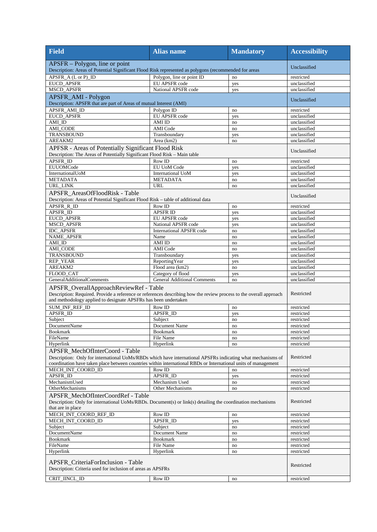| <b>Field</b>                                                                                                                                                                                                                                                    | <b>Alias name</b>                  | <b>Mandatory</b> | <b>Accessibility</b>       |
|-----------------------------------------------------------------------------------------------------------------------------------------------------------------------------------------------------------------------------------------------------------------|------------------------------------|------------------|----------------------------|
| APSFR – Polygon, line or point<br>Description: Areas of Potential Significant Flood Risk represented as polygons (recommended for areas                                                                                                                         |                                    |                  | Unclassified               |
|                                                                                                                                                                                                                                                                 |                                    |                  |                            |
| APSFR_A (L or P)_ID                                                                                                                                                                                                                                             | Polygon, line or point ID          | no               | restricted                 |
| <b>EUCD_APSFR</b>                                                                                                                                                                                                                                               | EU APSFR code                      | yes              | unclassified               |
| MSCD_APSFR                                                                                                                                                                                                                                                      | National APSFR code                | yes              | unclassified               |
| APSFR_AMI - Polygon<br>Description: APSFR that are part of Areas of mutual Interest (AMI)                                                                                                                                                                       |                                    |                  | Unclassified               |
| APSFR AMI ID                                                                                                                                                                                                                                                    | Polygon ID                         | no               | restricted                 |
| <b>EUCD APSFR</b>                                                                                                                                                                                                                                               | <b>EU APSFR</b> code               | yes              | unclassified               |
| AMI_ID                                                                                                                                                                                                                                                          | AMI ID                             | no               | unclassified               |
| AMI CODE                                                                                                                                                                                                                                                        | <b>AMI</b> Code                    | no               | unclassified               |
| TRANSBOUND                                                                                                                                                                                                                                                      | Transboundary                      | yes              | unclassified               |
| AREAKM2                                                                                                                                                                                                                                                         | Area (km2)                         | no               | unclassified               |
| APFSR - Areas of Potentially Significant Flood Risk<br>Description: The Areas of Potentially Significant Flood Risk - Main table                                                                                                                                |                                    |                  | Unclassified               |
| APSFR ID                                                                                                                                                                                                                                                        | Row ID                             | no               | restricted                 |
| <b>EUUOMCode</b>                                                                                                                                                                                                                                                | <b>EU UoM Code</b>                 | yes              | unclassified               |
| InternationalUoM                                                                                                                                                                                                                                                | <b>International UoM</b>           | yes              | unclassified               |
| <b>METADATA</b>                                                                                                                                                                                                                                                 | <b>METADATA</b>                    | no               | unclassified               |
| URL LINK                                                                                                                                                                                                                                                        | <b>URL</b>                         | no               | unclassified               |
| APSFR_AreasOfFloodRisk - Table<br>Description: Areas of Potential Significant Flood Risk - table of additional data                                                                                                                                             |                                    |                  | Unclassified               |
| APSFR_R_ID                                                                                                                                                                                                                                                      | Row ID                             |                  |                            |
| APSFR_ID                                                                                                                                                                                                                                                        | <b>APSFR ID</b>                    | no               | restricted<br>unclassified |
| <b>EUCD APSFR</b>                                                                                                                                                                                                                                               | <b>EU APSFR code</b>               | yes<br>yes       | unclassified               |
| MSCD_APSFR                                                                                                                                                                                                                                                      | National APSFR code                |                  | unclassified               |
| <b>IDC APSFR</b>                                                                                                                                                                                                                                                | <b>International APSFR code</b>    | yes<br>no        | unclassified               |
| <b>NAME_APSFR</b>                                                                                                                                                                                                                                               | Name                               | no               | unclassified               |
| AMI_ID                                                                                                                                                                                                                                                          | AMI ID                             | no               | unclassified               |
| <b>AMI_CODE</b>                                                                                                                                                                                                                                                 | <b>AMI</b> Code                    | no               | unclassified               |
| <b>TRANSBOUND</b>                                                                                                                                                                                                                                               | Transboundary                      | yes              | unclassified               |
| <b>REP_YEAR</b>                                                                                                                                                                                                                                                 | ReportingYear                      | yes              | unclassified               |
| AREAKM2                                                                                                                                                                                                                                                         | Flood area (km2)                   | no               | unclassified               |
| FLOOD CAT                                                                                                                                                                                                                                                       | Category of flood                  | yes              | unclassified               |
| GeneralAdditionalComments                                                                                                                                                                                                                                       | <b>General Additional Comments</b> | no               | unclassified               |
| APSFR_OverallApproachReviewRef - Table<br>Description: Required. Provide a reference or references describing how the review process to the overall approach<br>and methodology applied to designate APSFRs has been undertaken                                 | Restricted                         |                  |                            |
| <b>SUM_INF_REF_ID</b>                                                                                                                                                                                                                                           | Row ID                             | no               | restricted                 |
| APSFR_ID                                                                                                                                                                                                                                                        | APSFR ID                           | yes              | restricted                 |
| Subject                                                                                                                                                                                                                                                         | Subiect                            | no               | restricted                 |
| DocumentName                                                                                                                                                                                                                                                    | Document Name                      | no               | restricted                 |
| <b>Bookmark</b>                                                                                                                                                                                                                                                 | <b>Bookmark</b>                    | no               | restricted                 |
| FileName                                                                                                                                                                                                                                                        | File Name                          | no               | restricted                 |
| Hyperlink                                                                                                                                                                                                                                                       | Hyperlink                          | no               | restricted                 |
| APSFR_MechOfInterCoord - Table<br>Description: Only for international UoMs/RBDs which have international APSFRs indicating what mechanisms of<br>coordination have taken place between countries within international RBDs or International units of management |                                    |                  | Restricted                 |
| MECH INT COORD ID                                                                                                                                                                                                                                               | Row ID                             | no               | restricted                 |
| APSFR_ID                                                                                                                                                                                                                                                        | APSFR_ID                           | yes              | restricted                 |
| MechanismUsed                                                                                                                                                                                                                                                   | Mechanism Used                     | no               | restricted                 |
| OtherMechanisms                                                                                                                                                                                                                                                 | Other Mechanisms                   | no               | restricted                 |
| APSFR_MechOfInterCoordRef - Table<br>Description: Only for international UoMs/RBDs. Document(s) or link(s) detailing the coordination mechanisms<br>that are in place                                                                                           | Restricted                         |                  |                            |
| MECH_INT_COORD_REF_ID                                                                                                                                                                                                                                           | Row ID                             | no               | restricted                 |
| MECH_INT_COORD_ID                                                                                                                                                                                                                                               | APSFR_ID                           | yes              | restricted                 |
| Subject                                                                                                                                                                                                                                                         | Subject                            | no               | restricted                 |
| DocumentName                                                                                                                                                                                                                                                    | Document Name                      | no               | restricted                 |
| <b>Bookmark</b>                                                                                                                                                                                                                                                 | <b>Bookmark</b>                    | no               | restricted                 |
| FileName                                                                                                                                                                                                                                                        | File Name                          | no               | restricted                 |
| Hyperlink                                                                                                                                                                                                                                                       | Hyperlink                          | no               | restricted                 |
| APSFR_CriteriaForInclusion - Table<br>Description: Criteria used for inclusion of areas as APSFRs                                                                                                                                                               |                                    |                  | Restricted                 |
| CRIT_IINCL_ID                                                                                                                                                                                                                                                   | Row ID                             | no               | restricted                 |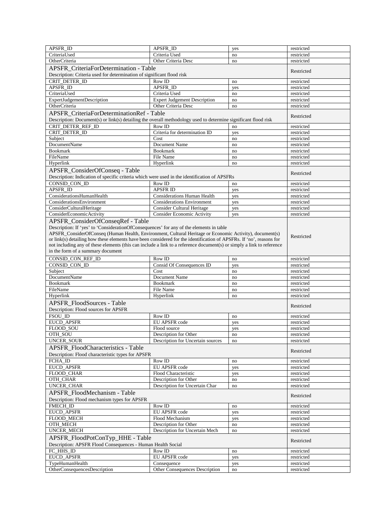| APSFR_ID                                                                                                              | APSFR ID                                      | yes       | restricted               |
|-----------------------------------------------------------------------------------------------------------------------|-----------------------------------------------|-----------|--------------------------|
| CriteriaUsed                                                                                                          | Criteria Used                                 | no        | restricted               |
| OtherCriteria                                                                                                         | Other Criteria Desc                           | no        | restricted               |
| APSFR CriteriaForDetermination - Table                                                                                |                                               |           |                          |
|                                                                                                                       |                                               |           | Restricted               |
| Description: Criteria used for determination of significant flood risk                                                |                                               |           |                          |
| CRIT DETER ID                                                                                                         | Row ID                                        | no        | restricted               |
| APSFR ID                                                                                                              | APSFR ID                                      | yes       | restricted               |
| CriteriaUsed                                                                                                          | Criteria Used                                 | no        | restricted               |
| ExpertJudgementDescription                                                                                            | <b>Expert Judgement Description</b>           | no        | restricted               |
| OtherCriteria                                                                                                         | Other Criteria Desc                           | no        | restricted               |
| APSFR_CriteriaForDeterminationRef - Table                                                                             |                                               |           |                          |
| Description: Document(s) or link(s) detailing the overall methodology used to determine significant flood risk        |                                               |           | Restricted               |
| CRIT DETER REF ID                                                                                                     | Row ID                                        |           |                          |
|                                                                                                                       | Criteria for determination ID                 | no        | restricted               |
| CRIT_DETER_ID                                                                                                         |                                               | yes       | restricted               |
| Subject                                                                                                               | Cost                                          | no        | restricted               |
| <b>DocumentName</b>                                                                                                   | Document Name                                 | no        | restricted               |
| <b>Bookmark</b>                                                                                                       | <b>Bookmark</b>                               | no        | restricted               |
| FileName                                                                                                              | File Name                                     | no        | restricted               |
| Hyperlink                                                                                                             | Hyperlink                                     | no        | restricted               |
| APSFR_ConsiderOfConseq - Table                                                                                        |                                               |           |                          |
| Description: Indication of specific criteria which were used in the identification of APSFRs                          |                                               |           | Restricted               |
| CONSID CON ID                                                                                                         | Row ID                                        |           |                          |
|                                                                                                                       |                                               | no        | restricted               |
| APSFR_ID                                                                                                              | <b>APSFR ID</b>                               | yes       | restricted               |
| ConsiderationsHumanHealth                                                                                             | <b>Considerations Human Health</b>            | yes       | restricted               |
| ConsiderationsEnvironment                                                                                             | <b>Considerations Environment</b>             | yes       | restricted               |
| ConsiderCulturalHeritage                                                                                              | <b>Consider Cultural Heritage</b>             | yes       | restricted               |
| <b>ConsiderEconomicActivity</b>                                                                                       | <b>Consider Economic Activity</b>             | yes       | restricted               |
| APSFR_ConsiderOfConseqRef - Table                                                                                     |                                               |           |                          |
| Description: If 'yes' to 'ConsiderationOfConsequences' for any of the elements in table                               |                                               |           |                          |
| APSFR_ConsiderOfConseq (Human Health, Environment, Cultural Heritage or Economic Activity), document(s)               |                                               |           |                          |
| or link(s) detailing how these elements have been considered for the identification of APSFRs. If 'no', reasons for   |                                               |           | Restricted               |
| not including any of these elements (this can include a link to a reference document(s) or simply a link to reference |                                               |           |                          |
| in the form of a summary document                                                                                     |                                               |           |                          |
|                                                                                                                       |                                               |           |                          |
| CONSID_CON_REF_ID                                                                                                     | Row ID                                        | no        | restricted               |
| CONSID_CON_ID                                                                                                         |                                               |           |                          |
|                                                                                                                       | Consid Of Consequences ID                     | yes       | restricted               |
| Subject                                                                                                               | Cost                                          | no        | restricted               |
| <b>DocumentName</b>                                                                                                   | Document Name                                 | no        | restricted               |
| <b>Bookmark</b>                                                                                                       | <b>Bookmark</b>                               | no        | restricted               |
| FileName                                                                                                              | File Name                                     | no        | restricted               |
|                                                                                                                       |                                               |           | restricted               |
| Hyperlink                                                                                                             | Hyperlink                                     | no        |                          |
| APSFR_FloodSources - Table                                                                                            |                                               |           | Restricted               |
| Description: Flood sources for APSFR                                                                                  |                                               |           |                          |
| FSOU ID                                                                                                               | Row ID                                        | no        | restricted               |
| <b>EUCD_APSFR</b>                                                                                                     | EU APSFR code                                 | yes       | restricted               |
| FLOOD_SOU                                                                                                             | Flood source                                  | yes       | restricted               |
| OTH_SOU                                                                                                               | Description for Other                         | no        | restricted               |
| UNCER_SOUR                                                                                                            | Description for Uncertain sources             | no        | restricted               |
|                                                                                                                       |                                               |           |                          |
| <b>APSFR</b> FloodCharacteristics - Table                                                                             |                                               |           | Restricted               |
| Description: Flood characteristic types for APSFR                                                                     |                                               |           |                          |
| FCHA_ID                                                                                                               | Row ID                                        | no        | restricted               |
| <b>EUCD_APSFR</b>                                                                                                     | EU APSFR code                                 | yes       | restricted               |
| FLOOD_CHAR                                                                                                            | Flood Characteristic                          | yes       | restricted               |
| OTH_CHAR                                                                                                              | Description for Other                         | no        | restricted               |
| UNCER_CHAR                                                                                                            | Description for Uncertain Char                | no        | restricted               |
|                                                                                                                       |                                               |           |                          |
| APSFR FloodMechanism - Table                                                                                          |                                               |           | Restricted               |
| Description: Flood mechanism types for APSFR                                                                          |                                               |           |                          |
| FMECH_ID                                                                                                              | Row ID                                        | no        | restricted               |
| <b>EUCD_APSFR</b>                                                                                                     | EU APSFR code                                 | yes       | restricted               |
| FLOOD_MECH                                                                                                            | Flood Mechanism                               | yes       | restricted               |
| OTH_MECH                                                                                                              | Description for Other                         | no        | restricted               |
| UNCER_MECH                                                                                                            | Description for Uncertain Mech                | no        | restricted               |
|                                                                                                                       |                                               |           |                          |
| APSFR_FloodPotConTyp_HHE - Table                                                                                      |                                               |           | Restricted               |
| Description: APSFR Flood Consequences - Human Health Social                                                           |                                               |           |                          |
| FC_HHS_ID                                                                                                             | Row ID                                        | no        | restricted               |
| <b>EUCD_APSFR</b>                                                                                                     | EU APSFR code                                 | yes       | restricted               |
| TypeHumanHealth<br>OtherConsequencesDescription                                                                       | Consequence<br>Other Consequences Description | yes<br>no | restricted<br>restricted |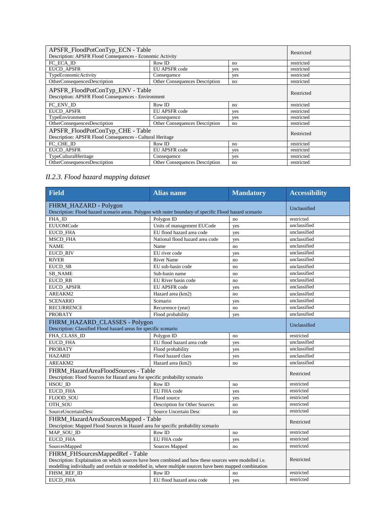| APSFR_FloodPotConTyp_ECN - Table                                                              |                                       |     | Restricted |
|-----------------------------------------------------------------------------------------------|---------------------------------------|-----|------------|
| Description: APSFR Flood Consequences - Economic Activity                                     |                                       |     |            |
| FC ECA ID                                                                                     | Row ID                                | no  | restricted |
| <b>EUCD APSFR</b>                                                                             | EU APSFR code                         | yes | restricted |
| TypeEconomicActivity                                                                          | Consequence                           | yes | restricted |
| OtherConsequencesDescription                                                                  | <b>Other Consequences Description</b> | no  | restricted |
| APSFR_FloodPotConTyp_ENV - Table<br>Description: APSFR Flood Consequences - Environment       |                                       |     | Restricted |
| FC ENV ID                                                                                     | Row ID                                | no  | restricted |
| <b>EUCD APSFR</b>                                                                             | EU APSFR code                         | yes | restricted |
| TypeEnvironment                                                                               | Consequence                           | yes | restricted |
| OtherConsequencesDescription                                                                  | <b>Other Consequences Description</b> | no  | restricted |
| APSFR_FloodPotConTyp_CHE - Table<br>Description: APSFR Flood Consequences - Cultural Heritage |                                       |     | Restricted |
| FC CHE ID                                                                                     | Row ID                                | no  | restricted |
| <b>EUCD APSFR</b>                                                                             | EU APSFR code                         | yes | restricted |
| TypeCulturalHeritage                                                                          | Consequence                           | yes | restricted |
| OtherConsequencesDescription                                                                  | <b>Other Consequences Description</b> | no  | restricted |

### *II.2.3. Flood hazard mapping dataset*

| <b>Field</b>                                                                                                                                                                                                                                         | <b>Alias name</b>               | <b>Mandatory</b> | <b>Accessibility</b> |
|------------------------------------------------------------------------------------------------------------------------------------------------------------------------------------------------------------------------------------------------------|---------------------------------|------------------|----------------------|
| FHRM_HAZARD - Polygon<br>Description: Flood hazard scenario areas. Polygon with outer boundary of specific Flood hazard scenario                                                                                                                     | Unclassified                    |                  |                      |
| FHA ID                                                                                                                                                                                                                                               | Polygon ID                      | no               | restricted           |
| <b>EUUOMCode</b>                                                                                                                                                                                                                                     | Units of management EUCode      | yes              | unclassified         |
| <b>EUCD FHA</b>                                                                                                                                                                                                                                      | EU flood hazard area code       | yes              | unclassified         |
| <b>MSCD FHA</b>                                                                                                                                                                                                                                      | National flood hazard area code | yes              | unclassified         |
| <b>NAME</b>                                                                                                                                                                                                                                          | Name                            | no               | unclassified         |
| <b>EUCD RIV</b>                                                                                                                                                                                                                                      | EU river code                   | yes              | unclassified         |
| <b>RIVER</b>                                                                                                                                                                                                                                         | <b>River Name</b>               | no               | unclassified         |
| <b>EUCD_SB</b>                                                                                                                                                                                                                                       | EU sub-basin code               | no               | unclassified         |
| <b>SB_NAME</b>                                                                                                                                                                                                                                       | Sub-basin name                  | no               | unclassified         |
| EUCD_RB                                                                                                                                                                                                                                              | EU River basin code             | no               | unclassified         |
| <b>EUCD_APSFR</b>                                                                                                                                                                                                                                    | <b>EU APSFR code</b>            | yes              | unclassified         |
| AREAKM2                                                                                                                                                                                                                                              | Hazard area (km2)               | no               | unclassified         |
| <b>SCENARIO</b>                                                                                                                                                                                                                                      | Scenario                        | yes              | unclassified         |
| <b>RECURRENCE</b>                                                                                                                                                                                                                                    | Recurrence (year)               | no               | unclassified         |
| <b>PROBATY</b>                                                                                                                                                                                                                                       | Flood probability               | yes              | unclassified         |
| FHRM_HAZARD_CLASSES - Polygon<br>Description: Classified Flood hazard areas for specific scenario                                                                                                                                                    |                                 | Unclassified     |                      |
| FHA_CLASS_ID                                                                                                                                                                                                                                         | Polygon ID                      | no               | restricted           |
| <b>EUCD_FHA</b>                                                                                                                                                                                                                                      | EU flood hazard area code       | yes              | unclassified         |
| <b>PROBATY</b>                                                                                                                                                                                                                                       | Flood probability               | yes              | unclassified         |
| <b>HAZARD</b>                                                                                                                                                                                                                                        | Flood hazard class              | yes              | unclassified         |
| AREAKM2                                                                                                                                                                                                                                              | Hazard area (km2)               | no               | unclassified         |
| FHRM HazardAreaFloodSources - Table<br>Description: Flood Sources for Hazard area for specific probability scenario                                                                                                                                  |                                 |                  | Restricted           |
| HSOU ID                                                                                                                                                                                                                                              | Row ID                          | no               | restricted           |
| <b>EUCD FHA</b>                                                                                                                                                                                                                                      | <b>EU FHA code</b>              | yes              | restricted           |
| FLOOD_SOU                                                                                                                                                                                                                                            | Flood source                    | yes              | restricted           |
| OTH SOU                                                                                                                                                                                                                                              | Description for Other Sources   | no               | restricted           |
| SourceUncertainDesc                                                                                                                                                                                                                                  | Source Uncertain Desc           | no               | restricted           |
| FHRM_HazardAreaSourcesMapped - Table<br>Description: Mapped Flood Sources in Hazard area for specific probability scenario                                                                                                                           |                                 |                  | Restricted           |
| MAP_SOU_ID                                                                                                                                                                                                                                           | Row ID                          | no               | restricted           |
| <b>EUCD FHA</b>                                                                                                                                                                                                                                      | EU FHA code                     | yes              | restricted           |
| SourcesMapped                                                                                                                                                                                                                                        | Sources Mapped                  | no               | restricted           |
| FHRM_FHSourcesMappedRef - Table<br>Description: Explaination on which sources have been combined and how these sources were modelled i.e.<br>modelling individually and overlain or modelled in, where multiple sources have been mapped combination |                                 |                  | Restricted           |
| FHSM_REF_ID                                                                                                                                                                                                                                          | Row ID                          | no               | restricted           |
| <b>EUCD FHA</b>                                                                                                                                                                                                                                      | EU flood hazard area code       | yes              | restricted           |
|                                                                                                                                                                                                                                                      |                                 |                  |                      |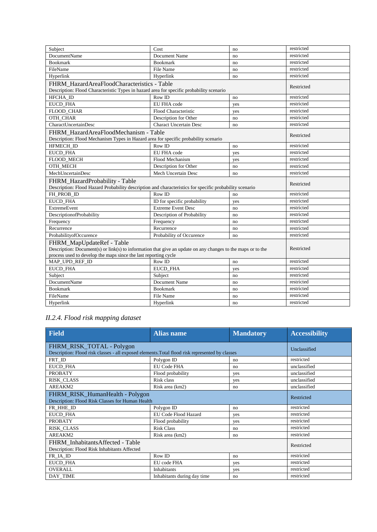| Subject                                                                                                     | Cost                          | no  | restricted               |
|-------------------------------------------------------------------------------------------------------------|-------------------------------|-----|--------------------------|
| <b>DocumentName</b>                                                                                         | Document Name                 | no  | restricted               |
| <b>Bookmark</b>                                                                                             | <b>Bookmark</b>               | no  | restricted               |
| FileName                                                                                                    | File Name                     | no  | restricted               |
| Hyperlink                                                                                                   | Hyperlink                     | no  | restricted               |
| FHRM_HazardAreaFloodCharacteristics - Table                                                                 |                               |     | Restricted               |
| Description: Flood Characteristic Types in hazard area for specific probability scenario                    |                               |     |                          |
| HFCHA_ID                                                                                                    | Row ID                        | no  | restricted               |
| <b>EUCD FHA</b>                                                                                             | EU FHA code                   | yes | restricted               |
| FLOOD_CHAR                                                                                                  | Flood Characteristic          | yes | restricted               |
| OTH CHAR                                                                                                    | Description for Other         | no  | restricted               |
| CharactUncertainDesc                                                                                        | <b>Charact Uncertain Desc</b> | no  | restricted               |
| FHRM HazardAreaFloodMechanism - Table                                                                       |                               |     |                          |
| Description: Flood Mechanism Types in Hazard area for specific probability scenario                         |                               |     | Restricted               |
| <b>HFMECH ID</b>                                                                                            | Row ID                        | no  | restricted               |
| <b>EUCD FHA</b>                                                                                             | <b>EU FHA code</b>            | yes | restricted               |
| FLOOD_MECH                                                                                                  | Flood Mechanism               | yes | restricted               |
| OTH MECH                                                                                                    | Description for Other         | no  | restricted               |
| MechUncertainDesc                                                                                           | Mech Uncertain Desc           | no  | restricted               |
| FHRM_HazardProbability - Table                                                                              |                               |     | Restricted               |
|                                                                                                             |                               |     |                          |
| Description: Flood Hazard Probability description and characteristics for specific probability scenario     |                               |     |                          |
| FH PROB ID                                                                                                  | Row ID                        | no  | restricted               |
| <b>EUCD FHA</b>                                                                                             | ID for specific probability   | yes | restricted               |
| <b>ExtremeEvent</b>                                                                                         | <b>Extreme Event Desc</b>     | no  | restricted               |
| DescriptionofProbability                                                                                    | Description of Probability    | no  | restricted               |
| Frequency                                                                                                   | Frequency                     | no  | restricted               |
| Recurrence                                                                                                  | Recurrence                    | no  | restricted               |
| ProbabilityofOccurence                                                                                      | Probability of Occurence      | no  | restricted               |
| FHRM MapUpdateRef - Table                                                                                   |                               |     |                          |
| Description: Document(s) or link(s) to information that give an update on any changes to the maps or to the |                               |     | Restricted               |
| process used to develop the maps since the last reporting cycle                                             |                               |     |                          |
| MAP_UPD_REF_ID                                                                                              | Row ID                        | no  | restricted               |
| EUCD_FHA                                                                                                    | EUCD_FHA                      | yes | restricted               |
| Subject                                                                                                     | Subject                       | no  | restricted               |
| <b>DocumentName</b>                                                                                         | Document Name                 | no  | restricted               |
| <b>Bookmark</b>                                                                                             | <b>Bookmark</b>               | no  | restricted               |
| FileName<br>Hyperlink                                                                                       | File Name<br>Hyperlink        | no  | restricted<br>restricted |

### *II.2.4. Flood risk mapping dataset*

| <b>Field</b>                                                                                    | <b>Alias name</b>           | <b>Mandatory</b> | <b>Accessibility</b> |
|-------------------------------------------------------------------------------------------------|-----------------------------|------------------|----------------------|
| FHRM_RISK_TOTAL - Polygon                                                                       | Unclassified                |                  |                      |
| Description: Flood risk classes - all exposed elements. Total flood risk represented by classes |                             |                  |                      |
| FRT_ID                                                                                          | Polygon ID                  | no               | restricted           |
| EUCD_FHA                                                                                        | <b>EU Code FHA</b>          | no               | unclassified         |
| <b>PROBATY</b>                                                                                  | Flood probability           | yes              | unclassified         |
| RISK_CLASS                                                                                      | Risk class                  | yes              | unclassified         |
| AREAKM2                                                                                         | Risk area (km2)             | no               | unclassified         |
| FHRM_RISK_HumanHealth - Polygon                                                                 |                             |                  |                      |
| Description: Flood Risk Classes for Human Health                                                | Restricted                  |                  |                      |
| FR_HHE_ID                                                                                       | Polygon ID                  | no               | restricted           |
| <b>EUCD FHA</b>                                                                                 | EU Code Flood Hazard        | yes              | restricted           |
| <b>PROBATY</b>                                                                                  | Flood probability           | yes              | restricted           |
| <b>RISK CLASS</b>                                                                               | <b>Risk Class</b>           | no               | restricted           |
| AREAKM2                                                                                         | Risk area (km2)             | no               | restricted           |
| FHRM Inhabitants Affected - Table                                                               | Restricted                  |                  |                      |
| Description: Flood Risk Inhabitants Affected                                                    |                             |                  |                      |
| FR_IA_ID                                                                                        | Row ID                      | no               | restricted           |
| <b>EUCD FHA</b>                                                                                 | EU code FHA                 | yes              | restricted           |
| <b>OVERALL</b>                                                                                  | Inhabitants                 | yes              | restricted           |
| DAY TIME                                                                                        | Inhabitants during day time | no               | restricted           |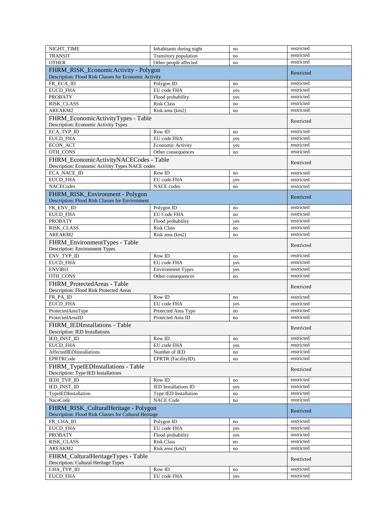| NIGHT_TIME                                                                 | Inhabitants during night    | no  | restricted |
|----------------------------------------------------------------------------|-----------------------------|-----|------------|
| <b>TRANSIT</b>                                                             | Transitory population       | no  | restricted |
| <b>OTHER</b>                                                               | Other people affected       | no  | restricted |
|                                                                            |                             |     |            |
| FHRM_RISK_EconomicActivity - Polygon                                       |                             |     | Restricted |
| Description: Flood Risk Classes for Economic Activity                      |                             |     |            |
| FR_ECA_ID                                                                  | Polygon ID                  | no  | restricted |
| <b>EUCD_FHA</b>                                                            | EU code FHA                 | yes | restricted |
| <b>PROBATY</b>                                                             | Flood probability           | yes | restricted |
| RISK_CLASS                                                                 | <b>Risk Class</b>           | no  | restricted |
| AREAKM2                                                                    | Risk area (km2)             | no  | restricted |
|                                                                            |                             |     |            |
| FHRM_EconomicActivityTypes - Table                                         |                             |     | Restricted |
| Description: Economic Activity Types                                       |                             |     |            |
| ECA_TYP_ID                                                                 | Row ID                      | no  | restricted |
| EUCD_FHA                                                                   | EU code FHA                 | yes | restricted |
| ECON_ACT                                                                   | Economic Activity           | yes | restricted |
| OTH_CONS                                                                   | Other consequences          | no  | restricted |
| FHRM_EconomicActivityNACECodes - Table                                     |                             |     |            |
| Description: Economic Activity Types NACE codes                            |                             |     | Restricted |
|                                                                            |                             |     |            |
| ECA_NACE_ID                                                                | Row ID                      | no  | restricted |
| EUCD_FHA                                                                   | EU code FHA                 | yes | restricted |
| <b>NACECodes</b>                                                           | <b>NACE</b> codes           | no  | restricted |
| FHRM_RISK_Environment - Polygon                                            |                             |     |            |
| Description: Flood Risk Classes for Environment                            |                             |     | Restricted |
| FR ENV ID                                                                  | Polygon ID                  | no  | restricted |
|                                                                            | <b>EU Code FHA</b>          |     | restricted |
| EUCD_FHA                                                                   |                             | no  |            |
| <b>PROBATY</b>                                                             | Flood probability           | yes | restricted |
| RISK_CLASS                                                                 | <b>Risk Class</b>           | no  | restricted |
| AREAKM2                                                                    | Risk area (km2)             | no  | restricted |
| FHRM_EnvironmentTypes - Table                                              |                             |     |            |
| Description: Environment Types                                             |                             |     | Restricted |
| ENV_TYP_ID                                                                 | Row ID                      | no  | restricted |
|                                                                            | EU code FHA                 |     | restricted |
| EUCD_FHA                                                                   |                             | yes |            |
| <b>ENVIRO</b>                                                              | <b>Environment Types</b>    | yes | restricted |
| OTH_CONS                                                                   | Other consequences          | no  | restricted |
| FHRM ProtectedAreas - Table                                                |                             |     | Restricted |
| Description: Flood Risk Protected Areas                                    |                             |     |            |
| FR_PA_ID                                                                   | Row ID                      | no  | restricted |
| EUCD_FHA                                                                   | EU code FHA                 | yes | restricted |
| ProtectedAreaType                                                          | Protected Area Type         | no  | restricted |
| ProtectedAreaID                                                            | Protected Area ID           |     |            |
|                                                                            |                             | no  | restricted |
| FHRM_IEDInstallations - Table                                              |                             |     | Restricted |
| Description: IED Installations                                             |                             |     |            |
| IED_INST_ID                                                                | Row ID                      | no  | restricted |
| <b>EUCD FHA</b>                                                            | EU code FHA                 | yes | restricted |
| AffectedIEDInstallations                                                   | Number of IED               | no  | restricted |
| <b>EPRTRCode</b>                                                           | EPRTR (FacilityID).         | no  | restricted |
|                                                                            |                             |     |            |
| FHRM TypeIEDInstallations - Table                                          |                             |     |            |
| Description: Type IED Installations                                        |                             |     | Restricted |
|                                                                            |                             |     |            |
| IEDI_TYP_ID                                                                | Row ID                      | no  | restricted |
| IED_INST_ID                                                                | <b>IED</b> Installations ID | yes | restricted |
| TypeIEDInstallation                                                        | Type IED Installation       | no  | restricted |
| NaceCode                                                                   |                             |     | restricted |
|                                                                            | NACE Code                   | no  |            |
| FHRM_RISK_CulturalHeritage - Polygon                                       |                             |     | Restricted |
| Description: Flood Risk Classes for Cultural Heritage                      |                             |     |            |
| FR_CHA_ID                                                                  | Polygon ID                  | no  | restricted |
| EUCD_FHA                                                                   | EU code FHA                 | yes | restricted |
| <b>PROBATY</b>                                                             | Flood probability           | yes | restricted |
| RISK_CLASS                                                                 | <b>Risk Class</b>           | no  | restricted |
|                                                                            |                             |     | restricted |
| AREAKM2                                                                    | Risk area (km2)             | no  |            |
| FHRM_CulturalHeritageTypes - Table<br>Description: Cultural Heritage Types |                             |     | Restricted |
|                                                                            | Row ID                      | no  | restricted |
| CHA_TYP_ID<br>EUCD_FHA                                                     | EU code FHA                 | yes | restricted |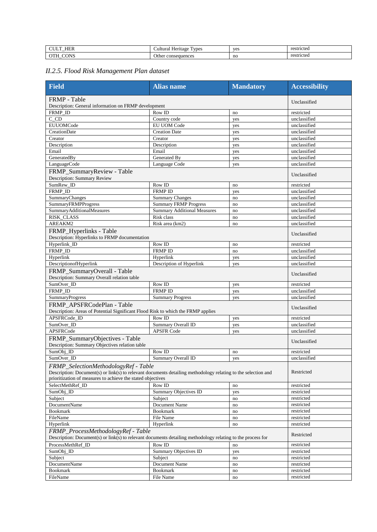| <b>TITT</b><br>பட<br>$\overline{\phantom{a}}$ | <b>vpes</b><br>Heritage<br>. . | $V\cap$<br>. . | $r_{\Omega}$<br>stricted<br>. |
|-----------------------------------------------|--------------------------------|----------------|-------------------------------|
| <b>ANC</b><br>$\sim$ $-$<br>I ۹⊾<br>◡<br>$-$  | consequences<br>Jthe:<br>.     | no             | r <sub>O</sub><br>strictec    |

## *II.2.5. Flood Risk Management Plan dataset*

| <b>Field</b>                                                                                                                                                                                                         | <b>Alias</b> name                  | <b>Mandatory</b> | <b>Accessibility</b>       |
|----------------------------------------------------------------------------------------------------------------------------------------------------------------------------------------------------------------------|------------------------------------|------------------|----------------------------|
| <b>FRMP</b> - Table                                                                                                                                                                                                  | Unclassified                       |                  |                            |
| Description: General information on FRMP development                                                                                                                                                                 |                                    |                  |                            |
| FRMP ID                                                                                                                                                                                                              | Row ID                             | no               | restricted<br>unclassified |
| C CD<br><b>EUUOMCode</b>                                                                                                                                                                                             | Country code<br>EU UOM Code        | yes              | unclassified               |
|                                                                                                                                                                                                                      |                                    | yes              |                            |
| CreationDate                                                                                                                                                                                                         | <b>Creation Date</b>               | yes              | unclassified               |
| Creator                                                                                                                                                                                                              | Creator                            | yes              | unclassified               |
| Description                                                                                                                                                                                                          | Description<br>Email               | yes              | unclassified               |
| Email                                                                                                                                                                                                                | Generated Bv                       | yes              | unclassified               |
| GeneratedBy                                                                                                                                                                                                          | Language Code                      | yes              | unclassified               |
| LanguageCode                                                                                                                                                                                                         |                                    | yes              | unclassified               |
| FRMP_SummaryReview - Table<br>Description: Summary Review                                                                                                                                                            |                                    |                  | Unclassified               |
| SumRew_ID                                                                                                                                                                                                            | Row ID                             | no               | restricted                 |
| FRMP_ID                                                                                                                                                                                                              | <b>FRMP ID</b>                     | yes              | unclassified               |
| SummaryChanges                                                                                                                                                                                                       | <b>Summary Changes</b>             | no               | unclassified               |
| SummaryFRMPProgress                                                                                                                                                                                                  | <b>Summary FRMP Progress</b>       | no               | unclassified               |
| SummaryAdditionalMeasures                                                                                                                                                                                            | <b>Summary Additional Measures</b> | no               | unclassified               |
| RISK_CLASS                                                                                                                                                                                                           | Risk class                         | no               | unclassified               |
| AREAKM2                                                                                                                                                                                                              | Risk area (km2)                    | no               | unclassified               |
| FRMP_Hyperlinks - Table<br>Description: Hyperlinks to FRMP documentation                                                                                                                                             |                                    |                  | Unclassified               |
| Hyperlink_ID                                                                                                                                                                                                         | Row ID                             | no               | restricted                 |
| FRMP_ID                                                                                                                                                                                                              | <b>FRMP ID</b>                     | no               | unclassified               |
| Hyperlink                                                                                                                                                                                                            | Hyperlink                          | yes              | unclassified               |
| DescriptionofHyperlink                                                                                                                                                                                               | Description of Hyperlink           | yes              | unclassified               |
| FRMP_SummaryOverall - Table<br>Description: Summary Overall relation table                                                                                                                                           |                                    |                  | Unclassified               |
| SumOver_ID                                                                                                                                                                                                           | Row ID                             |                  | restricted                 |
| FRMP_ID                                                                                                                                                                                                              | <b>FRMP ID</b>                     | yes              | unclassified               |
| SummaryProgress                                                                                                                                                                                                      | <b>Summary Progress</b>            | yes              | unclassified               |
|                                                                                                                                                                                                                      |                                    | yes              |                            |
| FRMP APSFRCodePlan - Table<br>Description: Areas of Potential Significant Flood Risk to which the FRMP applies                                                                                                       |                                    |                  | Unclassified               |
| APSFRCode_ID                                                                                                                                                                                                         | Row ID                             | yes              | restricted                 |
| SumOver ID                                                                                                                                                                                                           | Summary Overall ID                 | yes              | unclassified               |
| APSFRCode                                                                                                                                                                                                            | <b>APSFR Code</b>                  | yes              | unclassified               |
| FRMP_SummaryObjectives - Table<br>Description: Summary Objectives relation table                                                                                                                                     |                                    |                  | Unclassified               |
| SumObj_ID                                                                                                                                                                                                            | Row ID                             | no               | restricted                 |
| SumOver_ID                                                                                                                                                                                                           | Summary Overall ID                 | yes              | unclassified               |
| FRMP_SelectionMethodologyRef - Table<br>Description: Document(s) or link(s) to relevant documents detailing methodology relating to the selection and<br>prioritization of measures to achieve the stated objectives |                                    |                  | Restricted                 |
| SelectMethRef_ID                                                                                                                                                                                                     | Row ID                             | no               | restricted                 |
| SumObj_ID                                                                                                                                                                                                            | Summary Objectives ID              | yes              | restricted                 |
| Subject                                                                                                                                                                                                              | Subject                            | no               | restricted                 |
| DocumentName                                                                                                                                                                                                         | Document Name                      | no               | restricted                 |
| <b>Bookmark</b>                                                                                                                                                                                                      | <b>Bookmark</b>                    | no               | restricted                 |
| FileName                                                                                                                                                                                                             | File Name                          | no               | restricted                 |
| Hyperlink                                                                                                                                                                                                            | Hyperlink                          | no               | restricted                 |
| FRMP_ProcessMethodologyRef - Table<br>Description: Document(s) or link(s) to relevant documents detailing methodology relating to the process for                                                                    |                                    |                  | Restricted                 |
| ProcessMethRef ID                                                                                                                                                                                                    | Row ID                             | no               | restricted                 |
| SumObj_ID                                                                                                                                                                                                            | Summary Objectives ID              |                  | restricted                 |
| Subject                                                                                                                                                                                                              | Subject                            | yes<br>no        | restricted                 |
| DocumentName                                                                                                                                                                                                         | Document Name                      | no               | restricted                 |
| Bookmark                                                                                                                                                                                                             | <b>Bookmark</b>                    | no               | restricted                 |
| FileName                                                                                                                                                                                                             | File Name                          | no               | restricted                 |
|                                                                                                                                                                                                                      |                                    |                  |                            |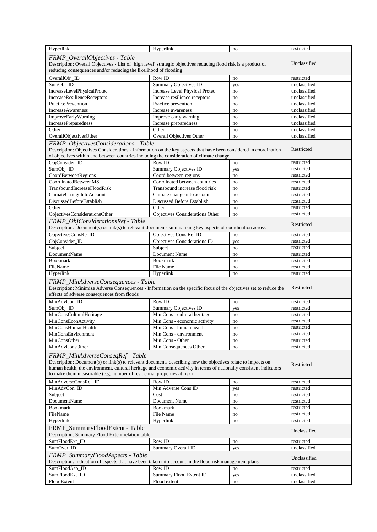| Hyperlink                                                                                                                                                                                                                                                                                                                                          | Hyperlink                       | no       | restricted                 |
|----------------------------------------------------------------------------------------------------------------------------------------------------------------------------------------------------------------------------------------------------------------------------------------------------------------------------------------------------|---------------------------------|----------|----------------------------|
| FRMP OverallObjectives - Table<br>Description: Overall Objectives - List of 'high level' strategic objectives reducing flood risk is a product of<br>reducing consequences and/or reducing the likelihood of flooding                                                                                                                              | Unclassified                    |          |                            |
| OverallObj ID                                                                                                                                                                                                                                                                                                                                      | Row ID                          | no       | restricted                 |
| SumObj_ID                                                                                                                                                                                                                                                                                                                                          | Summary Objectives ID           | yes      | unclassified               |
| IncreaseLevelPhysicalProtec                                                                                                                                                                                                                                                                                                                        | Increase Level Physical Protec  | no       | unclassified               |
| IncreaseResilienceReceptors                                                                                                                                                                                                                                                                                                                        | Increase resilience receptors   | no       | unclassified               |
| PracticePrevention                                                                                                                                                                                                                                                                                                                                 | Practice prevention             | no       | unclassified               |
| <b>IncreaseAwareness</b>                                                                                                                                                                                                                                                                                                                           | Increase awareness              | no       | unclassified               |
| ImproveEarlyWarning                                                                                                                                                                                                                                                                                                                                | Improve early warning           | no       | unclassified               |
| IncreasePreparedness                                                                                                                                                                                                                                                                                                                               | Increase preparedness           | no       | unclassified               |
| Other                                                                                                                                                                                                                                                                                                                                              | Other                           | no       | unclassified               |
| OverallObjectivesOther                                                                                                                                                                                                                                                                                                                             | Overall Objectives Other        | no       | unclassified               |
| FRMP_ObjectivesConsiderations - Table<br>Description: Objectives Considerations - Information on the key aspects that have been considered in coordination<br>of objectives within and between countries including the consideration of climate change                                                                                             |                                 |          | Restricted                 |
| ObjConsider_ID                                                                                                                                                                                                                                                                                                                                     | Row ID                          | no       | restricted                 |
| SumObj_ID                                                                                                                                                                                                                                                                                                                                          | Summary Objectives ID           | yes      | restricted                 |
| CoordBetweenRegions                                                                                                                                                                                                                                                                                                                                | Coord between regions           | no       | restricted                 |
| CoordinatedBetweenMS                                                                                                                                                                                                                                                                                                                               | Coordinated between countries   | no       | restricted                 |
| TransboundIncreaseFloodRisk                                                                                                                                                                                                                                                                                                                        | Transbound increase flood risk  | no       | restricted                 |
| ClimateChangeIntoAccount                                                                                                                                                                                                                                                                                                                           | Climate change into account     | no       | restricted                 |
| DiscussedBeforeEstablish                                                                                                                                                                                                                                                                                                                           | Discussed Before Establish      | no       | restricted                 |
| Other                                                                                                                                                                                                                                                                                                                                              | Other                           | no       | restricted                 |
| ObjectivesConsiderationsOther                                                                                                                                                                                                                                                                                                                      | Objectives Considerations Other | no       | restricted                 |
| FRMP_ObjConsiderationsRef - Table<br>Description: Document(s) or link(s) to relevant documents summarising key aspects of coordination across                                                                                                                                                                                                      |                                 |          | Restricted                 |
| ObjectivesConsRe_ID                                                                                                                                                                                                                                                                                                                                | Objectives Cons Ref ID          | no       | restricted                 |
| ObjConsider_ID                                                                                                                                                                                                                                                                                                                                     | Objectives Considerations ID    | yes      | restricted                 |
| Subject                                                                                                                                                                                                                                                                                                                                            | Subject                         | no       | restricted                 |
| DocumentName                                                                                                                                                                                                                                                                                                                                       | Document Name                   | no       | restricted                 |
| <b>Bookmark</b>                                                                                                                                                                                                                                                                                                                                    | <b>Bookmark</b>                 | no       | restricted                 |
| FileName                                                                                                                                                                                                                                                                                                                                           | File Name<br>Hyperlink          | no<br>no | restricted                 |
| Hyperlink<br>FRMP_MinAdverseConsequences - Table<br>Description: Minimize Adverse Consequences - Information on the specific focus of the objectives set to reduce the<br>effects of adverse consequences from floods                                                                                                                              | restricted<br>Restricted        |          |                            |
| MinAdvCon ID                                                                                                                                                                                                                                                                                                                                       | Row ID                          | no       | restricted                 |
| SumObj_ID                                                                                                                                                                                                                                                                                                                                          | Summary Objectives ID           | yes      | restricted                 |
| MinConsCulturalHeritage                                                                                                                                                                                                                                                                                                                            | Min Cons - cultural heritage    | no       | restricted                 |
| MinConsEconActivity                                                                                                                                                                                                                                                                                                                                | Min Cons - economic activity    | no       | restricted                 |
| MinConsHumanHealth                                                                                                                                                                                                                                                                                                                                 | Min Cons - human health         | no       | restricted                 |
| MinConsEnvironment                                                                                                                                                                                                                                                                                                                                 | Min Cons - environment          | no       | restricted                 |
| MinConsOther                                                                                                                                                                                                                                                                                                                                       | Min Cons - Other                | no       | restricted                 |
| MinAdvConsOther                                                                                                                                                                                                                                                                                                                                    | Min Consequences Other          | no       | restricted                 |
| FRMP_MinAdverseConseqRef - Table<br>Description: Document(s) or link(s) to relevant documents describing how the objectives relate to impacts on<br>human health, the environment, cultural heritage and economic activity in terms of nationally consistent indicators<br>to make them measurable (e.g. number of residential properties at risk) |                                 |          | Restricted                 |
| MinAdverseConsRef_ID                                                                                                                                                                                                                                                                                                                               | Row ID                          | no       | restricted                 |
| MinAdvCon_ID                                                                                                                                                                                                                                                                                                                                       | Min Adverse Cons ID             | yes      | restricted                 |
| Subject                                                                                                                                                                                                                                                                                                                                            | Cost                            | no       | restricted                 |
| <b>DocumentName</b>                                                                                                                                                                                                                                                                                                                                | Document Name                   | no       | restricted                 |
| <b>Bookmark</b>                                                                                                                                                                                                                                                                                                                                    | <b>Bookmark</b>                 | no       | restricted                 |
| FileName                                                                                                                                                                                                                                                                                                                                           | File Name                       | no       | restricted                 |
| Hyperlink<br>FRMP_SummaryFloodExtent - Table<br>Description: Summary Flood Extent relation table                                                                                                                                                                                                                                                   | Hyperlink                       | no       | restricted<br>Unclassified |
| SumFloodExt ID                                                                                                                                                                                                                                                                                                                                     | Row ID                          | no       | restricted                 |
| SumOver_ID                                                                                                                                                                                                                                                                                                                                         | Summary Overall ID              | yes      | unclassified               |
| FRMP_SummaryFloodAspects - Table<br>Description: Indication of aspects that have been taken into account in the flood risk management plans                                                                                                                                                                                                        |                                 |          | Unclassified               |
| SumFloodAsp_ID                                                                                                                                                                                                                                                                                                                                     | Row ID                          | no       | restricted                 |
| SumFloodExt_ID                                                                                                                                                                                                                                                                                                                                     | Summary Flood Extent ID         | yes      | unclassified               |
| FloodExtent                                                                                                                                                                                                                                                                                                                                        | Flood extent                    | no       | unclassified               |
|                                                                                                                                                                                                                                                                                                                                                    |                                 |          |                            |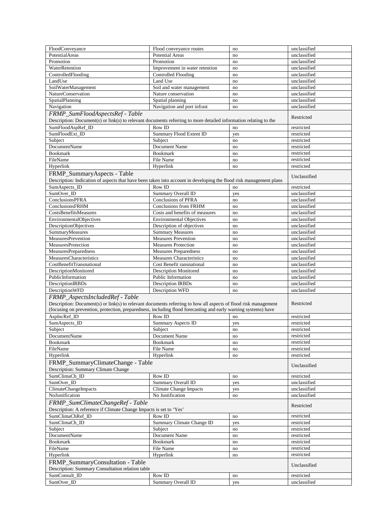| FloodConveyance                                                                                                    | Flood conveyance routes         | no        | unclassified |
|--------------------------------------------------------------------------------------------------------------------|---------------------------------|-----------|--------------|
| PotentialAreas                                                                                                     | <b>Potential Areas</b>          | no        | unclassified |
| Promotion                                                                                                          | Promotion                       | no        | unclassified |
| WaterRetention                                                                                                     | Improvement in water retention  | no        | unclassified |
| ControlledFlooding                                                                                                 | <b>Controlled Flooding</b>      | no        | unclassified |
| LandUse                                                                                                            | Land Use                        | no        | unclassified |
| SoilWaterManagement                                                                                                | Soil and water management       | no        | unclassified |
|                                                                                                                    |                                 |           |              |
| <b>NatureConservation</b>                                                                                          | Nature conservation             | no        | unclassified |
| SpatialPlanning                                                                                                    | Spatial planning                | no        | unclassified |
| Navigation                                                                                                         | Navigation and port infrast     | no        | unclassified |
| FRMP_SumFloodAspectsRef - Table                                                                                    |                                 |           |              |
| Description: Document(s) or link(s) to relevant documents referring to more detailed information relating to the   |                                 |           | Restricted   |
| SumFloodAspRef_ID                                                                                                  | Row ID                          | no        | restricted   |
|                                                                                                                    | Summary Flood Extent ID         |           |              |
| SumFloodExt_ID                                                                                                     |                                 | yes       | restricted   |
| Subject                                                                                                            | Subject                         | no        | restricted   |
| <b>DocumentName</b>                                                                                                | Document Name                   | no        | restricted   |
| <b>Bookmark</b>                                                                                                    | <b>Bookmark</b>                 | no        | restricted   |
| FileName                                                                                                           | File Name                       | no        | restricted   |
| Hyperlink                                                                                                          | Hyperlink                       | no        | restricted   |
|                                                                                                                    |                                 |           |              |
| FRMP_SummaryAspects - Table                                                                                        |                                 |           | Unclassified |
| Description: Indication of aspects that have been taken into account in developing the flood risk management plans |                                 |           |              |
| SumAspects_ID                                                                                                      | Row ID                          | no        | restricted   |
| SumOver_ID                                                                                                         | Summary Overall ID              | yes       | unclassified |
| <b>ConclusionsPFRA</b>                                                                                             | <b>Conclusions of PFRA</b>      | no        | unclassified |
| ConclusionsFRHM                                                                                                    | <b>Conclusions from FRHM</b>    | no        | unclassified |
| CostsBenefitsMeasures                                                                                              | Costs and benefits of measures  |           | unclassified |
|                                                                                                                    |                                 | no        |              |
| EnvironmentalObjectives                                                                                            | <b>Environmental Objectives</b> | no        | unclassified |
| DescriptionObjectives                                                                                              | Description of objectives       | no        | unclassified |
| SummaryMeasures                                                                                                    | <b>Summary Measures</b>         | no        | unclassified |
| <b>MeasuresPrevention</b>                                                                                          | <b>Measures Prevention</b>      | no        | unclassified |
| MeasuresProtection                                                                                                 | <b>Measures Protection</b>      | no        | unclassified |
| <b>MeasuresPreparedness</b>                                                                                        | <b>Measures Preparedness</b>    | no        | unclassified |
| MeasuresCharacteristics                                                                                            | <b>Measures Characteristics</b> |           | unclassified |
|                                                                                                                    |                                 | no        |              |
| CostBenefitTransnational                                                                                           | Cost Benefit ransnational       | no        | unclassified |
| DescriptionMonitored                                                                                               | <b>Description Monitored</b>    | no        | unclassified |
| PublicInformation                                                                                                  | Public Information              | no        | unclassified |
| <b>Description IRBDs</b>                                                                                           | <b>Description IRBDs</b>        | no        | unclassified |
| <b>DescriptionWFD</b>                                                                                              | <b>Description WFD</b>          | no        | unclassified |
| FRMP_AspectsIncludedRef - Table                                                                                    |                                 |           |              |
| Description: Document(s) or link(s) to relevant documents referring to how all aspects of flood risk management    |                                 |           | Restricted   |
|                                                                                                                    |                                 |           |              |
| (focusing on prevention, protection, preparedness, including flood forecasting and early warning systems) have     |                                 |           |              |
| AspIncRef_ID                                                                                                       | Row ID                          | no        | restricted   |
| SumAspects_ID                                                                                                      | Summary Aspects ID              | yes       | restricted   |
| Subject                                                                                                            | Subject                         | no        | restricted   |
| DocumentName                                                                                                       | Document Name                   | no        | restricted   |
| <b>Bookmark</b>                                                                                                    | <b>Bookmark</b>                 | no        | restricted   |
|                                                                                                                    |                                 |           |              |
| FileName                                                                                                           | File Name                       | no        | restricted   |
| Hyperlink                                                                                                          | Hyperlink                       | no        | restricted   |
| FRMP_SummaryClimateChange - Table                                                                                  |                                 |           | Unclassified |
| Description: Summary Climate Change                                                                                |                                 |           |              |
| SumClimaCh_ID                                                                                                      | Row ID                          | $\rm{no}$ | restricted   |
| SumOver_ID                                                                                                         | <b>Summary Overall ID</b>       |           | unclassified |
|                                                                                                                    |                                 | yes       |              |
| ClimateChangeImpacts                                                                                               | <b>Climate Change Impacts</b>   | yes       | unclassified |
| NoJustification                                                                                                    | No Justification                | no        | unclassified |
| FRMP_SumClimateChangeRef - Table                                                                                   |                                 |           |              |
| Description: A reference if Climate Change Impacts is set to 'Yes'                                                 |                                 |           | Restricted   |
| SumClimaChRef_ID                                                                                                   | Row ID                          | $\rm{no}$ | restricted   |
|                                                                                                                    |                                 |           |              |
| SumClimaCh_ID                                                                                                      | Summary Climate Change ID       | yes       | restricted   |
| Subject                                                                                                            | Subject                         | no        | restricted   |
| DocumentName                                                                                                       | Document Name                   | no        | restricted   |
| <b>Bookmark</b>                                                                                                    | <b>Bookmark</b>                 | no        | restricted   |
| FileName                                                                                                           | File Name                       | no        | restricted   |
| Hyperlink                                                                                                          | Hyperlink                       | no        | restricted   |
|                                                                                                                    |                                 |           |              |
| FRMP_SummaryConsultation - Table<br>Description: Summary Consultation relation table                               |                                 |           | Unclassified |
| SumConsult_ID                                                                                                      | Row ID                          | no        | restricted   |
| SumOver_ID                                                                                                         | Summary Overall ID              | yes       | unclassified |
|                                                                                                                    |                                 |           |              |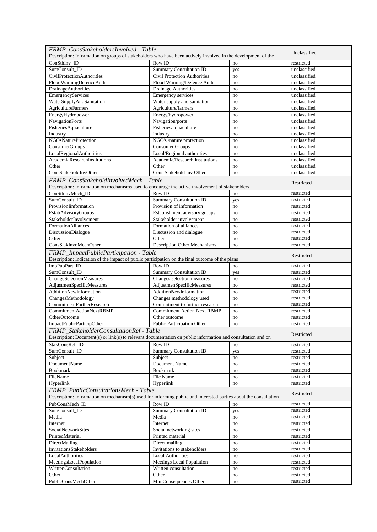| FRMP ConsStakeholdersInvolved - Table                                                                                                                  |                                                            |     | Unclassified |
|--------------------------------------------------------------------------------------------------------------------------------------------------------|------------------------------------------------------------|-----|--------------|
| Description: Information on groups of stakeholders who have been actively involved in the development of the                                           |                                                            |     |              |
| ConSthInv ID                                                                                                                                           | Row ID                                                     | no  | restricted   |
| SumConsult ID                                                                                                                                          | <b>Summary Consultation ID</b>                             | yes | unclassified |
| <b>CivilProtectionAuthorities</b>                                                                                                                      | <b>Civil Protection Authorities</b>                        | no  | unclassified |
| FloodWarningDefenceAuth                                                                                                                                | Flood Warning/Defence Auth                                 | no  | unclassified |
| <b>DrainageAuthorities</b>                                                                                                                             | <b>Drainage Authorities</b>                                | no  | unclassified |
| EmergencyServices                                                                                                                                      | Emergency services                                         | no  | unclassified |
| WaterSupplyAndSanitation                                                                                                                               | Water supply and sanitation                                | no  | unclassified |
| <b>AgricultureFarmers</b>                                                                                                                              | Agriculture/farmers                                        | no  | unclassified |
| EnergyHydropower                                                                                                                                       | Energy/hydropower                                          | no  | unclassified |
| <b>NavigationPorts</b>                                                                                                                                 | Navigation/ports                                           | no  | unclassified |
| Fisheries Aquaculture                                                                                                                                  | Fisheries/aquaculture                                      | no  | unclassified |
| Industry                                                                                                                                               | Industry                                                   | no  | unclassified |
| NGOsNatureProtection                                                                                                                                   | NGO's /nature protection                                   | no  | unclassified |
| ConsumerGroups                                                                                                                                         | <b>Consumer Groups</b>                                     | no  | unclassified |
| LocalRegionalAuthorities                                                                                                                               | Local/Regional authorities                                 | no  | unclassified |
| AcademiaResearchInstitutions                                                                                                                           | Academia/Research Institutions                             | no  | unclassified |
| Other                                                                                                                                                  | Other                                                      | no  | unclassified |
| ConsStakeholdInvOther                                                                                                                                  | Cons Stakehold Inv Other                                   | no  | unclassified |
| FRMP_ConsStakeholdInvolvedMech - Table                                                                                                                 |                                                            |     |              |
| Description: Information on mechanisms used to encourage the active involvement of stakeholders                                                        |                                                            |     | Restricted   |
| ConSthInvMech_ID                                                                                                                                       | Row ID                                                     | no  | restricted   |
| SumConsult ID                                                                                                                                          | <b>Summary Consultation ID</b>                             | yes | restricted   |
| ProvisionIinformation                                                                                                                                  | Provision of information                                   | no  | restricted   |
| EstabAdvisoryGroups                                                                                                                                    | Establishment advisory groups                              | no  | restricted   |
| StakeholderInvolvement                                                                                                                                 | Stakeholder involvement                                    | no  | restricted   |
| <b>FormationAlliances</b>                                                                                                                              | Formation of alliances                                     | no  | restricted   |
| DiscussionDialogue                                                                                                                                     | Discussion and dialogue                                    | no  | restricted   |
| Other                                                                                                                                                  | Other                                                      | no  | restricted   |
| ConsStakInvoMechOther                                                                                                                                  | Description Other Mechanisms                               | no  | restricted   |
| FRMP_ImpactPublicParticipation - Table                                                                                                                 |                                                            |     |              |
| Description: Indication of the impact of public participation on the final outcome of the plans                                                        |                                                            |     | Restricted   |
| ImpPubPart_ID                                                                                                                                          | Row ID                                                     |     | restricted   |
| SumConsult_ID                                                                                                                                          | Summary Consultation ID                                    | no  | restricted   |
| ChangeSelectionMeasures                                                                                                                                | Changes selection measures                                 | yes | restricted   |
| AdjustmenSpecificMeasures                                                                                                                              | AdjustmenSpecificMeasures                                  | no  | restricted   |
| AdditionNewInformation                                                                                                                                 | AdditionNewInformation                                     | no  | restricted   |
| ChangesMethodology                                                                                                                                     |                                                            | no  | restricted   |
| CommitmentFurtherResearch                                                                                                                              | Changes methodology used<br>Commitment to further research | no  | restricted   |
| <b>CommitmentActionNextRBMP</b>                                                                                                                        | <b>Commitment Action Next RBMP</b>                         | no  | restricted   |
| OtherOutcome                                                                                                                                           | Other outcome                                              | no  | restricted   |
| ImpactPublicParticipOther                                                                                                                              | Public Participation Other                                 | no  |              |
|                                                                                                                                                        |                                                            | no  | restricted   |
| FRMP_StakeholderConsultationRef - Table<br>Description: Document(s) or link(s) to relevant documentation on public information and consultation and on |                                                            |     | Restricted   |
|                                                                                                                                                        |                                                            |     |              |
| StakConsRef ID                                                                                                                                         | Row ID                                                     | no  | restricted   |
| SumConsult_ID                                                                                                                                          | Summary Consultation ID                                    | yes | restricted   |
| Subject                                                                                                                                                | Subject                                                    | no  | restricted   |
| DocumentName                                                                                                                                           | Document Name                                              | no  | restricted   |
| <b>Bookmark</b>                                                                                                                                        | <b>Bookmark</b>                                            | no  | restricted   |
| FileName                                                                                                                                               | File Name                                                  | no  | restricted   |
| Hyperlink                                                                                                                                              | Hyperlink                                                  | no  | restricted   |
| FRMP PublicConsultationsMech - Table                                                                                                                   |                                                            |     | Restricted   |
| Description: Information on mechanism(s) used for informing public and interested parties about the consultation                                       |                                                            |     |              |
| PubConsMech ID                                                                                                                                         | Row ID                                                     | no  | restricted   |
| SumConsult_ID                                                                                                                                          | Summary Consultation ID                                    | yes | restricted   |
| Media                                                                                                                                                  | Media                                                      | no  | restricted   |
| Internet                                                                                                                                               | Internet                                                   | no  | restricted   |
| SocialNetworkSites                                                                                                                                     | Social networking sites                                    | no  | restricted   |
| PrintedMaterial                                                                                                                                        | Printed material                                           | no  | restricted   |
| DirectMailing                                                                                                                                          | Direct mailing                                             | no  | restricted   |
| InvitationsStakeholders                                                                                                                                | Invitations to stakeholders                                | no  | restricted   |
| LocalAuthorities                                                                                                                                       | <b>Local Authorities</b>                                   | no  | restricted   |
| MeetingsLocalPopulation                                                                                                                                | Meetings Local Population                                  | no  | restricted   |
| WrittenConsultation                                                                                                                                    | Written consultation                                       | no  | restricted   |
| Other                                                                                                                                                  | Other                                                      | no  | restricted   |
| PublicConsMechOther                                                                                                                                    | Min Consequences Other                                     | no  | restricted   |
|                                                                                                                                                        |                                                            |     |              |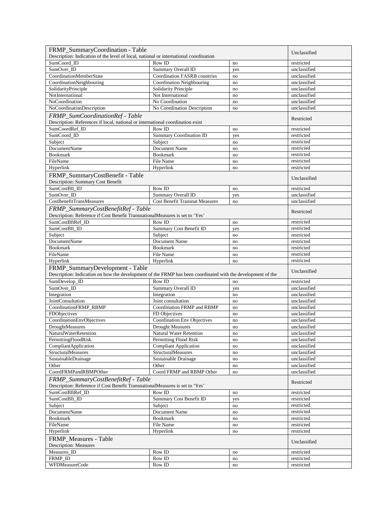| FRMP_SummaryCoordination - Table                                                                                                               |                                       |           | Unclassified             |
|------------------------------------------------------------------------------------------------------------------------------------------------|---------------------------------------|-----------|--------------------------|
| Description: Indication of the level of local, national or international coordination                                                          |                                       |           |                          |
| SumCoord ID                                                                                                                                    | Row ID                                | no        | restricted               |
| SumOver ID                                                                                                                                     | Summary Overall ID                    | yes       | unclassified             |
| CoordinationMemberState                                                                                                                        | <b>Coordination FASRB countries</b>   | no        | unclassified             |
| CoordinationNeighbouring                                                                                                                       | Coordination Neighbouring             | no        | unclassified             |
| SolidarityPrinciple                                                                                                                            | Solidarity Principle                  | no        | unclassified             |
| NotInternational                                                                                                                               | Not International                     | no        | unclassified             |
| NoCoordination                                                                                                                                 | No Coordination                       | no        | unclassified             |
| NoCoordinationDescription                                                                                                                      | No Coordination Description           | no        | unclassified             |
| FRMP SumCoordinationRef - Table                                                                                                                |                                       |           | Restricted               |
| Description: References if local, national or international coordination exist                                                                 |                                       |           |                          |
| SumCoordRef ID                                                                                                                                 | Row ID                                | no        | restricted               |
| SumCoord_ID                                                                                                                                    | Summary Coordination ID               | yes       | restricted               |
| Subject                                                                                                                                        | Subject                               | no        | restricted               |
| DocumentName                                                                                                                                   | Document Name                         | no        | restricted               |
| <b>Bookmark</b>                                                                                                                                | <b>Bookmark</b>                       | no        | restricted               |
| FileName                                                                                                                                       | File Name                             | no        | restricted               |
| Hyperlink                                                                                                                                      | Hyperlink                             | no        | restricted               |
| FRMP_SummaryCostBenefit - Table<br>Description: Summary Cost Benefit                                                                           |                                       |           | Unclassified             |
| SumCostBft_ID                                                                                                                                  | Row ID                                | no        | restricted               |
| SumOver_ID                                                                                                                                     | Summary Overall ID                    | yes       | unclassified             |
| <b>CostBenefitTransMeasures</b>                                                                                                                | <b>Cost Benefit Transnat Measures</b> | no        | unclassified             |
| FRMP_SummaryCostBenefitRef - Table                                                                                                             |                                       |           |                          |
| Description: Reference if Cost Benefit TransnationalMeasures is set to 'Yes'                                                                   |                                       |           | Restricted               |
| SumCostBftRef_ID                                                                                                                               | Row ID                                | no        | restricted               |
| SumCostBft_ID                                                                                                                                  | Summary Cost Benefit ID               | yes       | restricted               |
| Subject                                                                                                                                        | Subject                               | no        | restricted               |
| <b>DocumentName</b>                                                                                                                            | Document Name                         | no        | restricted               |
| <b>Bookmark</b>                                                                                                                                | <b>Bookmark</b>                       | no        | restricted               |
| FileName                                                                                                                                       | File Name                             | no        | restricted               |
|                                                                                                                                                |                                       |           |                          |
| Hyperlink                                                                                                                                      | Hyperlink                             | no        | restricted               |
|                                                                                                                                                |                                       |           |                          |
| FRMP_SummaryDevelopment - Table<br>Description: Indication on how the development of the FRMP has been coordinated with the development of the |                                       |           | Unclassified             |
|                                                                                                                                                | Row ID                                | no        | restricted               |
| SumDevelop_ID<br>SumOver_ID                                                                                                                    |                                       |           | unclassified             |
|                                                                                                                                                | Summary Overall ID<br>Integration     | yes<br>no | unclassified             |
| Integration<br><b>JointConsultation</b>                                                                                                        | Joint consultation                    | no        | unclassified             |
|                                                                                                                                                | Coordination FRMP and RBMP            | no        | unclassified             |
| CoordinationFRMP_RBMP<br>FDObjectives                                                                                                          | FD Objectives                         | no        | unclassified             |
| CoordinationEnvObjectives                                                                                                                      | Coordination Env Objectives           | no        | unclassified             |
| DroughtMeasures                                                                                                                                | <b>Drought Measures</b>               | no        | unclassified             |
| NaturalWaterRetention                                                                                                                          | <b>Natural Water Retention</b>        | no        | unclassified             |
| PermittingFloodRisk                                                                                                                            | Permitting Flood Risk                 | no        | unclassified             |
| CompliantApplication                                                                                                                           | <b>Compliant Application</b>          | no        | unclassified             |
| StructuralMeasures                                                                                                                             | <b>StructuralMeasures</b>             | no        | unclassified             |
| SustainableDrainage                                                                                                                            | Sustainable Drainage                  | no        | unclassified             |
| Other                                                                                                                                          | Other                                 | no        | unclassified             |
| CoordFRMPandRBMPOther                                                                                                                          | Coord FRMP and RBMP Other             | no        | unclassified             |
| FRMP_SummaryCostBenefitRef - Table                                                                                                             |                                       |           | Restricted               |
| Description: Reference if Cost Benefit TransnationalMeasures is set to 'Yes'                                                                   |                                       |           |                          |
| SumCostBftRef_ID                                                                                                                               | Row ID                                | no        | restricted               |
| SumCostBft_ID                                                                                                                                  | Summary Cost Benefit ID               | yes       | restricted               |
| Subject                                                                                                                                        | Subject                               | no        | restricted               |
| DocumentName                                                                                                                                   | Document Name                         | no        | restricted               |
| <b>Bookmark</b>                                                                                                                                | <b>Bookmark</b>                       | no        | restricted               |
| FileName                                                                                                                                       | File Name                             | no        | restricted               |
| Hyperlink                                                                                                                                      | Hyperlink                             | no        | restricted               |
| FRMP_Measures - Table<br><b>Description: Measures</b>                                                                                          |                                       |           | Unclassified             |
| Measures_ID                                                                                                                                    | Row ID                                | no        | restricted               |
| FRMP_ID<br><b>WFDMeasureCode</b>                                                                                                               | Row ID<br>Row ID                      | no        | restricted<br>restricted |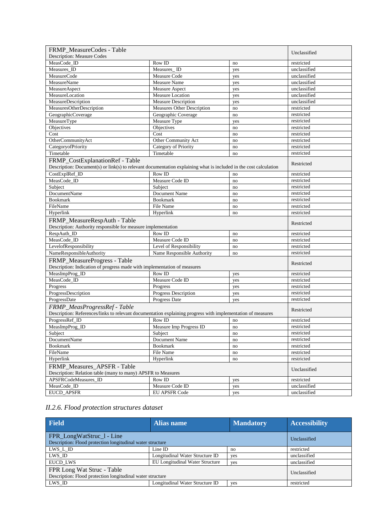| FRMP_MeasureCodes - Table                                                                                                                   |                                    |          |                          |
|---------------------------------------------------------------------------------------------------------------------------------------------|------------------------------------|----------|--------------------------|
| <b>Description: Measure Codes</b>                                                                                                           |                                    |          | Unclassified             |
| MeasCode ID                                                                                                                                 | Row ID                             | no       | restricted               |
| Measures ID                                                                                                                                 | Measures_ID                        | yes      | unclassified             |
| MeasureCode                                                                                                                                 | Measure Code                       | yes      | unclassified             |
| MeasureName                                                                                                                                 | Measure Name                       | yes      | unclassified             |
| MeasureAspect                                                                                                                               | Measure Aspect                     | yes      | unclassified             |
| MeasureLocation                                                                                                                             | Measure Location                   | yes      | unclassified             |
| MeasureDescription                                                                                                                          | <b>Measure Description</b>         | yes      | unclassified             |
| MeasuresOtherDescription                                                                                                                    | <b>Measures Other Description</b>  | no       | restricted               |
| GeographicCoverage                                                                                                                          | Geographic Coverage                | no       | restricted               |
| MeasureType                                                                                                                                 | Measure Type                       | yes      | restricted               |
| Objectives                                                                                                                                  | Objectives                         | no       | restricted               |
| Cost                                                                                                                                        | Cost                               | no       | restricted               |
| OtherCommunityAct                                                                                                                           | Other Community Act                | no       | restricted               |
| CategoryofPriority                                                                                                                          | Category of Priority               | no       | restricted               |
| Timetable                                                                                                                                   | Timetable                          | no       | restricted               |
| FRMP_CostExplanationRef - Table                                                                                                             |                                    |          |                          |
| Description: Document(s) or link(s) to relevant documentation explaining what is included in the cost calculation                           |                                    |          | Restricted               |
| CostExplRef_ID                                                                                                                              | Row ID                             | no       | restricted               |
| MeasCode_ID                                                                                                                                 | Measure Code ID                    | no       | restricted               |
| Subject                                                                                                                                     | Subject                            | no       | restricted               |
| <b>DocumentName</b>                                                                                                                         | Document Name                      | no       | restricted               |
| <b>Bookmark</b>                                                                                                                             | <b>Bookmark</b>                    | no       | restricted               |
| FileName                                                                                                                                    | File Name                          | no       | restricted               |
| Hyperlink                                                                                                                                   | Hyperlink                          | no       | restricted               |
| FRMP_MeasureRespAuth - Table                                                                                                                |                                    |          |                          |
| Description: Authority responsible for measure implementation                                                                               |                                    |          | Restricted               |
| RespAuth_ID                                                                                                                                 | Row ID                             | no       | restricted               |
| MeasCode ID                                                                                                                                 | Measure Code ID                    |          | restricted               |
| LevelofResponsibility                                                                                                                       | Level of Responsibility            | no<br>no | restricted               |
| NameResponsibleAuthority                                                                                                                    | Name Responsible Authority         | no       | restricted               |
|                                                                                                                                             |                                    |          |                          |
| FRMP_MeasureProgress - Table<br>Description: Indication of progress made with implementation of measures                                    |                                    |          | Restricted               |
| MeasImpProg_ID                                                                                                                              | Row ID                             | yes      | restricted               |
| MeasCode_ID                                                                                                                                 | Measure Code ID                    | yes      | restricted               |
| Progress                                                                                                                                    | Progress                           | yes      | restricted               |
| ProgressDescription                                                                                                                         | Progress Description               | yes      | restricted               |
| ProgressDate                                                                                                                                | Progress Date                      | yes      | restricted               |
| FRMP_MeasProgressRef - Table<br>Description: References/links to relevant documentation explaining progress with implementation of measures |                                    |          | Restricted               |
| ProgressRef_ID                                                                                                                              | Row ID                             |          | restricted               |
|                                                                                                                                             |                                    | no       |                          |
| MeasImpProg_ID                                                                                                                              | Measure Imp Progress ID<br>Subject | no       | restricted               |
| Subject<br>DocumentName                                                                                                                     | Document Name                      | no       | restricted<br>restricted |
|                                                                                                                                             |                                    | no       |                          |
| <b>Bookmark</b>                                                                                                                             | <b>Bookmark</b>                    | no       | restricted<br>restricted |
| FileName                                                                                                                                    | File Name                          | no       |                          |
| Hyperlink                                                                                                                                   | Hyperlink                          | no       | restricted               |
| FRMP_Measures_APSFR - Table                                                                                                                 |                                    |          | Unclassified             |
| Description: Relation table (many to many) APSFR to Measures<br>APSFRCodeMeasures ID                                                        | Row ID                             |          |                          |
|                                                                                                                                             |                                    | yes      | restricted               |
| MeasCode_ID                                                                                                                                 | Measure Code ID                    | yes      | unclassified             |
| <b>EUCD APSFR</b>                                                                                                                           | <b>EU APSFR Code</b>               | yes      | unclassified             |

*II.2.6. Flood protection structures dataset*

| <b>Field</b>                                                                             | Alias name                             | <b>Mandatory</b> | <b>Accessibility</b> |
|------------------------------------------------------------------------------------------|----------------------------------------|------------------|----------------------|
| FPR_LongWatStruc_1 - Line<br>Description: Flood protection longitudinal water structure  |                                        |                  | Unclassified         |
| LWS L ID                                                                                 | Line ID                                | no               | restricted           |
| LWS ID                                                                                   | Longitudinal Water Structure ID        | yes              | unclassified         |
| <b>EUCD LWS</b>                                                                          | <b>EU Longitudinal Water Structure</b> | yes              | unclassified         |
| FPR Long Wat Struc - Table<br>Description: Flood protection longitudinal water structure |                                        |                  | Unclassified         |
| LWS ID                                                                                   | Longitudinal Water Structure ID        | yes              | restricted           |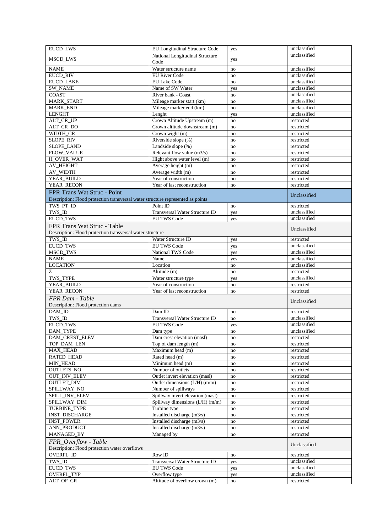| <b>EUCD_LWS</b>                                                                 | EU Longitudinal Structure Code                     | yes        | unclassified               |
|---------------------------------------------------------------------------------|----------------------------------------------------|------------|----------------------------|
| MSCD_LWS                                                                        | National Longitudinal Structure<br>Code            | yes        | unclassified               |
| <b>NAME</b>                                                                     | Water structure name                               | no         | unclassified               |
| <b>EUCD RIV</b>                                                                 | <b>EU River Code</b>                               | no         | unclassified               |
| <b>EUCD LAKE</b>                                                                | EU Lake Code                                       | no         | unclassified               |
| <b>SW NAME</b>                                                                  | Name of SW Water                                   | yes        | unclassified               |
| <b>COAST</b>                                                                    | River bank - Coast                                 | no         | unclassified               |
| MARK_START                                                                      | Mileage marker start (km)                          | no         | unclassified               |
| MARK_END                                                                        | Mileage marker end (km)                            | no         | unclassified               |
| <b>LENGHT</b>                                                                   | Lenght                                             | yes        | unclassified               |
| ALT CR UP                                                                       | Crown Altitude Upstream (m)                        | no         | restricted                 |
| ALT_CR_DO                                                                       | Crown altitude downstream (m)                      | no         | restricted                 |
| WIDTH_CR                                                                        | Crown wight (m)                                    | no         | restricted                 |
| SLOPE_RIV                                                                       | Riverside slope (%)                                | no         | restricted                 |
| SLOPE_LAND                                                                      | Landside slope (%)<br>Relevant flow value $(m3/s)$ | no         | restricted                 |
| FLOW_VALUE                                                                      |                                                    | no         | restricted                 |
| H_OVER_WAT<br>AV HEIGHT                                                         | Hight above water level (m)<br>Average height (m)  | no         | restricted                 |
| AV WIDTH                                                                        | Average width (m)                                  | no<br>no   | restricted<br>restricted   |
| YEAR_BUILD                                                                      | Year of construction                               | no         | restricted                 |
| YEAR RECON                                                                      | Year of last reconstruction                        | no         | restricted                 |
| FPR Trans Wat Struc - Point                                                     |                                                    |            |                            |
| Description: Flood protection transversal water structure represented as points |                                                    |            | Unclassified               |
| TWS_PT_ID                                                                       | Point ID                                           | no         | restricted                 |
| TWS ID                                                                          | Transversal Water Structure ID                     |            | unclassified               |
| <b>EUCD TWS</b>                                                                 | <b>EU TWS Code</b>                                 | yes<br>yes | unclassified               |
|                                                                                 |                                                    |            |                            |
| FPR Trans Wat Struc - Table                                                     |                                                    |            | Unclassified               |
| Description: Flood protection transversal water structure                       |                                                    |            |                            |
| TWS_ID<br><b>EUCD_TWS</b>                                                       | Water Structure ID<br><b>EU TWS Code</b>           | yes        | restricted<br>unclassified |
| MSCD_TWS                                                                        | National TWS Code                                  | yes        | unclassified               |
| <b>NAME</b>                                                                     | Name                                               | yes        | unclassified               |
| <b>LOCATION</b>                                                                 | Location                                           | yes<br>no  | unclassified               |
| Z                                                                               | Altitude (m)                                       | no         | restricted                 |
| TWS_TYPE                                                                        | Water structure type                               | yes        | unclassified               |
| YEAR_BUILD                                                                      | Year of construction                               | no         | restricted                 |
| YEAR RECON                                                                      | Year of last reconstruction                        | no         | restricted                 |
| FPR Dam - Table                                                                 |                                                    |            |                            |
| Description: Flood protection dams                                              |                                                    |            | Unclassified               |
| DAM_ID                                                                          | Dam ID                                             | no         | restricted                 |
| TWS_ID                                                                          | Transversal Water Structure ID                     | no         | unclassified               |
| <b>EUCD_TWS</b>                                                                 | <b>EU TWS Code</b>                                 | yes        | unclassified               |
| DAM TYPE                                                                        | Dam type                                           | no         | unclassified               |
| DAM_CREST_ELEV                                                                  | Dam crest elevation (masl)                         | no         | restricted                 |
| TOP DAM LEN                                                                     | Top of dam length (m)                              | no         | restricted                 |
| MAX_HEAD                                                                        | Maximum head $(m)$                                 | no         | restricted                 |
| RATED_HEAD                                                                      | Rated head (m)                                     | no         | restricted                 |
| MIN_HEAD                                                                        | Minimum head (m)                                   | no         | restricted                 |
| OUTLETS_NO                                                                      | Number of outlets                                  | no         | restricted                 |
| OUT_INV_ELEV                                                                    | Outlet invert elevation (masl)                     | no         | restricted                 |
| OUTLET_DIM                                                                      | Outlet dimensions $(L/H)$ (m/m)                    | no         | restricted                 |
| SPILLWAY_NO                                                                     | Number of spillways                                | no         | restricted                 |
| SPILL_INV_ELEV                                                                  | Spillway invert elevation (masl)                   | no         | restricted                 |
| SPILLWAY_DIM                                                                    | Spillway dimensions (L/H) (m/m)                    | no         | restricted                 |
| TURBINE_TYPE                                                                    | Turbine type                                       | no         | restricted                 |
| <b>INST_DISCHARGE</b>                                                           | Installed discharge (m3/s)                         | no         | restricted                 |
| <b>INST_POWER</b>                                                               | Installed discharge (m3/s)                         | $\rm{no}$  | restricted                 |
| ANN_PRODUCT                                                                     | Installed discharge $(m3/s)$                       | no         | restricted                 |
| MANAGED_BY                                                                      | Managed by                                         | no         | restricted                 |
| FPR_Overflow - Table<br>Description: Flood protection water overflows           |                                                    |            | Unclassified               |
| OVERFL_ID                                                                       | Row ID                                             | no         | restricted                 |
| TWS_ID                                                                          | Transversal Water Structure ID                     | yes        | unclassified               |
| EUCD_TWS                                                                        | <b>EU TWS Code</b>                                 | yes        | unclassified               |
| OVERFL_TYP                                                                      | Overflow type                                      | yes        | unclassified               |
| ALT_OF_CR                                                                       | Altitude of overflow crown (m)                     | no         | restricted                 |
|                                                                                 |                                                    |            |                            |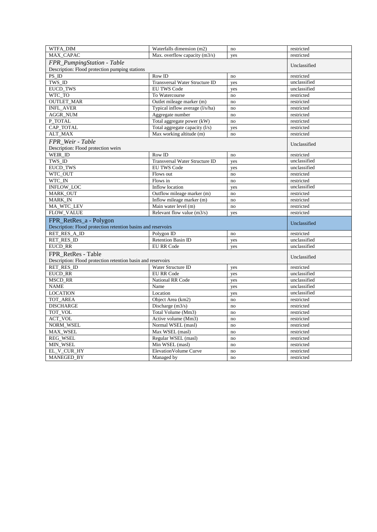| WTFA_DIM                                                      | Waterfalls dimension (m2)       | no  | restricted   |
|---------------------------------------------------------------|---------------------------------|-----|--------------|
| MAX CAPAC                                                     | Max. overflow capacity (m3/s)   | yes | restricted   |
| FPR_PumpingStation - Table                                    | Unclassified                    |     |              |
| Description: Flood protection pumping stations                |                                 |     |              |
| $PS$ <sub>ID</sub>                                            | Row ID                          | no  | restricted   |
| TWS_ID                                                        | Transversal Water Structure ID  | yes | unclassified |
| <b>EUCD TWS</b>                                               | <b>EU TWS Code</b>              | yes | unclassified |
| WTC TO                                                        | To Watercourse                  | no  | restricted   |
| <b>OUTLET_MAR</b>                                             | Outlet mileage marker (m)       | no  | restricted   |
| <b>INFL_AVER</b>                                              | Typical inflow average (l/s/ha) | no  | restricted   |
| <b>AGGR_NUM</b>                                               | Aggregate number                | no  | restricted   |
| P TOTAL                                                       | Total aggregate power (kW)      | no  | restricted   |
| CAP TOTAL                                                     | Total aggregate capacity (l/s)  | yes | restricted   |
| <b>ALT_MAX</b>                                                | Max working altitude (m)        | no  | restricted   |
| FPR Weir - Table                                              |                                 |     |              |
| Description: Flood protection weirs                           |                                 |     | Unclassified |
| WEIR_ID                                                       | Row ID                          | no  | restricted   |
| TWS ID                                                        | Transversal Water Structure ID  | yes | unclassified |
| <b>EUCD TWS</b>                                               | <b>EU TWS Code</b>              | yes | unclassified |
| WTC OUT                                                       | Flows out                       | no  | restricted   |
| WTC_IN                                                        | Flows in                        | no  | restricted   |
| INFLOW_LOC                                                    | Inflow location                 | yes | unclassified |
| MARK_OUT                                                      | Outflow mileage marker (m)      | no  | restricted   |
| <b>MARK_IN</b>                                                | Inflow mileage marker (m)       | no  | restricted   |
| MA_WTC_LEV                                                    | Main water level (m)            | no  | restricted   |
| FLOW_VALUE                                                    | Relevant flow value $(m3/s)$    | yes | restricted   |
| FPR_RetRes_a - Polygon                                        |                                 |     |              |
| Description: Flood protection retention basins and reservoirs |                                 |     | Unclassified |
| RET_RES_A_ID                                                  | Polygon ID                      | no  | restricted   |
| RET_RES_ID                                                    | <b>Retention Basin ID</b>       | yes | unclassified |
| <b>EUCD_RR</b>                                                | <b>EU RR Code</b>               | yes | unclassified |
| FPR RetRes - Table                                            |                                 |     |              |
| Description: Flood protection retention basin and reservoirs  |                                 |     | Unclassified |
| <b>RET RES ID</b>                                             | Water Structure ID              | yes | restricted   |
| <b>EUCD_RR</b>                                                | <b>EU RR Code</b>               | yes | unclassified |
| <b>MSCD_RR</b>                                                | <b>National RR Code</b>         | yes | unclassified |
| <b>NAME</b>                                                   | Name                            | yes | unclassified |
| <b>LOCATION</b>                                               | Location                        | yes | unclassified |
| TOT_AREA                                                      | Object Area (km2)               | no  | restricted   |
| <b>DISCHARGE</b>                                              | Discharge $(m3/s)$              | no  | restricted   |
| TOT_VOL                                                       | Total Volume (Mm3)              | no  | restricted   |
| <b>ACT_VOL</b>                                                | Active volume (Mm3)             | no  | restricted   |
| NORM_WSEL                                                     | Normal WSEL (masl)              | no  | restricted   |
| MAX_WSEL                                                      | Max WSEL (masl)                 | no  | restricted   |
| REG_WSEL                                                      | Regular WSEL (masl)             | no  | restricted   |
| MIN WSEL                                                      | Min WSEL (masl)                 | no  | restricted   |
| EL_V_CUR_HY                                                   | <b>ElevationVolume Curve</b>    | no  | restricted   |
| MANEGED_BY                                                    | Managed by                      | no  | restricted   |
|                                                               |                                 |     |              |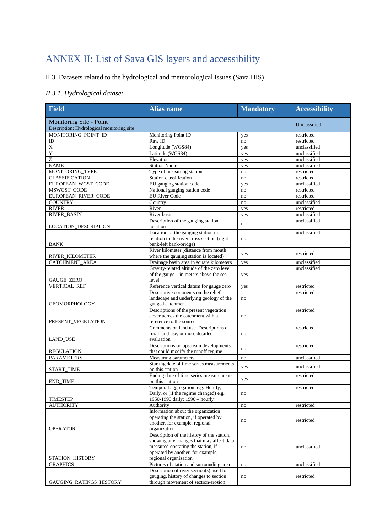## ANNEX II: List of Sava GIS layers and accessibility

II.3. Datasets related to the hydrological and meteorological issues (Sava HIS)

#### *II.3.1. Hydrological dataset*

| <b>Field</b>                                                         | <b>Alias name</b>                                                                                                                                                                          | <b>Mandatory</b> | <b>Accessibility</b> |
|----------------------------------------------------------------------|--------------------------------------------------------------------------------------------------------------------------------------------------------------------------------------------|------------------|----------------------|
| Monitoring Site - Point<br>Description: Hydrological monitoring site |                                                                                                                                                                                            |                  | Unclassified         |
| MONITORING POINT ID                                                  | Monitoring Point ID                                                                                                                                                                        | yes              | restricted           |
| ID                                                                   | Raw ID                                                                                                                                                                                     | no               | restricted           |
| $\mathbf X$                                                          | Longitude (WGS84)                                                                                                                                                                          | yes              | unclassified         |
| $\mathbf Y$                                                          | Latitude (WGS84)                                                                                                                                                                           | yes              | unclassified         |
| $\overline{z}$                                                       | Elevation                                                                                                                                                                                  | yes              | unclassified         |
| <b>NAME</b>                                                          | <b>Station Name</b>                                                                                                                                                                        | yes              | unclassified         |
| MONITORING_TYPE                                                      | Type of measuring station                                                                                                                                                                  | no               | restricted           |
| <b>CLASSIFICATION</b>                                                | Station classification                                                                                                                                                                     | no               | restricted           |
| EUROPEAN_WGST_CODE                                                   | EU gauging station code                                                                                                                                                                    | yes              | unclassified         |
| MSWGST_CODE                                                          | National gauging station code                                                                                                                                                              | no               | restricted           |
| EUROPEAN_RIVER_CODE                                                  | <b>EU River Code</b>                                                                                                                                                                       | no               | restricted           |
| <b>COUNTRY</b>                                                       | Country                                                                                                                                                                                    | no               | unclassified         |
| <b>RIVER</b>                                                         | River                                                                                                                                                                                      | yes              | restricted           |
| <b>RIVER_BASIN</b>                                                   | River basin                                                                                                                                                                                | yes              | unclassified         |
| LOCATION_DESCRIPTION                                                 | Description of the gauging station<br>location                                                                                                                                             | no               | unclassified         |
| <b>BANK</b>                                                          | Location of the gauging station in<br>relation to the river cross section (right<br>bank-left bank-bridge)                                                                                 | no               | unclassified         |
| RIVER_KILOMETER                                                      | River kilometer (distance from mouth<br>where the gauging station is located)                                                                                                              | yes              | restricted           |
| <b>CATCHMENT_AREA</b>                                                | Drainage basin area in square kilometers                                                                                                                                                   | yes              | unclassified         |
| GAUGE_ZERO                                                           | Gravity-related altitude of the zero level<br>of the gauge - in meters above the sea<br>level                                                                                              | yes              | unclassified         |
| <b>VERTICAL_REF</b>                                                  | Reference vertical datum for gauge zero                                                                                                                                                    | yes              | restricted           |
| <b>GEOMORPHOLOGY</b>                                                 | Descriptive comments on the relief,<br>landscape and underlying geology of the<br>gauged catchment                                                                                         | no               | restricted           |
| PRESENT_VEGETATION                                                   | Descriptions of the present vegetation<br>cover across the catchment with a<br>reference to the source                                                                                     | no               | restricted           |
| LAND_USE                                                             | Comments on land use. Descriptions of<br>rural land use, or more detailed<br>evaluation                                                                                                    | no               | restricted           |
| <b>REGULATION</b>                                                    | Descriptions on upstream developments<br>that could modify the runoff regime                                                                                                               | no               | restricted           |
| <b>PARAMETERS</b>                                                    | Measuring parameters                                                                                                                                                                       | no               | unclassified         |
| START_TIME                                                           | Starting date of time series measurements<br>on this station                                                                                                                               | yes              | unclassified         |
| <b>END_TIME</b>                                                      | Ending date of time series measurements<br>on this station                                                                                                                                 | yes              | restricted           |
| <b>TIMESTEP</b>                                                      | Temporal aggregation: e.g. Hourly,<br>Daily, or (if the regime changed) e.g.<br>1950-1990 daily; 1990 - hourly                                                                             | no               | restricted           |
| <b>AUTHORITY</b>                                                     | Authority                                                                                                                                                                                  | no               | restricted           |
| <b>OPERATOR</b>                                                      | Information about the organization<br>operating the station, if operated by<br>another, for example, regional<br>organization                                                              | no               | restricted           |
| STATION_HISTORY                                                      | Description of the history of the station,<br>showing any changes that may affect data<br>measured operating the station, if<br>operated by another, for example,<br>regional organization | no               | unclassified         |
| <b>GRAPHICS</b>                                                      | Pictures of station and surrounding area                                                                                                                                                   | no               | unclassified         |
| GAUGING_RATINGS_HISTORY                                              | Description of river section(s) used for<br>gauging, history of changes to section<br>through movement of section/erosion,                                                                 | no               | restricted           |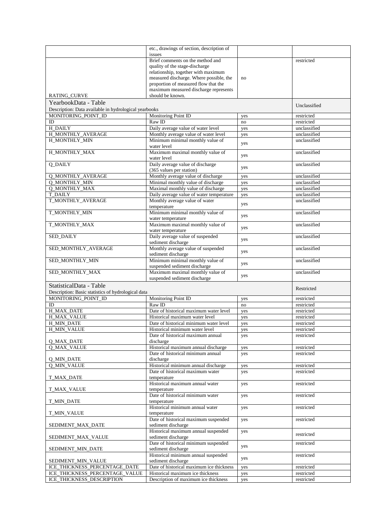|                                                                              | etc., drawings of section, description of<br>issues                           |            |                              |
|------------------------------------------------------------------------------|-------------------------------------------------------------------------------|------------|------------------------------|
|                                                                              | Brief comments on the method and                                              |            | restricted                   |
|                                                                              | quality of the stage-discharge                                                |            |                              |
|                                                                              | relationship, together with maximum                                           |            |                              |
|                                                                              | measured discharge. Where possible, the                                       | no         |                              |
|                                                                              | proportion of measured flow that the<br>maximum measured discharge represents |            |                              |
| <b>RATING_CURVE</b>                                                          | should be known.                                                              |            |                              |
| YearbookData - Table                                                         |                                                                               |            | Unclassified                 |
| Description: Data available in hydrological yearbooks<br>MONITORING_POINT_ID | Monitoring Point ID                                                           | yes        | restricted                   |
| ID                                                                           | Raw ID                                                                        | no         | restricted                   |
| H DAILY                                                                      | Daily average value of water level                                            | yes        | unclassified                 |
| H_MONTHLY_AVERAGE                                                            | Monthly average value of water level                                          | yes        | unclassified                 |
| H_MONTHLY_MIN                                                                | Minimum minimal monthly value of<br>water level                               | yes        | unclassified                 |
| H_MONTHLY_MAX                                                                | Maximum maximal monthly value of                                              | yes        | unclassified                 |
| <b>Q_DAILY</b>                                                               | water level<br>Daily average value of discharge                               |            | unclassified                 |
|                                                                              | (365 values per station)                                                      | yes        |                              |
| <b>O MONTHLY AVERAGE</b>                                                     | Monthly average value of discharge                                            | yes        | unclassified                 |
| <b>Q_MONTHLY_MIN</b>                                                         | Minimal monthly value of discharge                                            | yes        | unclassified                 |
| <b>Q_MONTHLY_MAX</b><br><b>T DAILY</b>                                       | Maximal monthly value of discharge                                            | yes        | unclassified<br>unclassified |
| T_MONTHLY_AVERAGE                                                            | Daily average value of water temperature<br>Monthly average value of water    | yes        | unclassified                 |
|                                                                              | temperature                                                                   | yes        |                              |
| T_MONTHLY_MIN                                                                | Minimum minimal monthly value of<br>water temperature                         | yes        | unclassified                 |
| T_MONTHLY_MAX                                                                | Maximum maximal monthly value of                                              | yes        | unclassified                 |
| SED_DAILY                                                                    | water temperature<br>Daily average value of suspended                         | yes        | unclassified                 |
| SED_MONTHLY_AVERAGE                                                          | sediment discharge<br>Monthly average value of suspended                      |            | unclassified                 |
|                                                                              | sediment discharge                                                            | yes        |                              |
| SED_MONTHLY_MIN                                                              | Minimum minimal monthly value of<br>suspended sediment discharge              | yes        | unclassified                 |
| SED_MONTHLY_MAX                                                              | Maximum maximal monthly value of                                              | yes        | unclassified                 |
|                                                                              | suspended sediment discharge                                                  |            |                              |
| StatisticalData - Table                                                      |                                                                               |            | Restricted                   |
| Description: Basic statistics of hydrological data<br>MONITORING_POINT_ID    | Monitoring Point ID                                                           | yes        | restricted                   |
| ID                                                                           | Raw ID                                                                        | no         | restricted                   |
| H MAX DATE                                                                   | Date of historical maximum water level                                        | yes        | restricted                   |
| H_MAX_VALUE                                                                  | Historical maximum water level                                                | yes        | restricted                   |
| H_MIN_DATE                                                                   | Date of historical minimum water level                                        | yes        | restricted                   |
| <b>H_MIN_VALUE</b>                                                           | Historical minimum water level                                                | yes        | restricted                   |
| Q_MAX_DATE                                                                   | Date of historical maximum annual<br>discharge                                | yes        | restricted                   |
| <b>Q_MAX_VALUE</b>                                                           | Historical maximum annual discharge                                           | yes        | restricted                   |
|                                                                              | Date of historical minimum annual                                             | yes        | restricted                   |
| Q_MIN_DATE                                                                   | discharge                                                                     |            |                              |
| <b>Q_MIN_VALUE</b>                                                           | Historical minimum annual discharge                                           | yes        | restricted                   |
| T_MAX_DATE                                                                   | Date of historical maximum water<br>temperature                               | yes        | restricted                   |
|                                                                              | Historical maximum annual water                                               | yes        | restricted                   |
| T_MAX_VALUE                                                                  | temperature<br>Date of historical minimum water                               |            | restricted                   |
| T_MIN_DATE                                                                   | temperature                                                                   | yes        |                              |
| T_MIN_VALUE                                                                  | Historical minimum annual water<br>temperature                                | yes        | restricted                   |
| SEDIMENT_MAX_DATE                                                            | Date of historical maximum suspended<br>sediment discharge                    | yes        | restricted                   |
| SEDIMENT_MAX_VALUE                                                           | Historical maximum annual suspended<br>sediment discharge                     | yes        | restricted                   |
| SEDIMENT_MIN_DATE                                                            | Date of historical minimum suspended<br>sediment discharge                    | yes        | restricted                   |
|                                                                              | Historical minimum annual suspended                                           | yes        | restricted                   |
| SEDIMENT_MIN_VALUE                                                           | sediment discharge                                                            |            |                              |
| ICE_THICKNESS_PERCENTAGE_DATE<br>ICE_THICKNESS_PERCENTAGE_VALUE              | Date of historical maximum ice thickness<br>Historical maximum ice thickness  | yes        | restricted<br>restricted     |
| ICE_THICKNESS_DESCRIPTION                                                    | Description of maximum ice thickness                                          | yes<br>yes | restricted                   |
|                                                                              |                                                                               |            |                              |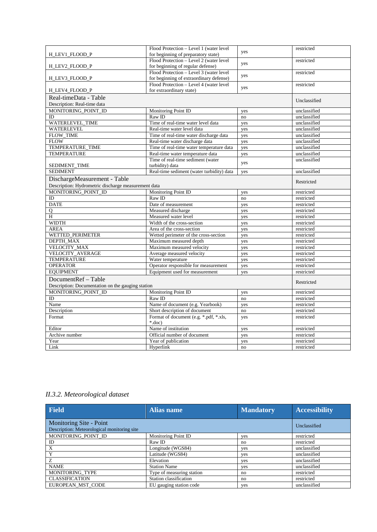|                                                     | Flood Protection - Level 1 (water level   |     | restricted   |
|-----------------------------------------------------|-------------------------------------------|-----|--------------|
| H_LEV1_FLOOD_P                                      | for beginning of preparatory state)       | yes |              |
|                                                     | Flood Protection - Level 2 (water level)  | yes | restricted   |
| H_LEV2_FLOOD_P                                      | for beginning of regular defense)         |     |              |
|                                                     | Flood Protection - Level 3 (water level   | yes | restricted   |
| H_LEV3_FLOOD_P                                      | for beginning of extraordinary defense)   |     |              |
|                                                     | Flood Protection - Level 4 (water level   | yes | restricted   |
| H_LEV4_FLOOD_P                                      | for extraordinary state)                  |     |              |
| Real-timeData - Table                               |                                           |     | Unclassified |
| Description: Real-time data                         |                                           |     |              |
| MONITORING_POINT_ID                                 | Monitoring Point ID                       | yes | unclassified |
| ID                                                  | Raw ID                                    | no  | unclassified |
| WATERLEVEL TIME                                     | Time of real-time water level data        | yes | unclassified |
| <b>WATERLEVEL</b>                                   | Real-time water level data                | yes | unclassified |
| FLOW_TIME                                           | Time of real-time water discharge data    | yes | unclassified |
| <b>FLOW</b>                                         | Real-time water discharge data            | yes | unclassified |
| TEMPERATURE_TIME                                    | Time of real-time water temperature data  | yes | unclassified |
| <b>TEMPERATURE</b>                                  | Real-time water temperature data          | yes | unclassified |
|                                                     | Time of real-time sediment (water         | yes | unclassified |
| SEDIMENT TIME                                       | turbidity) data                           |     |              |
| <b>SEDIMENT</b>                                     | Real-time sediment (water turbidity) data | yes | unclassified |
| DischargeMeasurement - Table                        |                                           |     |              |
| Description: Hydrometric discharge measurement data |                                           |     | Restricted   |
| MONITORING_POINT_ID                                 | Monitoring Point ID                       | yes | restricted   |
| ID                                                  | Raw ID                                    | no  | restricted   |
| <b>DATE</b>                                         | Date of measurement                       | yes | restricted   |
| Q                                                   | Measured discharge                        | yes | restricted   |
| H                                                   | Measured water level                      | yes | restricted   |
| <b>WIDTH</b>                                        | Width of the cross-section                | yes | restricted   |
| <b>AREA</b>                                         | Area of the cross-section                 | yes | restricted   |
| WETTED_PERIMETER                                    | Wetted perimeter of the cross-section     | yes | restricted   |
| DEPTH MAX                                           | Maximum measured depth                    | yes | restricted   |
| <b>VELOCITY MAX</b>                                 | Maximum measured velocity                 | yes | restricted   |
| VELOCITY_AVERAGE                                    | Average measured velocity                 | yes | restricted   |
| <b>TEMPERATURE</b>                                  | Water temperature                         | yes | restricted   |
| <b>OPERATOR</b>                                     | Operator responsible for measurement      | yes | restricted   |
| <b>EQUIPMENT</b>                                    | Equipment used for measurement            | yes | restricted   |
| DocumentRef - Table                                 |                                           |     |              |
| Description: Documentation on the gauging station   |                                           |     | Restricted   |
| MONITORING POINT ID                                 | Monitoring Point ID                       | yes | restricted   |
| ID                                                  | Raw ID                                    | no  | restricted   |
| Name                                                | Name of document (e.g. Yearbook)          | yes | restricted   |
| Description                                         | Short description of document             | no  | restricted   |
| Format                                              | Format of document (e.g. *.pdf, *.xls,    | yes | restricted   |
|                                                     | $*$ .doc)                                 |     |              |
| Editor                                              | Name of institution                       | yes | restricted   |
| Archive number                                      | Official number of document               | yes | restricted   |
| Year                                                | Year of publication                       | yes | restricted   |
| Link                                                | Hyperlink                                 | no  | restricted   |

*II.3.2. Meteorological dataset*

| <b>Field</b>                                                           | <b>Alias name</b>         | <b>Mandatory</b> | <b>Accessibility</b> |
|------------------------------------------------------------------------|---------------------------|------------------|----------------------|
| Monitoring Site - Point<br>Description: Meteorological monitoring site |                           |                  | Unclassified         |
| MONITORING POINT ID                                                    | Monitoring Point ID       | yes              | restricted           |
| ID                                                                     | Raw ID                    | no               | restricted           |
| X                                                                      | Longitude (WGS84)         | yes              | unclassified         |
| Y                                                                      | Latitude (WGS84)          | yes              | unclassified         |
| Z                                                                      | Elevation                 | yes              | unclassified         |
| <b>NAME</b>                                                            | <b>Station Name</b>       | yes              | unclassified         |
| MONITORING TYPE                                                        | Type of measuring station | no               | restricted           |
| <b>CLASSIFICATION</b>                                                  | Station classification    | no               | restricted           |
| EUROPEAN MST CODE                                                      | EU gauging station code   | <b>ves</b>       | unclassified         |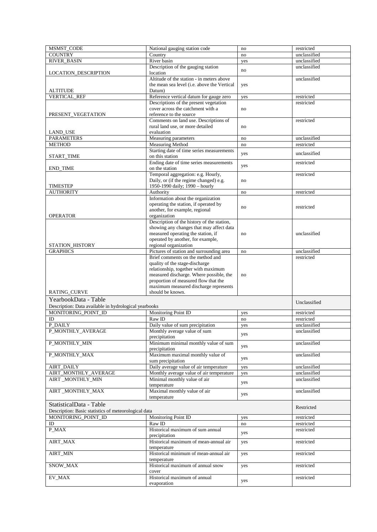| <b>COUNTRY</b><br>$\overline{\text{Country}}$<br>unclassified<br>no<br><b>RIVER BASIN</b><br>River basin<br>unclassified<br>yes<br>Description of the gauging station<br>unclassified<br>no<br>location<br><b>LOCATION_DESCRIPTION</b><br>Altitude of the station - in meters above<br>unclassified<br>the mean sea level ( <i>i.e.</i> above the Vertical<br>yes<br>Datum)<br><b>ALTITUDE</b><br><b>VERTICAL REF</b><br>Reference vertical datum for gauge zero<br>restricted<br>yes<br>Descriptions of the present vegetation<br>restricted<br>cover across the catchment with a<br>no<br>reference to the source<br>PRESENT VEGETATION<br>Comments on land use. Descriptions of<br>restricted<br>rural land use, or more detailed<br>no<br>evaluation<br><b>LAND USE</b><br><b>PARAMETERS</b><br>Measuring parameters<br>unclassified<br>no<br><b>METHOD</b><br>Measuring Method<br>restricted<br>no<br>Starting date of time series measurements<br>unclassified<br>yes<br>on this station<br>START_TIME<br>Ending date of time series measurements<br>restricted<br>yes<br>on the station<br><b>END_TIME</b><br>Temporal aggregation: e.g. Hourly,<br>restricted<br>Daily, or (if the regime changed) e.g.<br>no<br>1950-1990 daily; 1990 - hourly<br><b>TIMESTEP</b><br><b>AUTHORITY</b><br>Authority<br>restricted<br>no<br>Information about the organization<br>operating the station, if operated by<br>restricted<br>no<br>another, for example, regional<br>organization<br><b>OPERATOR</b><br>Description of the history of the station,<br>showing any changes that may affect data<br>measured operating the station, if<br>unclassified<br>no<br>operated by another, for example,<br>regional organization<br>STATION_HISTORY<br>Pictures of station and surrounding area<br><b>GRAPHICS</b><br>unclassified<br>no<br>Brief comments on the method and<br>restricted<br>quality of the stage-discharge<br>relationship, together with maximum<br>measured discharge. Where possible, the<br>no<br>proportion of measured flow that the<br>maximum measured discharge represents<br><b>RATING_CURVE</b><br>should be known.<br>YearbookData - Table<br>Unclassified<br>Description: Data available in hydrological yearbooks<br>MONITORING POINT ID<br>Monitoring Point ID<br>restricted<br>yes<br>ID<br>Raw ID<br>restricted<br>no<br>P DAILY<br>Daily value of sum precipitation<br>unclassified<br>yes<br>P_MONTHLY_AVERAGE<br>Monthly average value of sum<br>unclassified<br>yes<br>precipitation<br>Minimum minimal monthly value of sum<br>P_MONTHLY_MIN<br>unclassified<br>yes<br>precipitation<br>Maximum maximal monthly value of<br>P_MONTHLY_MAX<br>unclassified<br>yes<br>sum precipitation<br><b>AIRT_DAILY</b><br>Daily average value of air temperature<br>unclassified<br>yes<br>AIRT_MONTHLY_AVERAGE<br>Monthly average value of air temperature<br>unclassified<br>yes<br>Minimal monthly value of air<br>AIRT_MONTHLY_MIN<br>unclassified<br>yes<br>temperature<br>Maximal monthly value of air<br>AIRT_MONTHLY_MAX<br>unclassified<br>yes<br>temperature<br>StatisticalData - Table<br>Restricted<br>Description: Basic statistics of meteorological data<br>MONITORING_POINT_ID<br>Monitoring Point ID<br>restricted<br>yes<br>Raw ID<br>ID<br>restricted<br>$\rm{no}$<br>Historical maximum of sum annual<br>P_MAX<br>restricted<br>yes<br>precipitation<br>Historical maximum of mean-annual air<br>AIRT_MAX<br>restricted<br>yes<br>temperature<br>Historical minimum of mean-annual air<br>AIRT_MIN<br>restricted<br>yes<br>temperature<br>SNOW_MAX<br>Historical maximum of annual snow<br>restricted<br>yes<br>cover<br>EV_MAX<br>Historical maximum of annual<br>restricted<br>yes<br>evaporation | <b>MSMST CODE</b> | National gauging station code | no | restricted |
|------------------------------------------------------------------------------------------------------------------------------------------------------------------------------------------------------------------------------------------------------------------------------------------------------------------------------------------------------------------------------------------------------------------------------------------------------------------------------------------------------------------------------------------------------------------------------------------------------------------------------------------------------------------------------------------------------------------------------------------------------------------------------------------------------------------------------------------------------------------------------------------------------------------------------------------------------------------------------------------------------------------------------------------------------------------------------------------------------------------------------------------------------------------------------------------------------------------------------------------------------------------------------------------------------------------------------------------------------------------------------------------------------------------------------------------------------------------------------------------------------------------------------------------------------------------------------------------------------------------------------------------------------------------------------------------------------------------------------------------------------------------------------------------------------------------------------------------------------------------------------------------------------------------------------------------------------------------------------------------------------------------------------------------------------------------------------------------------------------------------------------------------------------------------------------------------------------------------------------------------------------------------------------------------------------------------------------------------------------------------------------------------------------------------------------------------------------------------------------------------------------------------------------------------------------------------------------------------------------------------------------------------------------------------------------------------------------------------------------------------------------------------------------------------------------------------------------------------------------------------------------------------------------------------------------------------------------------------------------------------------------------------------------------------------------------------------------------------------------------------------------------------------------------------------------------------------------------------------------------------------------------------------------------------------------------------------------------------------------------------------------------------------------------------------------------------------------------------------------------------------------------------------------------------------------------------------------------------------------------------------------------------------------------------------------------------------------------------------------------------|-------------------|-------------------------------|----|------------|
|                                                                                                                                                                                                                                                                                                                                                                                                                                                                                                                                                                                                                                                                                                                                                                                                                                                                                                                                                                                                                                                                                                                                                                                                                                                                                                                                                                                                                                                                                                                                                                                                                                                                                                                                                                                                                                                                                                                                                                                                                                                                                                                                                                                                                                                                                                                                                                                                                                                                                                                                                                                                                                                                                                                                                                                                                                                                                                                                                                                                                                                                                                                                                                                                                                                                                                                                                                                                                                                                                                                                                                                                                                                                                                                                                |                   |                               |    |            |
|                                                                                                                                                                                                                                                                                                                                                                                                                                                                                                                                                                                                                                                                                                                                                                                                                                                                                                                                                                                                                                                                                                                                                                                                                                                                                                                                                                                                                                                                                                                                                                                                                                                                                                                                                                                                                                                                                                                                                                                                                                                                                                                                                                                                                                                                                                                                                                                                                                                                                                                                                                                                                                                                                                                                                                                                                                                                                                                                                                                                                                                                                                                                                                                                                                                                                                                                                                                                                                                                                                                                                                                                                                                                                                                                                |                   |                               |    |            |
|                                                                                                                                                                                                                                                                                                                                                                                                                                                                                                                                                                                                                                                                                                                                                                                                                                                                                                                                                                                                                                                                                                                                                                                                                                                                                                                                                                                                                                                                                                                                                                                                                                                                                                                                                                                                                                                                                                                                                                                                                                                                                                                                                                                                                                                                                                                                                                                                                                                                                                                                                                                                                                                                                                                                                                                                                                                                                                                                                                                                                                                                                                                                                                                                                                                                                                                                                                                                                                                                                                                                                                                                                                                                                                                                                |                   |                               |    |            |
|                                                                                                                                                                                                                                                                                                                                                                                                                                                                                                                                                                                                                                                                                                                                                                                                                                                                                                                                                                                                                                                                                                                                                                                                                                                                                                                                                                                                                                                                                                                                                                                                                                                                                                                                                                                                                                                                                                                                                                                                                                                                                                                                                                                                                                                                                                                                                                                                                                                                                                                                                                                                                                                                                                                                                                                                                                                                                                                                                                                                                                                                                                                                                                                                                                                                                                                                                                                                                                                                                                                                                                                                                                                                                                                                                |                   |                               |    |            |
|                                                                                                                                                                                                                                                                                                                                                                                                                                                                                                                                                                                                                                                                                                                                                                                                                                                                                                                                                                                                                                                                                                                                                                                                                                                                                                                                                                                                                                                                                                                                                                                                                                                                                                                                                                                                                                                                                                                                                                                                                                                                                                                                                                                                                                                                                                                                                                                                                                                                                                                                                                                                                                                                                                                                                                                                                                                                                                                                                                                                                                                                                                                                                                                                                                                                                                                                                                                                                                                                                                                                                                                                                                                                                                                                                |                   |                               |    |            |
|                                                                                                                                                                                                                                                                                                                                                                                                                                                                                                                                                                                                                                                                                                                                                                                                                                                                                                                                                                                                                                                                                                                                                                                                                                                                                                                                                                                                                                                                                                                                                                                                                                                                                                                                                                                                                                                                                                                                                                                                                                                                                                                                                                                                                                                                                                                                                                                                                                                                                                                                                                                                                                                                                                                                                                                                                                                                                                                                                                                                                                                                                                                                                                                                                                                                                                                                                                                                                                                                                                                                                                                                                                                                                                                                                |                   |                               |    |            |
|                                                                                                                                                                                                                                                                                                                                                                                                                                                                                                                                                                                                                                                                                                                                                                                                                                                                                                                                                                                                                                                                                                                                                                                                                                                                                                                                                                                                                                                                                                                                                                                                                                                                                                                                                                                                                                                                                                                                                                                                                                                                                                                                                                                                                                                                                                                                                                                                                                                                                                                                                                                                                                                                                                                                                                                                                                                                                                                                                                                                                                                                                                                                                                                                                                                                                                                                                                                                                                                                                                                                                                                                                                                                                                                                                |                   |                               |    |            |
|                                                                                                                                                                                                                                                                                                                                                                                                                                                                                                                                                                                                                                                                                                                                                                                                                                                                                                                                                                                                                                                                                                                                                                                                                                                                                                                                                                                                                                                                                                                                                                                                                                                                                                                                                                                                                                                                                                                                                                                                                                                                                                                                                                                                                                                                                                                                                                                                                                                                                                                                                                                                                                                                                                                                                                                                                                                                                                                                                                                                                                                                                                                                                                                                                                                                                                                                                                                                                                                                                                                                                                                                                                                                                                                                                |                   |                               |    |            |
|                                                                                                                                                                                                                                                                                                                                                                                                                                                                                                                                                                                                                                                                                                                                                                                                                                                                                                                                                                                                                                                                                                                                                                                                                                                                                                                                                                                                                                                                                                                                                                                                                                                                                                                                                                                                                                                                                                                                                                                                                                                                                                                                                                                                                                                                                                                                                                                                                                                                                                                                                                                                                                                                                                                                                                                                                                                                                                                                                                                                                                                                                                                                                                                                                                                                                                                                                                                                                                                                                                                                                                                                                                                                                                                                                |                   |                               |    |            |
|                                                                                                                                                                                                                                                                                                                                                                                                                                                                                                                                                                                                                                                                                                                                                                                                                                                                                                                                                                                                                                                                                                                                                                                                                                                                                                                                                                                                                                                                                                                                                                                                                                                                                                                                                                                                                                                                                                                                                                                                                                                                                                                                                                                                                                                                                                                                                                                                                                                                                                                                                                                                                                                                                                                                                                                                                                                                                                                                                                                                                                                                                                                                                                                                                                                                                                                                                                                                                                                                                                                                                                                                                                                                                                                                                |                   |                               |    |            |
|                                                                                                                                                                                                                                                                                                                                                                                                                                                                                                                                                                                                                                                                                                                                                                                                                                                                                                                                                                                                                                                                                                                                                                                                                                                                                                                                                                                                                                                                                                                                                                                                                                                                                                                                                                                                                                                                                                                                                                                                                                                                                                                                                                                                                                                                                                                                                                                                                                                                                                                                                                                                                                                                                                                                                                                                                                                                                                                                                                                                                                                                                                                                                                                                                                                                                                                                                                                                                                                                                                                                                                                                                                                                                                                                                |                   |                               |    |            |
|                                                                                                                                                                                                                                                                                                                                                                                                                                                                                                                                                                                                                                                                                                                                                                                                                                                                                                                                                                                                                                                                                                                                                                                                                                                                                                                                                                                                                                                                                                                                                                                                                                                                                                                                                                                                                                                                                                                                                                                                                                                                                                                                                                                                                                                                                                                                                                                                                                                                                                                                                                                                                                                                                                                                                                                                                                                                                                                                                                                                                                                                                                                                                                                                                                                                                                                                                                                                                                                                                                                                                                                                                                                                                                                                                |                   |                               |    |            |
|                                                                                                                                                                                                                                                                                                                                                                                                                                                                                                                                                                                                                                                                                                                                                                                                                                                                                                                                                                                                                                                                                                                                                                                                                                                                                                                                                                                                                                                                                                                                                                                                                                                                                                                                                                                                                                                                                                                                                                                                                                                                                                                                                                                                                                                                                                                                                                                                                                                                                                                                                                                                                                                                                                                                                                                                                                                                                                                                                                                                                                                                                                                                                                                                                                                                                                                                                                                                                                                                                                                                                                                                                                                                                                                                                |                   |                               |    |            |
|                                                                                                                                                                                                                                                                                                                                                                                                                                                                                                                                                                                                                                                                                                                                                                                                                                                                                                                                                                                                                                                                                                                                                                                                                                                                                                                                                                                                                                                                                                                                                                                                                                                                                                                                                                                                                                                                                                                                                                                                                                                                                                                                                                                                                                                                                                                                                                                                                                                                                                                                                                                                                                                                                                                                                                                                                                                                                                                                                                                                                                                                                                                                                                                                                                                                                                                                                                                                                                                                                                                                                                                                                                                                                                                                                |                   |                               |    |            |
|                                                                                                                                                                                                                                                                                                                                                                                                                                                                                                                                                                                                                                                                                                                                                                                                                                                                                                                                                                                                                                                                                                                                                                                                                                                                                                                                                                                                                                                                                                                                                                                                                                                                                                                                                                                                                                                                                                                                                                                                                                                                                                                                                                                                                                                                                                                                                                                                                                                                                                                                                                                                                                                                                                                                                                                                                                                                                                                                                                                                                                                                                                                                                                                                                                                                                                                                                                                                                                                                                                                                                                                                                                                                                                                                                |                   |                               |    |            |
|                                                                                                                                                                                                                                                                                                                                                                                                                                                                                                                                                                                                                                                                                                                                                                                                                                                                                                                                                                                                                                                                                                                                                                                                                                                                                                                                                                                                                                                                                                                                                                                                                                                                                                                                                                                                                                                                                                                                                                                                                                                                                                                                                                                                                                                                                                                                                                                                                                                                                                                                                                                                                                                                                                                                                                                                                                                                                                                                                                                                                                                                                                                                                                                                                                                                                                                                                                                                                                                                                                                                                                                                                                                                                                                                                |                   |                               |    |            |
|                                                                                                                                                                                                                                                                                                                                                                                                                                                                                                                                                                                                                                                                                                                                                                                                                                                                                                                                                                                                                                                                                                                                                                                                                                                                                                                                                                                                                                                                                                                                                                                                                                                                                                                                                                                                                                                                                                                                                                                                                                                                                                                                                                                                                                                                                                                                                                                                                                                                                                                                                                                                                                                                                                                                                                                                                                                                                                                                                                                                                                                                                                                                                                                                                                                                                                                                                                                                                                                                                                                                                                                                                                                                                                                                                |                   |                               |    |            |
|                                                                                                                                                                                                                                                                                                                                                                                                                                                                                                                                                                                                                                                                                                                                                                                                                                                                                                                                                                                                                                                                                                                                                                                                                                                                                                                                                                                                                                                                                                                                                                                                                                                                                                                                                                                                                                                                                                                                                                                                                                                                                                                                                                                                                                                                                                                                                                                                                                                                                                                                                                                                                                                                                                                                                                                                                                                                                                                                                                                                                                                                                                                                                                                                                                                                                                                                                                                                                                                                                                                                                                                                                                                                                                                                                |                   |                               |    |            |
|                                                                                                                                                                                                                                                                                                                                                                                                                                                                                                                                                                                                                                                                                                                                                                                                                                                                                                                                                                                                                                                                                                                                                                                                                                                                                                                                                                                                                                                                                                                                                                                                                                                                                                                                                                                                                                                                                                                                                                                                                                                                                                                                                                                                                                                                                                                                                                                                                                                                                                                                                                                                                                                                                                                                                                                                                                                                                                                                                                                                                                                                                                                                                                                                                                                                                                                                                                                                                                                                                                                                                                                                                                                                                                                                                |                   |                               |    |            |
|                                                                                                                                                                                                                                                                                                                                                                                                                                                                                                                                                                                                                                                                                                                                                                                                                                                                                                                                                                                                                                                                                                                                                                                                                                                                                                                                                                                                                                                                                                                                                                                                                                                                                                                                                                                                                                                                                                                                                                                                                                                                                                                                                                                                                                                                                                                                                                                                                                                                                                                                                                                                                                                                                                                                                                                                                                                                                                                                                                                                                                                                                                                                                                                                                                                                                                                                                                                                                                                                                                                                                                                                                                                                                                                                                |                   |                               |    |            |
|                                                                                                                                                                                                                                                                                                                                                                                                                                                                                                                                                                                                                                                                                                                                                                                                                                                                                                                                                                                                                                                                                                                                                                                                                                                                                                                                                                                                                                                                                                                                                                                                                                                                                                                                                                                                                                                                                                                                                                                                                                                                                                                                                                                                                                                                                                                                                                                                                                                                                                                                                                                                                                                                                                                                                                                                                                                                                                                                                                                                                                                                                                                                                                                                                                                                                                                                                                                                                                                                                                                                                                                                                                                                                                                                                |                   |                               |    |            |
|                                                                                                                                                                                                                                                                                                                                                                                                                                                                                                                                                                                                                                                                                                                                                                                                                                                                                                                                                                                                                                                                                                                                                                                                                                                                                                                                                                                                                                                                                                                                                                                                                                                                                                                                                                                                                                                                                                                                                                                                                                                                                                                                                                                                                                                                                                                                                                                                                                                                                                                                                                                                                                                                                                                                                                                                                                                                                                                                                                                                                                                                                                                                                                                                                                                                                                                                                                                                                                                                                                                                                                                                                                                                                                                                                |                   |                               |    |            |
|                                                                                                                                                                                                                                                                                                                                                                                                                                                                                                                                                                                                                                                                                                                                                                                                                                                                                                                                                                                                                                                                                                                                                                                                                                                                                                                                                                                                                                                                                                                                                                                                                                                                                                                                                                                                                                                                                                                                                                                                                                                                                                                                                                                                                                                                                                                                                                                                                                                                                                                                                                                                                                                                                                                                                                                                                                                                                                                                                                                                                                                                                                                                                                                                                                                                                                                                                                                                                                                                                                                                                                                                                                                                                                                                                |                   |                               |    |            |
|                                                                                                                                                                                                                                                                                                                                                                                                                                                                                                                                                                                                                                                                                                                                                                                                                                                                                                                                                                                                                                                                                                                                                                                                                                                                                                                                                                                                                                                                                                                                                                                                                                                                                                                                                                                                                                                                                                                                                                                                                                                                                                                                                                                                                                                                                                                                                                                                                                                                                                                                                                                                                                                                                                                                                                                                                                                                                                                                                                                                                                                                                                                                                                                                                                                                                                                                                                                                                                                                                                                                                                                                                                                                                                                                                |                   |                               |    |            |
|                                                                                                                                                                                                                                                                                                                                                                                                                                                                                                                                                                                                                                                                                                                                                                                                                                                                                                                                                                                                                                                                                                                                                                                                                                                                                                                                                                                                                                                                                                                                                                                                                                                                                                                                                                                                                                                                                                                                                                                                                                                                                                                                                                                                                                                                                                                                                                                                                                                                                                                                                                                                                                                                                                                                                                                                                                                                                                                                                                                                                                                                                                                                                                                                                                                                                                                                                                                                                                                                                                                                                                                                                                                                                                                                                |                   |                               |    |            |
|                                                                                                                                                                                                                                                                                                                                                                                                                                                                                                                                                                                                                                                                                                                                                                                                                                                                                                                                                                                                                                                                                                                                                                                                                                                                                                                                                                                                                                                                                                                                                                                                                                                                                                                                                                                                                                                                                                                                                                                                                                                                                                                                                                                                                                                                                                                                                                                                                                                                                                                                                                                                                                                                                                                                                                                                                                                                                                                                                                                                                                                                                                                                                                                                                                                                                                                                                                                                                                                                                                                                                                                                                                                                                                                                                |                   |                               |    |            |
|                                                                                                                                                                                                                                                                                                                                                                                                                                                                                                                                                                                                                                                                                                                                                                                                                                                                                                                                                                                                                                                                                                                                                                                                                                                                                                                                                                                                                                                                                                                                                                                                                                                                                                                                                                                                                                                                                                                                                                                                                                                                                                                                                                                                                                                                                                                                                                                                                                                                                                                                                                                                                                                                                                                                                                                                                                                                                                                                                                                                                                                                                                                                                                                                                                                                                                                                                                                                                                                                                                                                                                                                                                                                                                                                                |                   |                               |    |            |
|                                                                                                                                                                                                                                                                                                                                                                                                                                                                                                                                                                                                                                                                                                                                                                                                                                                                                                                                                                                                                                                                                                                                                                                                                                                                                                                                                                                                                                                                                                                                                                                                                                                                                                                                                                                                                                                                                                                                                                                                                                                                                                                                                                                                                                                                                                                                                                                                                                                                                                                                                                                                                                                                                                                                                                                                                                                                                                                                                                                                                                                                                                                                                                                                                                                                                                                                                                                                                                                                                                                                                                                                                                                                                                                                                |                   |                               |    |            |
|                                                                                                                                                                                                                                                                                                                                                                                                                                                                                                                                                                                                                                                                                                                                                                                                                                                                                                                                                                                                                                                                                                                                                                                                                                                                                                                                                                                                                                                                                                                                                                                                                                                                                                                                                                                                                                                                                                                                                                                                                                                                                                                                                                                                                                                                                                                                                                                                                                                                                                                                                                                                                                                                                                                                                                                                                                                                                                                                                                                                                                                                                                                                                                                                                                                                                                                                                                                                                                                                                                                                                                                                                                                                                                                                                |                   |                               |    |            |
|                                                                                                                                                                                                                                                                                                                                                                                                                                                                                                                                                                                                                                                                                                                                                                                                                                                                                                                                                                                                                                                                                                                                                                                                                                                                                                                                                                                                                                                                                                                                                                                                                                                                                                                                                                                                                                                                                                                                                                                                                                                                                                                                                                                                                                                                                                                                                                                                                                                                                                                                                                                                                                                                                                                                                                                                                                                                                                                                                                                                                                                                                                                                                                                                                                                                                                                                                                                                                                                                                                                                                                                                                                                                                                                                                |                   |                               |    |            |
|                                                                                                                                                                                                                                                                                                                                                                                                                                                                                                                                                                                                                                                                                                                                                                                                                                                                                                                                                                                                                                                                                                                                                                                                                                                                                                                                                                                                                                                                                                                                                                                                                                                                                                                                                                                                                                                                                                                                                                                                                                                                                                                                                                                                                                                                                                                                                                                                                                                                                                                                                                                                                                                                                                                                                                                                                                                                                                                                                                                                                                                                                                                                                                                                                                                                                                                                                                                                                                                                                                                                                                                                                                                                                                                                                |                   |                               |    |            |
|                                                                                                                                                                                                                                                                                                                                                                                                                                                                                                                                                                                                                                                                                                                                                                                                                                                                                                                                                                                                                                                                                                                                                                                                                                                                                                                                                                                                                                                                                                                                                                                                                                                                                                                                                                                                                                                                                                                                                                                                                                                                                                                                                                                                                                                                                                                                                                                                                                                                                                                                                                                                                                                                                                                                                                                                                                                                                                                                                                                                                                                                                                                                                                                                                                                                                                                                                                                                                                                                                                                                                                                                                                                                                                                                                |                   |                               |    |            |
|                                                                                                                                                                                                                                                                                                                                                                                                                                                                                                                                                                                                                                                                                                                                                                                                                                                                                                                                                                                                                                                                                                                                                                                                                                                                                                                                                                                                                                                                                                                                                                                                                                                                                                                                                                                                                                                                                                                                                                                                                                                                                                                                                                                                                                                                                                                                                                                                                                                                                                                                                                                                                                                                                                                                                                                                                                                                                                                                                                                                                                                                                                                                                                                                                                                                                                                                                                                                                                                                                                                                                                                                                                                                                                                                                |                   |                               |    |            |
|                                                                                                                                                                                                                                                                                                                                                                                                                                                                                                                                                                                                                                                                                                                                                                                                                                                                                                                                                                                                                                                                                                                                                                                                                                                                                                                                                                                                                                                                                                                                                                                                                                                                                                                                                                                                                                                                                                                                                                                                                                                                                                                                                                                                                                                                                                                                                                                                                                                                                                                                                                                                                                                                                                                                                                                                                                                                                                                                                                                                                                                                                                                                                                                                                                                                                                                                                                                                                                                                                                                                                                                                                                                                                                                                                |                   |                               |    |            |
|                                                                                                                                                                                                                                                                                                                                                                                                                                                                                                                                                                                                                                                                                                                                                                                                                                                                                                                                                                                                                                                                                                                                                                                                                                                                                                                                                                                                                                                                                                                                                                                                                                                                                                                                                                                                                                                                                                                                                                                                                                                                                                                                                                                                                                                                                                                                                                                                                                                                                                                                                                                                                                                                                                                                                                                                                                                                                                                                                                                                                                                                                                                                                                                                                                                                                                                                                                                                                                                                                                                                                                                                                                                                                                                                                |                   |                               |    |            |
|                                                                                                                                                                                                                                                                                                                                                                                                                                                                                                                                                                                                                                                                                                                                                                                                                                                                                                                                                                                                                                                                                                                                                                                                                                                                                                                                                                                                                                                                                                                                                                                                                                                                                                                                                                                                                                                                                                                                                                                                                                                                                                                                                                                                                                                                                                                                                                                                                                                                                                                                                                                                                                                                                                                                                                                                                                                                                                                                                                                                                                                                                                                                                                                                                                                                                                                                                                                                                                                                                                                                                                                                                                                                                                                                                |                   |                               |    |            |
|                                                                                                                                                                                                                                                                                                                                                                                                                                                                                                                                                                                                                                                                                                                                                                                                                                                                                                                                                                                                                                                                                                                                                                                                                                                                                                                                                                                                                                                                                                                                                                                                                                                                                                                                                                                                                                                                                                                                                                                                                                                                                                                                                                                                                                                                                                                                                                                                                                                                                                                                                                                                                                                                                                                                                                                                                                                                                                                                                                                                                                                                                                                                                                                                                                                                                                                                                                                                                                                                                                                                                                                                                                                                                                                                                |                   |                               |    |            |
|                                                                                                                                                                                                                                                                                                                                                                                                                                                                                                                                                                                                                                                                                                                                                                                                                                                                                                                                                                                                                                                                                                                                                                                                                                                                                                                                                                                                                                                                                                                                                                                                                                                                                                                                                                                                                                                                                                                                                                                                                                                                                                                                                                                                                                                                                                                                                                                                                                                                                                                                                                                                                                                                                                                                                                                                                                                                                                                                                                                                                                                                                                                                                                                                                                                                                                                                                                                                                                                                                                                                                                                                                                                                                                                                                |                   |                               |    |            |
|                                                                                                                                                                                                                                                                                                                                                                                                                                                                                                                                                                                                                                                                                                                                                                                                                                                                                                                                                                                                                                                                                                                                                                                                                                                                                                                                                                                                                                                                                                                                                                                                                                                                                                                                                                                                                                                                                                                                                                                                                                                                                                                                                                                                                                                                                                                                                                                                                                                                                                                                                                                                                                                                                                                                                                                                                                                                                                                                                                                                                                                                                                                                                                                                                                                                                                                                                                                                                                                                                                                                                                                                                                                                                                                                                |                   |                               |    |            |
|                                                                                                                                                                                                                                                                                                                                                                                                                                                                                                                                                                                                                                                                                                                                                                                                                                                                                                                                                                                                                                                                                                                                                                                                                                                                                                                                                                                                                                                                                                                                                                                                                                                                                                                                                                                                                                                                                                                                                                                                                                                                                                                                                                                                                                                                                                                                                                                                                                                                                                                                                                                                                                                                                                                                                                                                                                                                                                                                                                                                                                                                                                                                                                                                                                                                                                                                                                                                                                                                                                                                                                                                                                                                                                                                                |                   |                               |    |            |
|                                                                                                                                                                                                                                                                                                                                                                                                                                                                                                                                                                                                                                                                                                                                                                                                                                                                                                                                                                                                                                                                                                                                                                                                                                                                                                                                                                                                                                                                                                                                                                                                                                                                                                                                                                                                                                                                                                                                                                                                                                                                                                                                                                                                                                                                                                                                                                                                                                                                                                                                                                                                                                                                                                                                                                                                                                                                                                                                                                                                                                                                                                                                                                                                                                                                                                                                                                                                                                                                                                                                                                                                                                                                                                                                                |                   |                               |    |            |
|                                                                                                                                                                                                                                                                                                                                                                                                                                                                                                                                                                                                                                                                                                                                                                                                                                                                                                                                                                                                                                                                                                                                                                                                                                                                                                                                                                                                                                                                                                                                                                                                                                                                                                                                                                                                                                                                                                                                                                                                                                                                                                                                                                                                                                                                                                                                                                                                                                                                                                                                                                                                                                                                                                                                                                                                                                                                                                                                                                                                                                                                                                                                                                                                                                                                                                                                                                                                                                                                                                                                                                                                                                                                                                                                                |                   |                               |    |            |
|                                                                                                                                                                                                                                                                                                                                                                                                                                                                                                                                                                                                                                                                                                                                                                                                                                                                                                                                                                                                                                                                                                                                                                                                                                                                                                                                                                                                                                                                                                                                                                                                                                                                                                                                                                                                                                                                                                                                                                                                                                                                                                                                                                                                                                                                                                                                                                                                                                                                                                                                                                                                                                                                                                                                                                                                                                                                                                                                                                                                                                                                                                                                                                                                                                                                                                                                                                                                                                                                                                                                                                                                                                                                                                                                                |                   |                               |    |            |
|                                                                                                                                                                                                                                                                                                                                                                                                                                                                                                                                                                                                                                                                                                                                                                                                                                                                                                                                                                                                                                                                                                                                                                                                                                                                                                                                                                                                                                                                                                                                                                                                                                                                                                                                                                                                                                                                                                                                                                                                                                                                                                                                                                                                                                                                                                                                                                                                                                                                                                                                                                                                                                                                                                                                                                                                                                                                                                                                                                                                                                                                                                                                                                                                                                                                                                                                                                                                                                                                                                                                                                                                                                                                                                                                                |                   |                               |    |            |
|                                                                                                                                                                                                                                                                                                                                                                                                                                                                                                                                                                                                                                                                                                                                                                                                                                                                                                                                                                                                                                                                                                                                                                                                                                                                                                                                                                                                                                                                                                                                                                                                                                                                                                                                                                                                                                                                                                                                                                                                                                                                                                                                                                                                                                                                                                                                                                                                                                                                                                                                                                                                                                                                                                                                                                                                                                                                                                                                                                                                                                                                                                                                                                                                                                                                                                                                                                                                                                                                                                                                                                                                                                                                                                                                                |                   |                               |    |            |
|                                                                                                                                                                                                                                                                                                                                                                                                                                                                                                                                                                                                                                                                                                                                                                                                                                                                                                                                                                                                                                                                                                                                                                                                                                                                                                                                                                                                                                                                                                                                                                                                                                                                                                                                                                                                                                                                                                                                                                                                                                                                                                                                                                                                                                                                                                                                                                                                                                                                                                                                                                                                                                                                                                                                                                                                                                                                                                                                                                                                                                                                                                                                                                                                                                                                                                                                                                                                                                                                                                                                                                                                                                                                                                                                                |                   |                               |    |            |
|                                                                                                                                                                                                                                                                                                                                                                                                                                                                                                                                                                                                                                                                                                                                                                                                                                                                                                                                                                                                                                                                                                                                                                                                                                                                                                                                                                                                                                                                                                                                                                                                                                                                                                                                                                                                                                                                                                                                                                                                                                                                                                                                                                                                                                                                                                                                                                                                                                                                                                                                                                                                                                                                                                                                                                                                                                                                                                                                                                                                                                                                                                                                                                                                                                                                                                                                                                                                                                                                                                                                                                                                                                                                                                                                                |                   |                               |    |            |
|                                                                                                                                                                                                                                                                                                                                                                                                                                                                                                                                                                                                                                                                                                                                                                                                                                                                                                                                                                                                                                                                                                                                                                                                                                                                                                                                                                                                                                                                                                                                                                                                                                                                                                                                                                                                                                                                                                                                                                                                                                                                                                                                                                                                                                                                                                                                                                                                                                                                                                                                                                                                                                                                                                                                                                                                                                                                                                                                                                                                                                                                                                                                                                                                                                                                                                                                                                                                                                                                                                                                                                                                                                                                                                                                                |                   |                               |    |            |
|                                                                                                                                                                                                                                                                                                                                                                                                                                                                                                                                                                                                                                                                                                                                                                                                                                                                                                                                                                                                                                                                                                                                                                                                                                                                                                                                                                                                                                                                                                                                                                                                                                                                                                                                                                                                                                                                                                                                                                                                                                                                                                                                                                                                                                                                                                                                                                                                                                                                                                                                                                                                                                                                                                                                                                                                                                                                                                                                                                                                                                                                                                                                                                                                                                                                                                                                                                                                                                                                                                                                                                                                                                                                                                                                                |                   |                               |    |            |
|                                                                                                                                                                                                                                                                                                                                                                                                                                                                                                                                                                                                                                                                                                                                                                                                                                                                                                                                                                                                                                                                                                                                                                                                                                                                                                                                                                                                                                                                                                                                                                                                                                                                                                                                                                                                                                                                                                                                                                                                                                                                                                                                                                                                                                                                                                                                                                                                                                                                                                                                                                                                                                                                                                                                                                                                                                                                                                                                                                                                                                                                                                                                                                                                                                                                                                                                                                                                                                                                                                                                                                                                                                                                                                                                                |                   |                               |    |            |
|                                                                                                                                                                                                                                                                                                                                                                                                                                                                                                                                                                                                                                                                                                                                                                                                                                                                                                                                                                                                                                                                                                                                                                                                                                                                                                                                                                                                                                                                                                                                                                                                                                                                                                                                                                                                                                                                                                                                                                                                                                                                                                                                                                                                                                                                                                                                                                                                                                                                                                                                                                                                                                                                                                                                                                                                                                                                                                                                                                                                                                                                                                                                                                                                                                                                                                                                                                                                                                                                                                                                                                                                                                                                                                                                                |                   |                               |    |            |
|                                                                                                                                                                                                                                                                                                                                                                                                                                                                                                                                                                                                                                                                                                                                                                                                                                                                                                                                                                                                                                                                                                                                                                                                                                                                                                                                                                                                                                                                                                                                                                                                                                                                                                                                                                                                                                                                                                                                                                                                                                                                                                                                                                                                                                                                                                                                                                                                                                                                                                                                                                                                                                                                                                                                                                                                                                                                                                                                                                                                                                                                                                                                                                                                                                                                                                                                                                                                                                                                                                                                                                                                                                                                                                                                                |                   |                               |    |            |
|                                                                                                                                                                                                                                                                                                                                                                                                                                                                                                                                                                                                                                                                                                                                                                                                                                                                                                                                                                                                                                                                                                                                                                                                                                                                                                                                                                                                                                                                                                                                                                                                                                                                                                                                                                                                                                                                                                                                                                                                                                                                                                                                                                                                                                                                                                                                                                                                                                                                                                                                                                                                                                                                                                                                                                                                                                                                                                                                                                                                                                                                                                                                                                                                                                                                                                                                                                                                                                                                                                                                                                                                                                                                                                                                                |                   |                               |    |            |
|                                                                                                                                                                                                                                                                                                                                                                                                                                                                                                                                                                                                                                                                                                                                                                                                                                                                                                                                                                                                                                                                                                                                                                                                                                                                                                                                                                                                                                                                                                                                                                                                                                                                                                                                                                                                                                                                                                                                                                                                                                                                                                                                                                                                                                                                                                                                                                                                                                                                                                                                                                                                                                                                                                                                                                                                                                                                                                                                                                                                                                                                                                                                                                                                                                                                                                                                                                                                                                                                                                                                                                                                                                                                                                                                                |                   |                               |    |            |
|                                                                                                                                                                                                                                                                                                                                                                                                                                                                                                                                                                                                                                                                                                                                                                                                                                                                                                                                                                                                                                                                                                                                                                                                                                                                                                                                                                                                                                                                                                                                                                                                                                                                                                                                                                                                                                                                                                                                                                                                                                                                                                                                                                                                                                                                                                                                                                                                                                                                                                                                                                                                                                                                                                                                                                                                                                                                                                                                                                                                                                                                                                                                                                                                                                                                                                                                                                                                                                                                                                                                                                                                                                                                                                                                                |                   |                               |    |            |
|                                                                                                                                                                                                                                                                                                                                                                                                                                                                                                                                                                                                                                                                                                                                                                                                                                                                                                                                                                                                                                                                                                                                                                                                                                                                                                                                                                                                                                                                                                                                                                                                                                                                                                                                                                                                                                                                                                                                                                                                                                                                                                                                                                                                                                                                                                                                                                                                                                                                                                                                                                                                                                                                                                                                                                                                                                                                                                                                                                                                                                                                                                                                                                                                                                                                                                                                                                                                                                                                                                                                                                                                                                                                                                                                                |                   |                               |    |            |
|                                                                                                                                                                                                                                                                                                                                                                                                                                                                                                                                                                                                                                                                                                                                                                                                                                                                                                                                                                                                                                                                                                                                                                                                                                                                                                                                                                                                                                                                                                                                                                                                                                                                                                                                                                                                                                                                                                                                                                                                                                                                                                                                                                                                                                                                                                                                                                                                                                                                                                                                                                                                                                                                                                                                                                                                                                                                                                                                                                                                                                                                                                                                                                                                                                                                                                                                                                                                                                                                                                                                                                                                                                                                                                                                                |                   |                               |    |            |
|                                                                                                                                                                                                                                                                                                                                                                                                                                                                                                                                                                                                                                                                                                                                                                                                                                                                                                                                                                                                                                                                                                                                                                                                                                                                                                                                                                                                                                                                                                                                                                                                                                                                                                                                                                                                                                                                                                                                                                                                                                                                                                                                                                                                                                                                                                                                                                                                                                                                                                                                                                                                                                                                                                                                                                                                                                                                                                                                                                                                                                                                                                                                                                                                                                                                                                                                                                                                                                                                                                                                                                                                                                                                                                                                                |                   |                               |    |            |
|                                                                                                                                                                                                                                                                                                                                                                                                                                                                                                                                                                                                                                                                                                                                                                                                                                                                                                                                                                                                                                                                                                                                                                                                                                                                                                                                                                                                                                                                                                                                                                                                                                                                                                                                                                                                                                                                                                                                                                                                                                                                                                                                                                                                                                                                                                                                                                                                                                                                                                                                                                                                                                                                                                                                                                                                                                                                                                                                                                                                                                                                                                                                                                                                                                                                                                                                                                                                                                                                                                                                                                                                                                                                                                                                                |                   |                               |    |            |
|                                                                                                                                                                                                                                                                                                                                                                                                                                                                                                                                                                                                                                                                                                                                                                                                                                                                                                                                                                                                                                                                                                                                                                                                                                                                                                                                                                                                                                                                                                                                                                                                                                                                                                                                                                                                                                                                                                                                                                                                                                                                                                                                                                                                                                                                                                                                                                                                                                                                                                                                                                                                                                                                                                                                                                                                                                                                                                                                                                                                                                                                                                                                                                                                                                                                                                                                                                                                                                                                                                                                                                                                                                                                                                                                                |                   |                               |    |            |
|                                                                                                                                                                                                                                                                                                                                                                                                                                                                                                                                                                                                                                                                                                                                                                                                                                                                                                                                                                                                                                                                                                                                                                                                                                                                                                                                                                                                                                                                                                                                                                                                                                                                                                                                                                                                                                                                                                                                                                                                                                                                                                                                                                                                                                                                                                                                                                                                                                                                                                                                                                                                                                                                                                                                                                                                                                                                                                                                                                                                                                                                                                                                                                                                                                                                                                                                                                                                                                                                                                                                                                                                                                                                                                                                                |                   |                               |    |            |
|                                                                                                                                                                                                                                                                                                                                                                                                                                                                                                                                                                                                                                                                                                                                                                                                                                                                                                                                                                                                                                                                                                                                                                                                                                                                                                                                                                                                                                                                                                                                                                                                                                                                                                                                                                                                                                                                                                                                                                                                                                                                                                                                                                                                                                                                                                                                                                                                                                                                                                                                                                                                                                                                                                                                                                                                                                                                                                                                                                                                                                                                                                                                                                                                                                                                                                                                                                                                                                                                                                                                                                                                                                                                                                                                                |                   |                               |    |            |
|                                                                                                                                                                                                                                                                                                                                                                                                                                                                                                                                                                                                                                                                                                                                                                                                                                                                                                                                                                                                                                                                                                                                                                                                                                                                                                                                                                                                                                                                                                                                                                                                                                                                                                                                                                                                                                                                                                                                                                                                                                                                                                                                                                                                                                                                                                                                                                                                                                                                                                                                                                                                                                                                                                                                                                                                                                                                                                                                                                                                                                                                                                                                                                                                                                                                                                                                                                                                                                                                                                                                                                                                                                                                                                                                                |                   |                               |    |            |
|                                                                                                                                                                                                                                                                                                                                                                                                                                                                                                                                                                                                                                                                                                                                                                                                                                                                                                                                                                                                                                                                                                                                                                                                                                                                                                                                                                                                                                                                                                                                                                                                                                                                                                                                                                                                                                                                                                                                                                                                                                                                                                                                                                                                                                                                                                                                                                                                                                                                                                                                                                                                                                                                                                                                                                                                                                                                                                                                                                                                                                                                                                                                                                                                                                                                                                                                                                                                                                                                                                                                                                                                                                                                                                                                                |                   |                               |    |            |
|                                                                                                                                                                                                                                                                                                                                                                                                                                                                                                                                                                                                                                                                                                                                                                                                                                                                                                                                                                                                                                                                                                                                                                                                                                                                                                                                                                                                                                                                                                                                                                                                                                                                                                                                                                                                                                                                                                                                                                                                                                                                                                                                                                                                                                                                                                                                                                                                                                                                                                                                                                                                                                                                                                                                                                                                                                                                                                                                                                                                                                                                                                                                                                                                                                                                                                                                                                                                                                                                                                                                                                                                                                                                                                                                                |                   |                               |    |            |
|                                                                                                                                                                                                                                                                                                                                                                                                                                                                                                                                                                                                                                                                                                                                                                                                                                                                                                                                                                                                                                                                                                                                                                                                                                                                                                                                                                                                                                                                                                                                                                                                                                                                                                                                                                                                                                                                                                                                                                                                                                                                                                                                                                                                                                                                                                                                                                                                                                                                                                                                                                                                                                                                                                                                                                                                                                                                                                                                                                                                                                                                                                                                                                                                                                                                                                                                                                                                                                                                                                                                                                                                                                                                                                                                                |                   |                               |    |            |
|                                                                                                                                                                                                                                                                                                                                                                                                                                                                                                                                                                                                                                                                                                                                                                                                                                                                                                                                                                                                                                                                                                                                                                                                                                                                                                                                                                                                                                                                                                                                                                                                                                                                                                                                                                                                                                                                                                                                                                                                                                                                                                                                                                                                                                                                                                                                                                                                                                                                                                                                                                                                                                                                                                                                                                                                                                                                                                                                                                                                                                                                                                                                                                                                                                                                                                                                                                                                                                                                                                                                                                                                                                                                                                                                                |                   |                               |    |            |
|                                                                                                                                                                                                                                                                                                                                                                                                                                                                                                                                                                                                                                                                                                                                                                                                                                                                                                                                                                                                                                                                                                                                                                                                                                                                                                                                                                                                                                                                                                                                                                                                                                                                                                                                                                                                                                                                                                                                                                                                                                                                                                                                                                                                                                                                                                                                                                                                                                                                                                                                                                                                                                                                                                                                                                                                                                                                                                                                                                                                                                                                                                                                                                                                                                                                                                                                                                                                                                                                                                                                                                                                                                                                                                                                                |                   |                               |    |            |
|                                                                                                                                                                                                                                                                                                                                                                                                                                                                                                                                                                                                                                                                                                                                                                                                                                                                                                                                                                                                                                                                                                                                                                                                                                                                                                                                                                                                                                                                                                                                                                                                                                                                                                                                                                                                                                                                                                                                                                                                                                                                                                                                                                                                                                                                                                                                                                                                                                                                                                                                                                                                                                                                                                                                                                                                                                                                                                                                                                                                                                                                                                                                                                                                                                                                                                                                                                                                                                                                                                                                                                                                                                                                                                                                                |                   |                               |    |            |
|                                                                                                                                                                                                                                                                                                                                                                                                                                                                                                                                                                                                                                                                                                                                                                                                                                                                                                                                                                                                                                                                                                                                                                                                                                                                                                                                                                                                                                                                                                                                                                                                                                                                                                                                                                                                                                                                                                                                                                                                                                                                                                                                                                                                                                                                                                                                                                                                                                                                                                                                                                                                                                                                                                                                                                                                                                                                                                                                                                                                                                                                                                                                                                                                                                                                                                                                                                                                                                                                                                                                                                                                                                                                                                                                                |                   |                               |    |            |
|                                                                                                                                                                                                                                                                                                                                                                                                                                                                                                                                                                                                                                                                                                                                                                                                                                                                                                                                                                                                                                                                                                                                                                                                                                                                                                                                                                                                                                                                                                                                                                                                                                                                                                                                                                                                                                                                                                                                                                                                                                                                                                                                                                                                                                                                                                                                                                                                                                                                                                                                                                                                                                                                                                                                                                                                                                                                                                                                                                                                                                                                                                                                                                                                                                                                                                                                                                                                                                                                                                                                                                                                                                                                                                                                                |                   |                               |    |            |
|                                                                                                                                                                                                                                                                                                                                                                                                                                                                                                                                                                                                                                                                                                                                                                                                                                                                                                                                                                                                                                                                                                                                                                                                                                                                                                                                                                                                                                                                                                                                                                                                                                                                                                                                                                                                                                                                                                                                                                                                                                                                                                                                                                                                                                                                                                                                                                                                                                                                                                                                                                                                                                                                                                                                                                                                                                                                                                                                                                                                                                                                                                                                                                                                                                                                                                                                                                                                                                                                                                                                                                                                                                                                                                                                                |                   |                               |    |            |
|                                                                                                                                                                                                                                                                                                                                                                                                                                                                                                                                                                                                                                                                                                                                                                                                                                                                                                                                                                                                                                                                                                                                                                                                                                                                                                                                                                                                                                                                                                                                                                                                                                                                                                                                                                                                                                                                                                                                                                                                                                                                                                                                                                                                                                                                                                                                                                                                                                                                                                                                                                                                                                                                                                                                                                                                                                                                                                                                                                                                                                                                                                                                                                                                                                                                                                                                                                                                                                                                                                                                                                                                                                                                                                                                                |                   |                               |    |            |
|                                                                                                                                                                                                                                                                                                                                                                                                                                                                                                                                                                                                                                                                                                                                                                                                                                                                                                                                                                                                                                                                                                                                                                                                                                                                                                                                                                                                                                                                                                                                                                                                                                                                                                                                                                                                                                                                                                                                                                                                                                                                                                                                                                                                                                                                                                                                                                                                                                                                                                                                                                                                                                                                                                                                                                                                                                                                                                                                                                                                                                                                                                                                                                                                                                                                                                                                                                                                                                                                                                                                                                                                                                                                                                                                                |                   |                               |    |            |
|                                                                                                                                                                                                                                                                                                                                                                                                                                                                                                                                                                                                                                                                                                                                                                                                                                                                                                                                                                                                                                                                                                                                                                                                                                                                                                                                                                                                                                                                                                                                                                                                                                                                                                                                                                                                                                                                                                                                                                                                                                                                                                                                                                                                                                                                                                                                                                                                                                                                                                                                                                                                                                                                                                                                                                                                                                                                                                                                                                                                                                                                                                                                                                                                                                                                                                                                                                                                                                                                                                                                                                                                                                                                                                                                                |                   |                               |    |            |
|                                                                                                                                                                                                                                                                                                                                                                                                                                                                                                                                                                                                                                                                                                                                                                                                                                                                                                                                                                                                                                                                                                                                                                                                                                                                                                                                                                                                                                                                                                                                                                                                                                                                                                                                                                                                                                                                                                                                                                                                                                                                                                                                                                                                                                                                                                                                                                                                                                                                                                                                                                                                                                                                                                                                                                                                                                                                                                                                                                                                                                                                                                                                                                                                                                                                                                                                                                                                                                                                                                                                                                                                                                                                                                                                                |                   |                               |    |            |
|                                                                                                                                                                                                                                                                                                                                                                                                                                                                                                                                                                                                                                                                                                                                                                                                                                                                                                                                                                                                                                                                                                                                                                                                                                                                                                                                                                                                                                                                                                                                                                                                                                                                                                                                                                                                                                                                                                                                                                                                                                                                                                                                                                                                                                                                                                                                                                                                                                                                                                                                                                                                                                                                                                                                                                                                                                                                                                                                                                                                                                                                                                                                                                                                                                                                                                                                                                                                                                                                                                                                                                                                                                                                                                                                                |                   |                               |    |            |
|                                                                                                                                                                                                                                                                                                                                                                                                                                                                                                                                                                                                                                                                                                                                                                                                                                                                                                                                                                                                                                                                                                                                                                                                                                                                                                                                                                                                                                                                                                                                                                                                                                                                                                                                                                                                                                                                                                                                                                                                                                                                                                                                                                                                                                                                                                                                                                                                                                                                                                                                                                                                                                                                                                                                                                                                                                                                                                                                                                                                                                                                                                                                                                                                                                                                                                                                                                                                                                                                                                                                                                                                                                                                                                                                                |                   |                               |    |            |
|                                                                                                                                                                                                                                                                                                                                                                                                                                                                                                                                                                                                                                                                                                                                                                                                                                                                                                                                                                                                                                                                                                                                                                                                                                                                                                                                                                                                                                                                                                                                                                                                                                                                                                                                                                                                                                                                                                                                                                                                                                                                                                                                                                                                                                                                                                                                                                                                                                                                                                                                                                                                                                                                                                                                                                                                                                                                                                                                                                                                                                                                                                                                                                                                                                                                                                                                                                                                                                                                                                                                                                                                                                                                                                                                                |                   |                               |    |            |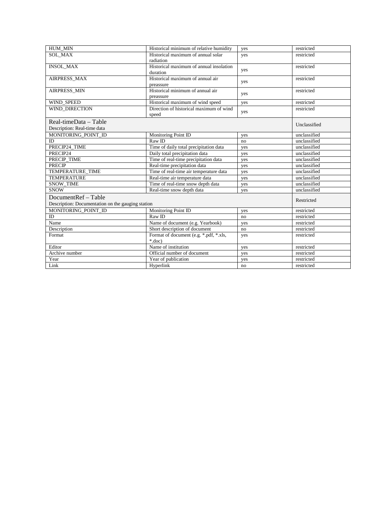| HUM MIN                                           | Historical minimum of relative humidity | yes | restricted   |
|---------------------------------------------------|-----------------------------------------|-----|--------------|
| <b>SOL MAX</b>                                    | Historical maximum of annual solar      | yes | restricted   |
|                                                   | radiation                               |     |              |
| <b>INSOL_MAX</b>                                  | Historical maximum of annual insolation | yes | restricted   |
|                                                   | duration                                |     |              |
| AIRPRESS MAX                                      | Historical maximum of annual air        | yes | restricted   |
|                                                   | preassure                               |     |              |
| AIRPRESS_MIN                                      | Historical minimum of annual air        | yes | restricted   |
|                                                   | preassure                               |     |              |
| <b>WIND SPEED</b>                                 | Historical maximum of wind speed        | yes | restricted   |
| WIND DIRECTION                                    | Direction of historical maximum of wind | yes | restricted   |
|                                                   | speed                                   |     |              |
| $Real-timeData - Table$                           |                                         |     | Unclassified |
| Description: Real-time data                       |                                         |     |              |
| MONITORING POINT ID                               | Monitoring Point ID                     | yes | unclassified |
| ID                                                | Raw ID                                  | no  | unclassified |
| PRECIP24 TIME                                     | Time of daily total precipitation data  | yes | unclassified |
| PRECIP24                                          | Daily total precipitation data          | yes | unclassified |
| PRECIP TIME                                       | Time of real-time precipitation data    | yes | unclassified |
| <b>PRECIP</b>                                     | Real-time precipitation data            | yes | unclassified |
| TEMPERATURE TIME                                  | Time of real-time air temperature data  | yes | unclassified |
| <b>TEMPERATURE</b>                                | Real-time air temperature data          | yes | unclassified |
| <b>SNOW TIME</b>                                  | Time of real-time snow depth data       | yes | unclassified |
| <b>SNOW</b>                                       | Real-time snow depth data               | yes | unclassified |
| DocumentRef - Table                               |                                         |     |              |
| Description: Documentation on the gauging station |                                         |     | Restricted   |
| MONITORING POINT ID                               | Monitoring Point ID                     | yes | restricted   |
| ID                                                | Raw ID                                  | no  | restricted   |
| Name                                              | Name of document (e.g. Yearbook)        | yes | restricted   |
| Description                                       | Short description of document           | no  | restricted   |
| Format                                            | Format of document (e.g. *.pdf, *.xls,  | yes | restricted   |
|                                                   | $*.doc)$                                |     |              |
| Editor                                            | Name of institution                     | yes | restricted   |
| Archive number                                    | Official number of document             | yes | restricted   |
| Year                                              | Year of publication                     | yes | restricted   |
| Link                                              | Hyperlink                               | no  | restricted   |